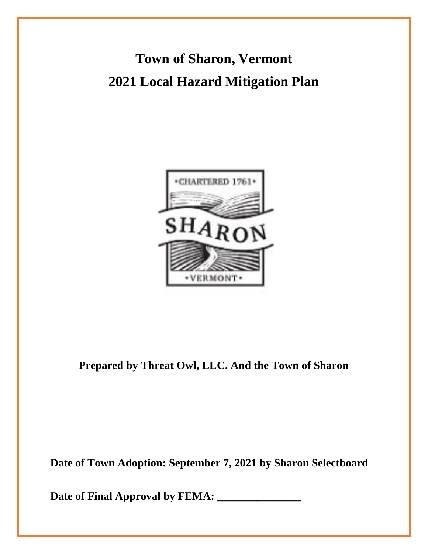**Town of Sharon, Vermont 2021 Local Hazard Mitigation Plan**



**Prepared by Threat Owl, LLC. And the Town of Sharon**

**Date of Town Adoption: September 8, 2021 by Sharon Selectboard** 

**Date of Final Approval by FEMA: \_\_\_\_\_\_\_\_\_\_\_\_\_\_\_**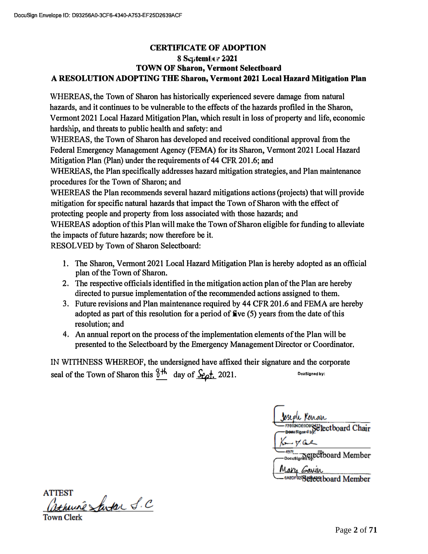### **CERTIFICATE OF ADOPTION 8 September 2021 TOWN OF Sharon, Vermont Selectboard A RESOLUTION ADOPTING THE Sharon, Vermont 2021 Local Hazard Mitigation Plan**

WHEREAS, the Town of Sharon has historically experienced severe damage from natural hazards, and it continues to be vulnerable to the effects of the hazards profiled in the Sharon, Vermont 2021 Local Hazard Mitigation Plan, which result in loss of property and life, economic hardship, and threats to public health and safety: and

WHEREAS, the Town of Sharon has developed and received conditional approval from the Federal Emergency Management Agency (FEMA) for its Sharon, Vermont 2021 Local Hazard Mitigation Plan (Plan) under the requirements of 44 CFR 201.6; and

WHEREAS, the Plan specifically addresses hazard mitigation strategies, and Plan maintenance procedures for the Town of Sharon; and

WHEREAS the Plan recommends several hazard mitigations actions {projects) that will provide mitigation for specific natural hazards that impact the Town of Sharon with the effect of protecting people and property from loss associated with those hazards; and

WHEREAS adoption of this Plan will make the Town of Sharon eligible for funding to alleviate the impacts of future hazards; now therefore be it.

RESOLVED by Town of Sharon Selectboard:

- l. The Sharon, Vermont 2021 Local Hazard Mitigation Plan is hereby adopted as an official plan of the Town of Sharon.
- 2. The respective officials identified in the mitigation action plan of the Plan are hereby directed to pursue implementation of the recommended actions assigned to them.
- 3. Future revisions and Plan maintenance required by 44 CFR 201.6 and FEMA are hereby adopted as part of this resolution for a period of  $\mathbf{f}(\mathbf{v})$  years from the date of this resolution; and
- 4. An annual report on the process of the implementation elements of the Plan will be presented to the Selectboard by the Emergency Management Director or Coordinator.

IN WITHNESSWHEREOF, the undersigned have affixed their signature and the corporate seal of the Town of Sharon this  $\frac{\delta^{4h}}{2}$  day of  $\frac{\delta}{\delta}$  2021.

**SHOEODOGY Plectboard Chair** A971 Belectboard Member Mary Gavin 6ABDF929 etectboard Member

**ATTEST** huine Santar S.C

Town Clerk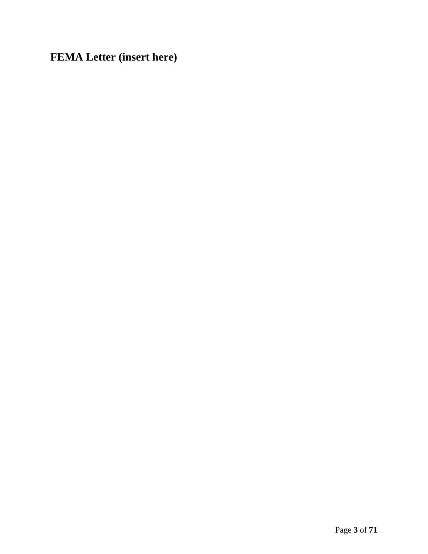**FEMA Letter (insert here)**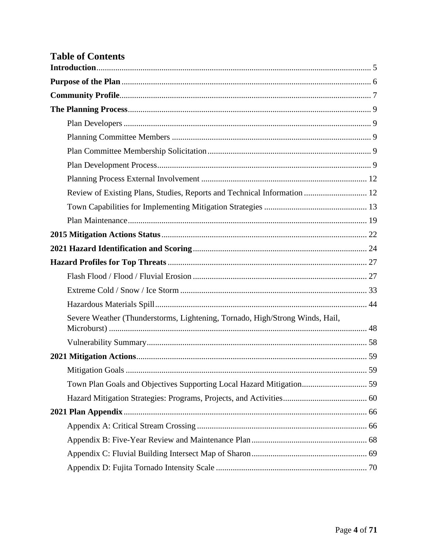| <b>Table of Contents</b>                                                     |  |
|------------------------------------------------------------------------------|--|
|                                                                              |  |
|                                                                              |  |
|                                                                              |  |
|                                                                              |  |
|                                                                              |  |
|                                                                              |  |
|                                                                              |  |
|                                                                              |  |
|                                                                              |  |
| Review of Existing Plans, Studies, Reports and Technical Information  12     |  |
|                                                                              |  |
|                                                                              |  |
|                                                                              |  |
|                                                                              |  |
|                                                                              |  |
|                                                                              |  |
|                                                                              |  |
|                                                                              |  |
| Severe Weather (Thunderstorms, Lightening, Tornado, High/Strong Winds, Hail, |  |
|                                                                              |  |
|                                                                              |  |
|                                                                              |  |
| Town Plan Goals and Objectives Supporting Local Hazard Mitigation 59         |  |
|                                                                              |  |
|                                                                              |  |
|                                                                              |  |
|                                                                              |  |
|                                                                              |  |
|                                                                              |  |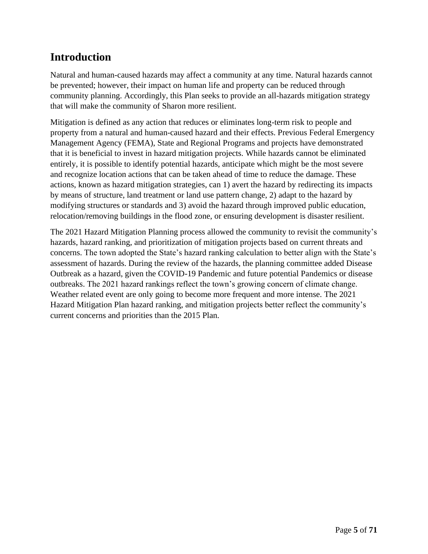# <span id="page-4-0"></span>**Introduction**

Natural and human-caused hazards may affect a community at any time. Natural hazards cannot be prevented; however, their impact on human life and property can be reduced through community planning. Accordingly, this Plan seeks to provide an all-hazards mitigation strategy that will make the community of Sharon more resilient.

Mitigation is defined as any action that reduces or eliminates long-term risk to people and property from a natural and human-caused hazard and their effects. Previous Federal Emergency Management Agency (FEMA), State and Regional Programs and projects have demonstrated that it is beneficial to invest in hazard mitigation projects. While hazards cannot be eliminated entirely, it is possible to identify potential hazards, anticipate which might be the most severe and recognize location actions that can be taken ahead of time to reduce the damage. These actions, known as hazard mitigation strategies, can 1) avert the hazard by redirecting its impacts by means of structure, land treatment or land use pattern change, 2) adapt to the hazard by modifying structures or standards and 3) avoid the hazard through improved public education, relocation/removing buildings in the flood zone, or ensuring development is disaster resilient.

The 2021 Hazard Mitigation Planning process allowed the community to revisit the community's hazards, hazard ranking, and prioritization of mitigation projects based on current threats and concerns. The town adopted the State's hazard ranking calculation to better align with the State's assessment of hazards. During the review of the hazards, the planning committee added Disease Outbreak as a hazard, given the COVID-19 Pandemic and future potential Pandemics or disease outbreaks. The 2021 hazard rankings reflect the town's growing concern of climate change. Weather related event are only going to become more frequent and more intense. The 2021 Hazard Mitigation Plan hazard ranking, and mitigation projects better reflect the community's current concerns and priorities than the 2015 Plan.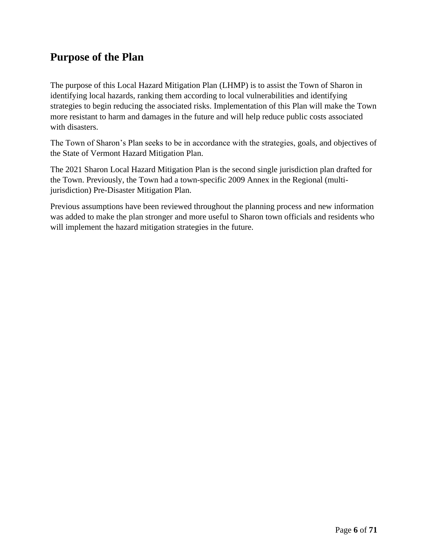## <span id="page-5-0"></span>**Purpose of the Plan**

The purpose of this Local Hazard Mitigation Plan (LHMP) is to assist the Town of Sharon in identifying local hazards, ranking them according to local vulnerabilities and identifying strategies to begin reducing the associated risks. Implementation of this Plan will make the Town more resistant to harm and damages in the future and will help reduce public costs associated with disasters.

The Town of Sharon's Plan seeks to be in accordance with the strategies, goals, and objectives of the State of Vermont Hazard Mitigation Plan.

The 2021 Sharon Local Hazard Mitigation Plan is the second single jurisdiction plan drafted for the Town. Previously, the Town had a town-specific 2009 Annex in the Regional (multijurisdiction) Pre-Disaster Mitigation Plan.

Previous assumptions have been reviewed throughout the planning process and new information was added to make the plan stronger and more useful to Sharon town officials and residents who will implement the hazard mitigation strategies in the future.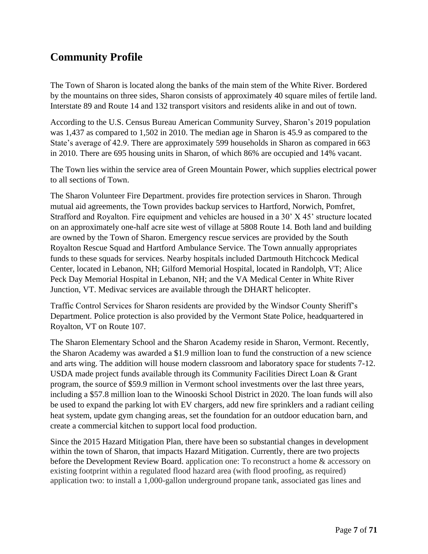## <span id="page-6-0"></span>**Community Profile**

The Town of Sharon is located along the banks of the main stem of the White River. Bordered by the mountains on three sides, Sharon consists of approximately 40 square miles of fertile land. Interstate 89 and Route 14 and 132 transport visitors and residents alike in and out of town.

According to the U.S. Census Bureau American Community Survey, Sharon's 2019 population was 1,437 as compared to 1,502 in 2010. The median age in Sharon is 45.9 as compared to the State's average of 42.9. There are approximately 599 households in Sharon as compared in 663 in 2010. There are 695 housing units in Sharon, of which 86% are occupied and 14% vacant.

The Town lies within the service area of Green Mountain Power, which supplies electrical power to all sections of Town.

The Sharon Volunteer Fire Department. provides fire protection services in Sharon. Through mutual aid agreements, the Town provides backup services to Hartford, Norwich, Pomfret, Strafford and Royalton. Fire equipment and vehicles are housed in a 30' X 45' structure located on an approximately one-half acre site west of village at 5808 Route 14. Both land and building are owned by the Town of Sharon. Emergency rescue services are provided by the South Royalton Rescue Squad and Hartford Ambulance Service. The Town annually appropriates funds to these squads for services. Nearby hospitals included Dartmouth Hitchcock Medical Center, located in Lebanon, NH; Gilford Memorial Hospital, located in Randolph, VT; Alice Peck Day Memorial Hospital in Lebanon, NH; and the VA Medical Center in White River Junction, VT. Medivac services are available through the DHART helicopter.

Traffic Control Services for Sharon residents are provided by the Windsor County Sheriff's Department. Police protection is also provided by the Vermont State Police, headquartered in Royalton, VT on Route 107.

The Sharon Elementary School and the Sharon Academy reside in Sharon, Vermont. Recently, the Sharon Academy was awarded a \$1.9 million loan to fund the construction of a new science and arts wing. The addition will house modern classroom and laboratory space for students 7-12. USDA made project funds available through its Community Facilities Direct Loan & Grant program, the source of \$59.9 million in Vermont school investments over the last three years, including a \$57.8 million loan to the Winooski School District in 2020. The loan funds will also be used to expand the parking lot with EV chargers, add new fire sprinklers and a radiant ceiling heat system, update gym changing areas, set the foundation for an outdoor education barn, and create a commercial kitchen to support local food production.

Since the 2015 Hazard Mitigation Plan, there have been so substantial changes in development within the town of Sharon, that impacts Hazard Mitigation. Currently, there are two projects before the Development Review Board. application one: To reconstruct a home & accessory on existing footprint within a regulated flood hazard area (with flood proofing, as required) application two: to install a 1,000-gallon underground propane tank, associated gas lines and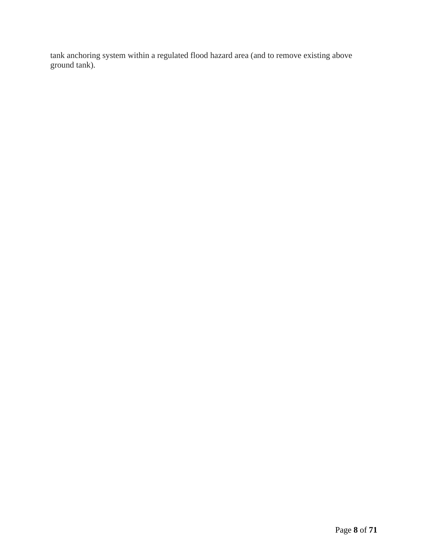<span id="page-7-0"></span>tank anchoring system within a regulated flood hazard area (and to remove existing above ground tank).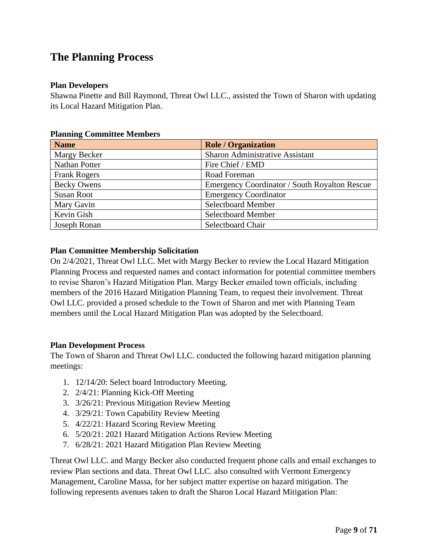## **The Planning Process**

#### <span id="page-8-0"></span>**Plan Developers**

Shawna Pinette and Bill Raymond, Threat Owl LLC., assisted the Town of Sharon with updating its Local Hazard Mitigation Plan.

| <b>Name</b>         | <b>Role / Organization</b>                    |
|---------------------|-----------------------------------------------|
| Margy Becker        | <b>Sharon Administrative Assistant</b>        |
| Nathan Potter       | Fire Chief / EMD                              |
| <b>Frank Rogers</b> | Road Foreman                                  |
| <b>Becky Owens</b>  | Emergency Coordinator / South Royalton Rescue |
| <b>Susan Root</b>   | <b>Emergency Coordinator</b>                  |
| Mary Gavin          | Selectboard Member                            |
| Kevin Gish          | <b>Selectboard Member</b>                     |
| Joseph Ronan        | Selectboard Chair                             |

#### <span id="page-8-1"></span>**Planning Committee Members**

#### <span id="page-8-2"></span>**Plan Committee Membership Solicitation**

On 2/4/2021, Threat Owl LLC. Met with Margy Becker to review the Local Hazard Mitigation Planning Process and requested names and contact information for potential committee members to revise Sharon's Hazard Mitigation Plan. Margy Becker emailed town officials, including members of the 2016 Hazard Mitigation Planning Team, to request their involvement. Threat Owl LLC. provided a prosed schedule to the Town of Sharon and met with Planning Team members until the Local Hazard Mitigation Plan was adopted by the Selectboard.

#### <span id="page-8-3"></span>**Plan Development Process**

The Town of Sharon and Threat Owl LLC. conducted the following hazard mitigation planning meetings:

- 1. 12/14/20: Select board Introductory Meeting.
- 2. 2/4/21: Planning Kick-Off Meeting
- 3. 3/26/21: Previous Mitigation Review Meeting
- 4. 3/29/21: Town Capability Review Meeting
- 5. 4/22/21: Hazard Scoring Review Meeting
- 6. 5/20/21: 2021 Hazard Mitigation Actions Review Meeting
- 7. 6/28/21: 2021 Hazard Mitigation Plan Review Meeting

Threat Owl LLC. and Margy Becker also conducted frequent phone calls and email exchanges to review Plan sections and data. Threat Owl LLC. also consulted with Vermont Emergency Management, Caroline Massa, for her subject matter expertise on hazard mitigation. The following represents avenues taken to draft the Sharon Local Hazard Mitigation Plan: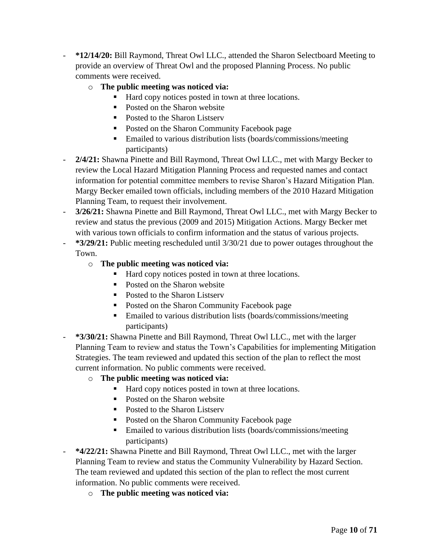- **\*12/14/20:** Bill Raymond, Threat Owl LLC., attended the Sharon Selectboard Meeting to provide an overview of Threat Owl and the proposed Planning Process. No public comments were received.
	- o **The public meeting was noticed via:**
		- Hard copy notices posted in town at three locations.
		- Posted on the Sharon website
		- Posted to the Sharon Listserv
		- Posted on the Sharon Community Facebook page
		- Emailed to various distribution lists (boards/commissions/meeting participants)
- **2/4/21:** Shawna Pinette and Bill Raymond, Threat Owl LLC., met with Margy Becker to review the Local Hazard Mitigation Planning Process and requested names and contact information for potential committee members to revise Sharon's Hazard Mitigation Plan. Margy Becker emailed town officials, including members of the 2010 Hazard Mitigation Planning Team, to request their involvement.
- **3/26/21:** Shawna Pinette and Bill Raymond, Threat Owl LLC., met with Margy Becker to review and status the previous (2009 and 2015) Mitigation Actions. Margy Becker met with various town officials to confirm information and the status of various projects.
- **\*3/29/21:** Public meeting rescheduled until 3/30/21 due to power outages throughout the Town.
	- o **The public meeting was noticed via:**
		- Hard copy notices posted in town at three locations.
		- Posted on the Sharon website
		- Posted to the Sharon Listserv
		- Posted on the Sharon Community Facebook page
		- Emailed to various distribution lists (boards/commissions/meeting participants)
- **\*3/30/21:** Shawna Pinette and Bill Raymond, Threat Owl LLC., met with the larger Planning Team to review and status the Town's Capabilities for implementing Mitigation Strategies. The team reviewed and updated this section of the plan to reflect the most current information. No public comments were received.
	- o **The public meeting was noticed via:**
		- Hard copy notices posted in town at three locations.
		- Posted on the Sharon website
		- Posted to the Sharon Listserv
		- Posted on the Sharon Community Facebook page
		- Emailed to various distribution lists (boards/commissions/meeting participants)
- **\*4/22/21:** Shawna Pinette and Bill Raymond, Threat Owl LLC., met with the larger Planning Team to review and status the Community Vulnerability by Hazard Section. The team reviewed and updated this section of the plan to reflect the most current information. No public comments were received.
	- o **The public meeting was noticed via:**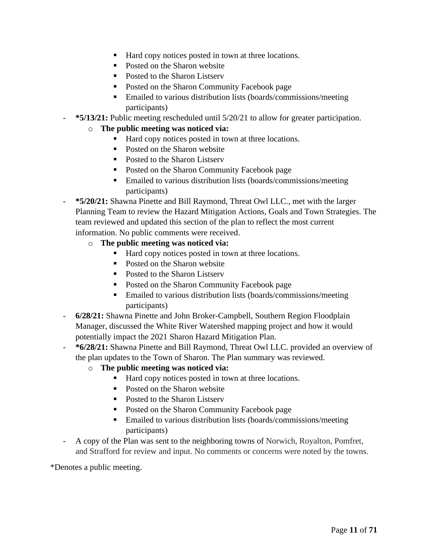- Hard copy notices posted in town at three locations.
- Posted on the Sharon website
- Posted to the Sharon Listserv
- Posted on the Sharon Community Facebook page
- **Emailed to various distribution lists (boards/commissions/meeting)** participants)
- **\*5/13/21:** Public meeting rescheduled until 5/20/21 to allow for greater participation.
	- o **The public meeting was noticed via:**
		- Hard copy notices posted in town at three locations.
		- Posted on the Sharon website
		- Posted to the Sharon Listserv
		- Posted on the Sharon Community Facebook page
		- Emailed to various distribution lists (boards/commissions/meeting participants)
- **\*5/20/21:** Shawna Pinette and Bill Raymond, Threat Owl LLC., met with the larger Planning Team to review the Hazard Mitigation Actions, Goals and Town Strategies. The team reviewed and updated this section of the plan to reflect the most current information. No public comments were received.
	- o **The public meeting was noticed via:**
		- Hard copy notices posted in town at three locations.
		- Posted on the Sharon website
		- Posted to the Sharon Listserv
		- Posted on the Sharon Community Facebook page
		- Emailed to various distribution lists (boards/commissions/meeting participants)
- **6/28/21:** Shawna Pinette and John Broker-Campbell, Southern Region Floodplain Manager, discussed the White River Watershed mapping project and how it would potentially impact the 2021 Sharon Hazard Mitigation Plan.
- **\*6/28/21:** Shawna Pinette and Bill Raymond, Threat Owl LLC. provided an overview of the plan updates to the Town of Sharon. The Plan summary was reviewed.
	- o **The public meeting was noticed via:**
		- Hard copy notices posted in town at three locations.
		- Posted on the Sharon website
		- Posted to the Sharon Listserv
		- Posted on the Sharon Community Facebook page
		- Emailed to various distribution lists (boards/commissions/meeting participants)
- A copy of the Plan was sent to the neighboring towns of Norwich, Royalton, Pomfret, and Strafford for review and input. No comments or concerns were noted by the towns.

\*Denotes a public meeting.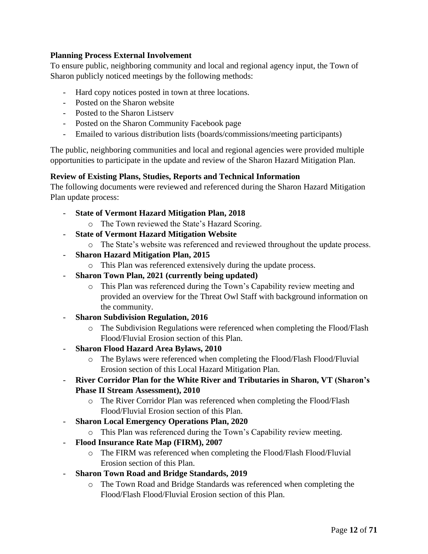#### <span id="page-11-0"></span>**Planning Process External Involvement**

To ensure public, neighboring community and local and regional agency input, the Town of Sharon publicly noticed meetings by the following methods:

- Hard copy notices posted in town at three locations.
- Posted on the Sharon website
- Posted to the Sharon Listserv
- Posted on the Sharon Community Facebook page
- Emailed to various distribution lists (boards/commissions/meeting participants)

The public, neighboring communities and local and regional agencies were provided multiple opportunities to participate in the update and review of the Sharon Hazard Mitigation Plan.

#### <span id="page-11-1"></span>**Review of Existing Plans, Studies, Reports and Technical Information**

The following documents were reviewed and referenced during the Sharon Hazard Mitigation Plan update process:

- **State of Vermont Hazard Mitigation Plan, 2018**
	- o The Town reviewed the State's Hazard Scoring.
- **State of Vermont Hazard Mitigation Website**
	- o The State's website was referenced and reviewed throughout the update process.
- **Sharon Hazard Mitigation Plan, 2015** 
	- o This Plan was referenced extensively during the update process.
- **Sharon Town Plan, 2021 (currently being updated)**
	- o This Plan was referenced during the Town's Capability review meeting and provided an overview for the Threat Owl Staff with background information on the community.
- **Sharon Subdivision Regulation, 2016**
	- o The Subdivision Regulations were referenced when completing the Flood/Flash Flood/Fluvial Erosion section of this Plan.
- **Sharon Flood Hazard Area Bylaws, 2010**
	- o The Bylaws were referenced when completing the Flood/Flash Flood/Fluvial Erosion section of this Local Hazard Mitigation Plan.
- **River Corridor Plan for the White River and Tributaries in Sharon, VT (Sharon's Phase II Stream Assessment), 2010**
	- o The River Corridor Plan was referenced when completing the Flood/Flash Flood/Fluvial Erosion section of this Plan.
- **Sharon Local Emergency Operations Plan, 2020** 
	- o This Plan was referenced during the Town's Capability review meeting.
- **Flood Insurance Rate Map (FIRM), 2007**
	- o The FIRM was referenced when completing the Flood/Flash Flood/Fluvial Erosion section of this Plan.
- **Sharon Town Road and Bridge Standards, 2019**
	- o The Town Road and Bridge Standards was referenced when completing the Flood/Flash Flood/Fluvial Erosion section of this Plan.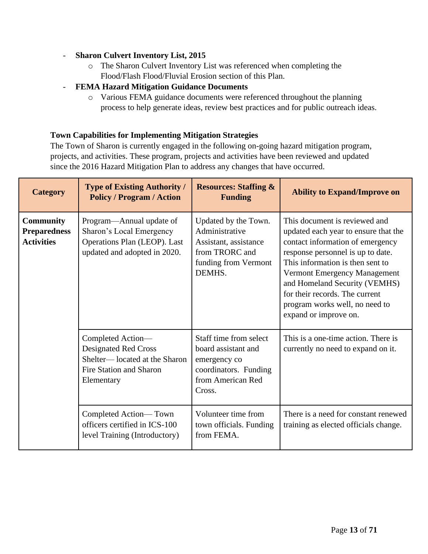#### - **Sharon Culvert Inventory List, 2015**

- o The Sharon Culvert Inventory List was referenced when completing the Flood/Flash Flood/Fluvial Erosion section of this Plan.
- **FEMA Hazard Mitigation Guidance Documents**
	- o Various FEMA guidance documents were referenced throughout the planning process to help generate ideas, review best practices and for public outreach ideas.

#### <span id="page-12-0"></span>**Town Capabilities for Implementing Mitigation Strategies**

The Town of Sharon is currently engaged in the following on-going hazard mitigation program, projects, and activities. These program, projects and activities have been reviewed and updated since the 2016 Hazard Mitigation Plan to address any changes that have occurred.

| <b>Category</b>                                              | <b>Type of Existing Authority /</b><br><b>Policy / Program / Action</b>                                              | <b>Resources: Staffing &amp;</b><br><b>Funding</b>                                                                    | <b>Ability to Expand/Improve on</b>                                                                                                                                                                                                                                                                                                              |
|--------------------------------------------------------------|----------------------------------------------------------------------------------------------------------------------|-----------------------------------------------------------------------------------------------------------------------|--------------------------------------------------------------------------------------------------------------------------------------------------------------------------------------------------------------------------------------------------------------------------------------------------------------------------------------------------|
| <b>Community</b><br><b>Preparedness</b><br><b>Activities</b> | Program—Annual update of<br>Sharon's Local Emergency<br>Operations Plan (LEOP). Last<br>updated and adopted in 2020. | Updated by the Town.<br>Administrative<br>Assistant, assistance<br>from TRORC and<br>funding from Vermont<br>DEMHS.   | This document is reviewed and<br>updated each year to ensure that the<br>contact information of emergency<br>response personnel is up to date.<br>This information is then sent to<br>Vermont Emergency Management<br>and Homeland Security (VEMHS)<br>for their records. The current<br>program works well, no need to<br>expand or improve on. |
|                                                              | Completed Action-<br>Designated Red Cross<br>Shelter-located at the Sharon<br>Fire Station and Sharon<br>Elementary  | Staff time from select<br>board assistant and<br>emergency co<br>coordinators. Funding<br>from American Red<br>Cross. | This is a one-time action. There is<br>currently no need to expand on it.                                                                                                                                                                                                                                                                        |
|                                                              | Completed Action—Town<br>officers certified in ICS-100<br>level Training (Introductory)                              | Volunteer time from<br>town officials. Funding<br>from FEMA.                                                          | There is a need for constant renewed<br>training as elected officials change.                                                                                                                                                                                                                                                                    |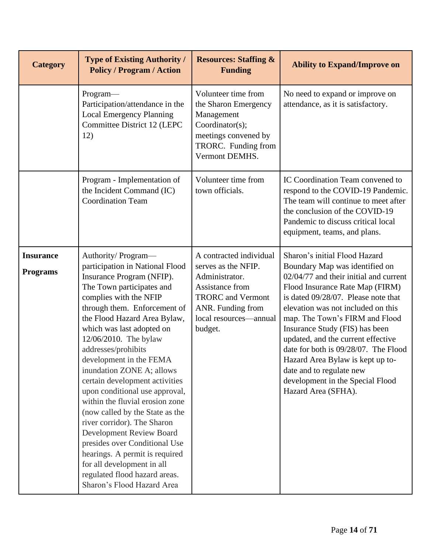| <b>Category</b>                     | <b>Type of Existing Authority /</b><br><b>Policy / Program / Action</b>                                                                                                                                                                                                                                                                                                                                                                                                                                                                                                                                                                                                                                             | <b>Resources: Staffing &amp;</b><br><b>Funding</b>                                                                                                                        | <b>Ability to Expand/Improve on</b>                                                                                                                                                                                                                                                                                                                                                                                                                                                                    |
|-------------------------------------|---------------------------------------------------------------------------------------------------------------------------------------------------------------------------------------------------------------------------------------------------------------------------------------------------------------------------------------------------------------------------------------------------------------------------------------------------------------------------------------------------------------------------------------------------------------------------------------------------------------------------------------------------------------------------------------------------------------------|---------------------------------------------------------------------------------------------------------------------------------------------------------------------------|--------------------------------------------------------------------------------------------------------------------------------------------------------------------------------------------------------------------------------------------------------------------------------------------------------------------------------------------------------------------------------------------------------------------------------------------------------------------------------------------------------|
|                                     | Program-<br>Participation/attendance in the<br><b>Local Emergency Planning</b><br>Committee District 12 (LEPC<br>12)                                                                                                                                                                                                                                                                                                                                                                                                                                                                                                                                                                                                | Volunteer time from<br>the Sharon Emergency<br>Management<br>Coordinator(s);<br>meetings convened by<br>TRORC. Funding from<br>Vermont DEMHS.                             | No need to expand or improve on<br>attendance, as it is satisfactory.                                                                                                                                                                                                                                                                                                                                                                                                                                  |
|                                     | Program - Implementation of<br>the Incident Command (IC)<br><b>Coordination Team</b>                                                                                                                                                                                                                                                                                                                                                                                                                                                                                                                                                                                                                                | Volunteer time from<br>town officials.                                                                                                                                    | IC Coordination Team convened to<br>respond to the COVID-19 Pandemic.<br>The team will continue to meet after<br>the conclusion of the COVID-19<br>Pandemic to discuss critical local<br>equipment, teams, and plans.                                                                                                                                                                                                                                                                                  |
| <b>Insurance</b><br><b>Programs</b> | Authority/Program-<br>participation in National Flood<br>Insurance Program (NFIP).<br>The Town participates and<br>complies with the NFIP<br>through them. Enforcement of<br>the Flood Hazard Area Bylaw,<br>which was last adopted on<br>12/06/2010. The bylaw<br>addresses/prohibits<br>development in the FEMA<br>inundation ZONE A; allows<br>certain development activities<br>upon conditional use approval,<br>within the fluvial erosion zone<br>(now called by the State as the<br>river corridor). The Sharon<br>Development Review Board<br>presides over Conditional Use<br>hearings. A permit is required<br>for all development in all<br>regulated flood hazard areas.<br>Sharon's Flood Hazard Area | A contracted individual<br>serves as the NFIP.<br>Administrator.<br>Assistance from<br><b>TRORC</b> and Vermont<br>ANR. Funding from<br>local resources-annual<br>budget. | Sharon's initial Flood Hazard<br>Boundary Map was identified on<br>02/04/77 and their initial and current<br>Flood Insurance Rate Map (FIRM)<br>is dated 09/28/07. Please note that<br>elevation was not included on this<br>map. The Town's FIRM and Flood<br>Insurance Study (FIS) has been<br>updated, and the current effective<br>date for both is 09/28/07. The Flood<br>Hazard Area Bylaw is kept up to-<br>date and to regulate new<br>development in the Special Flood<br>Hazard Area (SFHA). |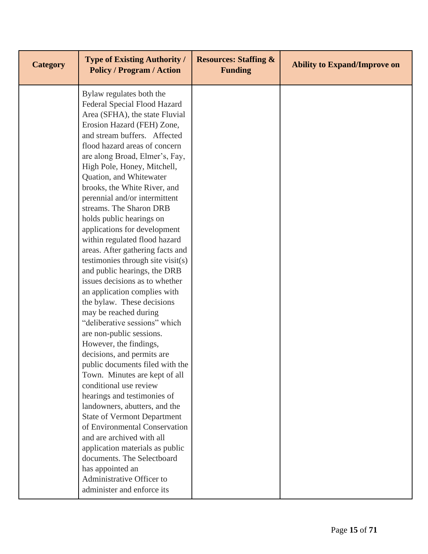| <b>Category</b> | <b>Type of Existing Authority /</b><br><b>Policy / Program / Action</b> | <b>Resources: Staffing &amp;</b><br><b>Funding</b> | <b>Ability to Expand/Improve on</b> |
|-----------------|-------------------------------------------------------------------------|----------------------------------------------------|-------------------------------------|
|                 | Bylaw regulates both the                                                |                                                    |                                     |
|                 | Federal Special Flood Hazard                                            |                                                    |                                     |
|                 | Area (SFHA), the state Fluvial                                          |                                                    |                                     |
|                 | Erosion Hazard (FEH) Zone,                                              |                                                    |                                     |
|                 | and stream buffers. Affected<br>flood hazard areas of concern           |                                                    |                                     |
|                 | are along Broad, Elmer's, Fay,                                          |                                                    |                                     |
|                 | High Pole, Honey, Mitchell,                                             |                                                    |                                     |
|                 | Quation, and Whitewater                                                 |                                                    |                                     |
|                 | brooks, the White River, and                                            |                                                    |                                     |
|                 | perennial and/or intermittent                                           |                                                    |                                     |
|                 | streams. The Sharon DRB                                                 |                                                    |                                     |
|                 | holds public hearings on                                                |                                                    |                                     |
|                 | applications for development                                            |                                                    |                                     |
|                 | within regulated flood hazard                                           |                                                    |                                     |
|                 | areas. After gathering facts and                                        |                                                    |                                     |
|                 | testimonies through site visit(s)                                       |                                                    |                                     |
|                 | and public hearings, the DRB                                            |                                                    |                                     |
|                 | issues decisions as to whether                                          |                                                    |                                     |
|                 | an application complies with                                            |                                                    |                                     |
|                 | the bylaw. These decisions                                              |                                                    |                                     |
|                 | may be reached during                                                   |                                                    |                                     |
|                 | "deliberative sessions" which                                           |                                                    |                                     |
|                 | are non-public sessions.                                                |                                                    |                                     |
|                 | However, the findings,                                                  |                                                    |                                     |
|                 | decisions, and permits are                                              |                                                    |                                     |
|                 | public documents filed with the                                         |                                                    |                                     |
|                 | Town. Minutes are kept of all                                           |                                                    |                                     |
|                 | conditional use review                                                  |                                                    |                                     |
|                 | hearings and testimonies of                                             |                                                    |                                     |
|                 | landowners, abutters, and the                                           |                                                    |                                     |
|                 | <b>State of Vermont Department</b>                                      |                                                    |                                     |
|                 | of Environmental Conservation                                           |                                                    |                                     |
|                 | and are archived with all                                               |                                                    |                                     |
|                 | application materials as public                                         |                                                    |                                     |
|                 | documents. The Selectboard                                              |                                                    |                                     |
|                 | has appointed an                                                        |                                                    |                                     |
|                 | Administrative Officer to                                               |                                                    |                                     |
|                 | administer and enforce its                                              |                                                    |                                     |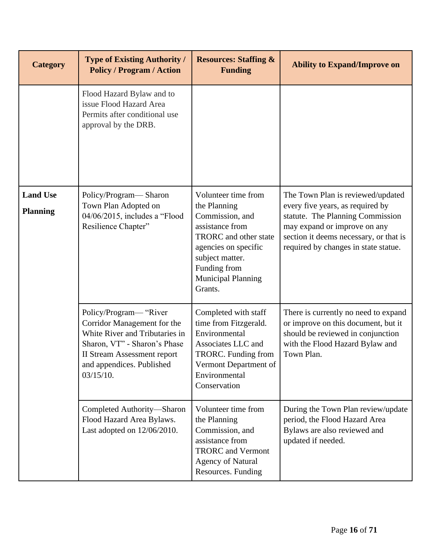| <b>Category</b>                    | <b>Type of Existing Authority /</b><br><b>Policy / Program / Action</b>                                                                                                                                 | <b>Resources: Staffing &amp;</b><br><b>Funding</b>                                                                                                                                                    | <b>Ability to Expand/Improve on</b>                                                                                                                                                                                         |
|------------------------------------|---------------------------------------------------------------------------------------------------------------------------------------------------------------------------------------------------------|-------------------------------------------------------------------------------------------------------------------------------------------------------------------------------------------------------|-----------------------------------------------------------------------------------------------------------------------------------------------------------------------------------------------------------------------------|
|                                    | Flood Hazard Bylaw and to<br>issue Flood Hazard Area<br>Permits after conditional use<br>approval by the DRB.                                                                                           |                                                                                                                                                                                                       |                                                                                                                                                                                                                             |
| <b>Land Use</b><br><b>Planning</b> | Policy/Program-Sharon<br>Town Plan Adopted on<br>04/06/2015, includes a "Flood<br>Resilience Chapter"                                                                                                   | Volunteer time from<br>the Planning<br>Commission, and<br>assistance from<br>TRORC and other state<br>agencies on specific<br>subject matter.<br>Funding from<br><b>Municipal Planning</b><br>Grants. | The Town Plan is reviewed/updated<br>every five years, as required by<br>statute. The Planning Commission<br>may expand or improve on any<br>section it deems necessary, or that is<br>required by changes in state statue. |
|                                    | Policy/Program— "River<br>Corridor Management for the<br>White River and Tributaries in<br>Sharon, VT" - Sharon's Phase<br><b>II Stream Assessment report</b><br>and appendices. Published<br>03/15/10. | Completed with staff<br>time from Fitzgerald.<br>Environmental<br>Associates LLC and<br>TRORC. Funding from<br>Vermont Department of<br>Environmental<br>Conservation                                 | There is currently no need to expand<br>or improve on this document, but it<br>should be reviewed in conjunction<br>with the Flood Hazard Bylaw and<br>Town Plan.                                                           |
|                                    | Completed Authority-Sharon<br>Flood Hazard Area Bylaws.<br>Last adopted on 12/06/2010.                                                                                                                  | Volunteer time from<br>the Planning<br>Commission, and<br>assistance from<br><b>TRORC</b> and Vermont<br><b>Agency of Natural</b><br>Resources. Funding                                               | During the Town Plan review/update<br>period, the Flood Hazard Area<br>Bylaws are also reviewed and<br>updated if needed.                                                                                                   |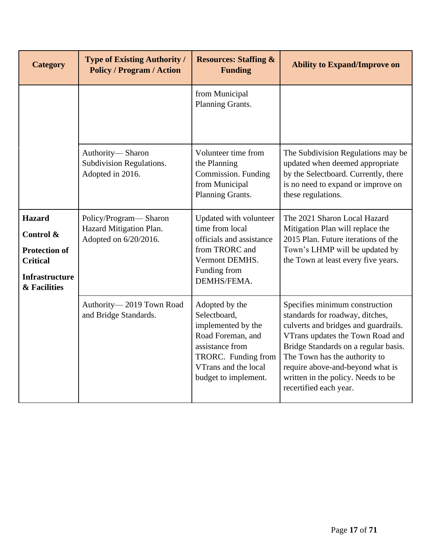| <b>Category</b>                                                                                                | <b>Type of Existing Authority /</b><br><b>Policy / Program / Action</b>   | <b>Resources: Staffing &amp;</b><br><b>Funding</b>                                                                                                                  | <b>Ability to Expand/Improve on</b>                                                                                                                                                                                                                                                                                        |
|----------------------------------------------------------------------------------------------------------------|---------------------------------------------------------------------------|---------------------------------------------------------------------------------------------------------------------------------------------------------------------|----------------------------------------------------------------------------------------------------------------------------------------------------------------------------------------------------------------------------------------------------------------------------------------------------------------------------|
|                                                                                                                |                                                                           | from Municipal<br>Planning Grants.                                                                                                                                  |                                                                                                                                                                                                                                                                                                                            |
|                                                                                                                | Authority-Sharon<br>Subdivision Regulations.<br>Adopted in 2016.          | Volunteer time from<br>the Planning<br>Commission. Funding<br>from Municipal<br>Planning Grants.                                                                    | The Subdivision Regulations may be<br>updated when deemed appropriate<br>by the Selectboard. Currently, there<br>is no need to expand or improve on<br>these regulations.                                                                                                                                                  |
| <b>Hazard</b><br>Control &<br><b>Protection of</b><br><b>Critical</b><br><b>Infrastructure</b><br>& Facilities | Policy/Program-Sharon<br>Hazard Mitigation Plan.<br>Adopted on 6/20/2016. | Updated with volunteer<br>time from local<br>officials and assistance<br>from TRORC and<br>Vermont DEMHS.<br>Funding from<br>DEMHS/FEMA.                            | The 2021 Sharon Local Hazard<br>Mitigation Plan will replace the<br>2015 Plan. Future iterations of the<br>Town's LHMP will be updated by<br>the Town at least every five years.                                                                                                                                           |
|                                                                                                                | Authority-2019 Town Road<br>and Bridge Standards.                         | Adopted by the<br>Selectboard,<br>implemented by the<br>Road Foreman, and<br>assistance from<br>TRORC. Funding from<br>VTrans and the local<br>budget to implement. | Specifies minimum construction<br>standards for roadway, ditches,<br>culverts and bridges and guardrails.<br>VTrans updates the Town Road and<br>Bridge Standards on a regular basis.<br>The Town has the authority to<br>require above-and-beyond what is<br>written in the policy. Needs to be<br>recertified each year. |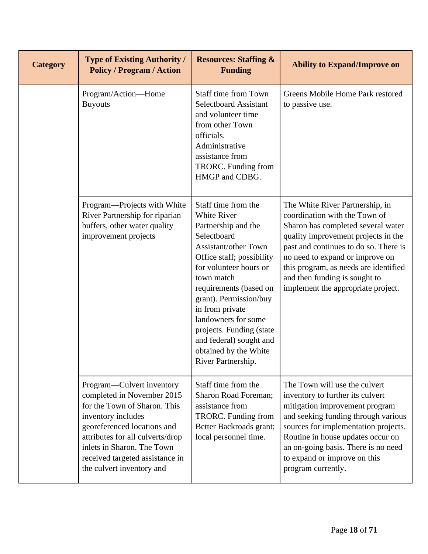| <b>Category</b> | <b>Type of Existing Authority /</b><br><b>Policy / Program / Action</b>                                                                                                                                                                                                                                                                                                                                                                                                                                   | <b>Resources: Staffing &amp;</b><br><b>Funding</b>                                                                                                                                               | <b>Ability to Expand/Improve on</b>                                                                                                                                                                                                                                                                                                       |
|-----------------|-----------------------------------------------------------------------------------------------------------------------------------------------------------------------------------------------------------------------------------------------------------------------------------------------------------------------------------------------------------------------------------------------------------------------------------------------------------------------------------------------------------|--------------------------------------------------------------------------------------------------------------------------------------------------------------------------------------------------|-------------------------------------------------------------------------------------------------------------------------------------------------------------------------------------------------------------------------------------------------------------------------------------------------------------------------------------------|
|                 | Program/Action-Home<br><b>Buyouts</b>                                                                                                                                                                                                                                                                                                                                                                                                                                                                     | <b>Staff time from Town</b><br><b>Selectboard Assistant</b><br>and volunteer time<br>from other Town<br>officials.<br>Administrative<br>assistance from<br>TRORC. Funding from<br>HMGP and CDBG. | Greens Mobile Home Park restored<br>to passive use.                                                                                                                                                                                                                                                                                       |
|                 | Staff time from the<br>Program—Projects with White<br>White River<br>River Partnership for riparian<br>buffers, other water quality<br>Partnership and the<br>Selectboard<br>improvement projects<br><b>Assistant/other Town</b><br>Office staff; possibility<br>for volunteer hours or<br>town match<br>requirements (based on<br>grant). Permission/buy<br>in from private<br>landowners for some<br>projects. Funding (state<br>and federal) sought and<br>obtained by the White<br>River Partnership. |                                                                                                                                                                                                  | The White River Partnership, in<br>coordination with the Town of<br>Sharon has completed several water<br>quality improvement projects in the<br>past and continues to do so. There is<br>no need to expand or improve on<br>this program, as needs are identified<br>and then funding is sought to<br>implement the appropriate project. |
|                 | Program—Culvert inventory<br>completed in November 2015<br>for the Town of Sharon. This<br>inventory includes<br>georeferenced locations and<br>attributes for all culverts/drop<br>inlets in Sharon. The Town<br>received targeted assistance in<br>the culvert inventory and                                                                                                                                                                                                                            | Staff time from the<br>Sharon Road Foreman;<br>assistance from<br>TRORC. Funding from<br>Better Backroads grant;<br>local personnel time.                                                        | The Town will use the culvert<br>inventory to further its culvert<br>mitigation improvement program<br>and seeking funding through various<br>sources for implementation projects.<br>Routine in house updates occur on<br>an on-going basis. There is no need<br>to expand or improve on this<br>program currently.                      |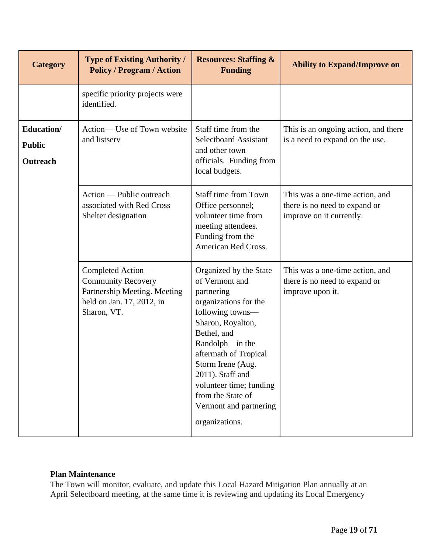| <b>Category</b>                         | <b>Type of Existing Authority /</b><br><b>Policy / Program / Action</b>                                                    | <b>Resources: Staffing &amp;</b><br><b>Funding</b>                                                                                                                                                                                                                                                                       | <b>Ability to Expand/Improve on</b>                                                          |
|-----------------------------------------|----------------------------------------------------------------------------------------------------------------------------|--------------------------------------------------------------------------------------------------------------------------------------------------------------------------------------------------------------------------------------------------------------------------------------------------------------------------|----------------------------------------------------------------------------------------------|
|                                         | specific priority projects were<br>identified.                                                                             |                                                                                                                                                                                                                                                                                                                          |                                                                                              |
| Education/<br><b>Public</b><br>Outreach | Action— Use of Town website<br>and listserv                                                                                | Staff time from the<br><b>Selectboard Assistant</b><br>and other town<br>officials. Funding from<br>local budgets.                                                                                                                                                                                                       | This is an ongoing action, and there<br>is a need to expand on the use.                      |
|                                         | Action — Public outreach<br>associated with Red Cross<br>Shelter designation                                               | <b>Staff time from Town</b><br>Office personnel;<br>volunteer time from<br>meeting attendees.<br>Funding from the<br>American Red Cross.                                                                                                                                                                                 | This was a one-time action, and<br>there is no need to expand or<br>improve on it currently. |
|                                         | Completed Action-<br><b>Community Recovery</b><br>Partnership Meeting. Meeting<br>held on Jan. 17, 2012, in<br>Sharon, VT. | Organized by the State<br>of Vermont and<br>partnering<br>organizations for the<br>following towns-<br>Sharon, Royalton,<br>Bethel, and<br>Randolph-in the<br>aftermath of Tropical<br>Storm Irene (Aug.<br>2011). Staff and<br>volunteer time; funding<br>from the State of<br>Vermont and partnering<br>organizations. | This was a one-time action, and<br>there is no need to expand or<br>improve upon it.         |

#### <span id="page-18-0"></span>**Plan Maintenance**

The Town will monitor, evaluate, and update this Local Hazard Mitigation Plan annually at an April Selectboard meeting, at the same time it is reviewing and updating its Local Emergency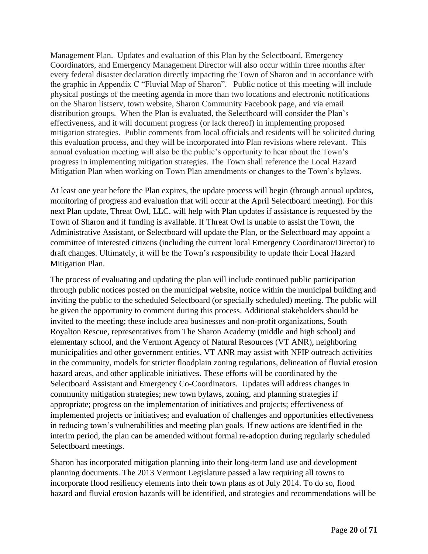Management Plan. Updates and evaluation of this Plan by the Selectboard, Emergency Coordinators, and Emergency Management Director will also occur within three months after every federal disaster declaration directly impacting the Town of Sharon and in accordance with the graphic in Appendix C "Fluvial Map of Sharon". Public notice of this meeting will include physical postings of the meeting agenda in more than two locations and electronic notifications on the Sharon listserv, town website, Sharon Community Facebook page, and via email distribution groups. When the Plan is evaluated, the Selectboard will consider the Plan's effectiveness, and it will document progress (or lack thereof) in implementing proposed mitigation strategies. Public comments from local officials and residents will be solicited during this evaluation process, and they will be incorporated into Plan revisions where relevant. This annual evaluation meeting will also be the public's opportunity to hear about the Town's progress in implementing mitigation strategies. The Town shall reference the Local Hazard Mitigation Plan when working on Town Plan amendments or changes to the Town's bylaws.

At least one year before the Plan expires, the update process will begin (through annual updates, monitoring of progress and evaluation that will occur at the April Selectboard meeting). For this next Plan update, Threat Owl, LLC. will help with Plan updates if assistance is requested by the Town of Sharon and if funding is available. If Threat Owl is unable to assist the Town, the Administrative Assistant, or Selectboard will update the Plan, or the Selectboard may appoint a committee of interested citizens (including the current local Emergency Coordinator/Director) to draft changes. Ultimately, it will be the Town's responsibility to update their Local Hazard Mitigation Plan.

The process of evaluating and updating the plan will include continued public participation through public notices posted on the municipal website, notice within the municipal building and inviting the public to the scheduled Selectboard (or specially scheduled) meeting. The public will be given the opportunity to comment during this process. Additional stakeholders should be invited to the meeting; these include area businesses and non-profit organizations, South Royalton Rescue, representatives from The Sharon Academy (middle and high school) and elementary school, and the Vermont Agency of Natural Resources (VT ANR), neighboring municipalities and other government entities. VT ANR may assist with NFIP outreach activities in the community, models for stricter floodplain zoning regulations, delineation of fluvial erosion hazard areas, and other applicable initiatives. These efforts will be coordinated by the Selectboard Assistant and Emergency Co-Coordinators. Updates will address changes in community mitigation strategies; new town bylaws, zoning, and planning strategies if appropriate; progress on the implementation of initiatives and projects; effectiveness of implemented projects or initiatives; and evaluation of challenges and opportunities effectiveness in reducing town's vulnerabilities and meeting plan goals. If new actions are identified in the interim period, the plan can be amended without formal re-adoption during regularly scheduled Selectboard meetings.

Sharon has incorporated mitigation planning into their long-term land use and development planning documents. The 2013 Vermont Legislature passed a law requiring all towns to incorporate flood resiliency elements into their town plans as of July 2014. To do so, flood hazard and fluvial erosion hazards will be identified, and strategies and recommendations will be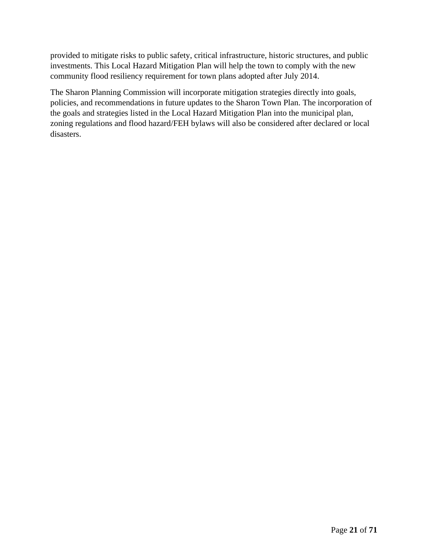provided to mitigate risks to public safety, critical infrastructure, historic structures, and public investments. This Local Hazard Mitigation Plan will help the town to comply with the new community flood resiliency requirement for town plans adopted after July 2014.

The Sharon Planning Commission will incorporate mitigation strategies directly into goals, policies, and recommendations in future updates to the Sharon Town Plan. The incorporation of the goals and strategies listed in the Local Hazard Mitigation Plan into the municipal plan, zoning regulations and flood hazard/FEH bylaws will also be considered after declared or local disasters.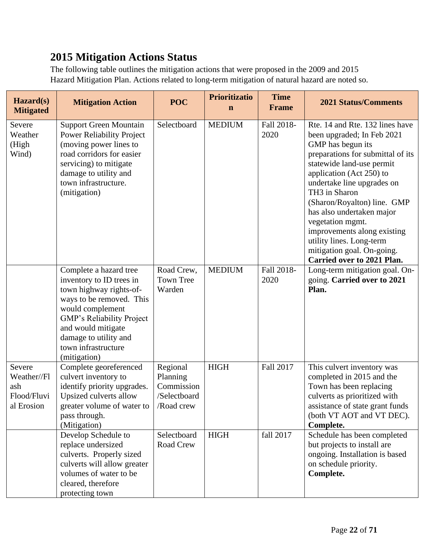# <span id="page-21-0"></span>**2015 Mitigation Actions Status**

The following table outlines the mitigation actions that were proposed in the 2009 and 2015 Hazard Mitigation Plan. Actions related to long-term mitigation of natural hazard are noted so.

| Hazard(s)<br><b>Mitigated</b>                             | <b>Mitigation Action</b>                                                                                                                                                                                                                         | <b>POC</b>                                                       | <b>Prioritizatio</b><br>$\mathbf n$ | <b>Time</b><br><b>Frame</b> | <b>2021 Status/Comments</b>                                                                                                                                                                                                                                                                                                                                                                                                            |
|-----------------------------------------------------------|--------------------------------------------------------------------------------------------------------------------------------------------------------------------------------------------------------------------------------------------------|------------------------------------------------------------------|-------------------------------------|-----------------------------|----------------------------------------------------------------------------------------------------------------------------------------------------------------------------------------------------------------------------------------------------------------------------------------------------------------------------------------------------------------------------------------------------------------------------------------|
| Severe<br>Weather<br>(High<br>Wind)                       | <b>Support Green Mountain</b><br><b>Power Reliability Project</b><br>(moving power lines to<br>road corridors for easier<br>servicing) to mitigate<br>damage to utility and<br>town infrastructure.<br>(mitigation)                              | Selectboard                                                      | <b>MEDIUM</b>                       | Fall 2018-<br>2020          | Rte. 14 and Rte. 132 lines have<br>been upgraded; In Feb 2021<br>GMP has begun its<br>preparations for submittal of its<br>statewide land-use permit<br>application (Act 250) to<br>undertake line upgrades on<br>TH3 in Sharon<br>(Sharon/Royalton) line. GMP<br>has also undertaken major<br>vegetation mgmt.<br>improvements along existing<br>utility lines. Long-term<br>mitigation goal. On-going.<br>Carried over to 2021 Plan. |
|                                                           | Complete a hazard tree<br>inventory to ID trees in<br>town highway rights-of-<br>ways to be removed. This<br>would complement<br>GMP's Reliability Project<br>and would mitigate<br>damage to utility and<br>town infrastructure<br>(mitigation) | Road Crew,<br><b>Town Tree</b><br>Warden                         | <b>MEDIUM</b>                       | Fall 2018-<br>2020          | Long-term mitigation goal. On-<br>going. Carried over to 2021<br>Plan.                                                                                                                                                                                                                                                                                                                                                                 |
| Severe<br>Weather//Fl<br>ash<br>Flood/Fluvi<br>al Erosion | Complete georeferenced<br>culvert inventory to<br>identify priority upgrades.<br>Upsized culverts allow<br>greater volume of water to<br>pass through.<br>(Mitigation)                                                                           | Regional<br>Planning<br>Commission<br>/Selectboard<br>/Road crew | <b>HIGH</b>                         | Fall 2017                   | This culvert inventory was<br>completed in 2015 and the<br>Town has been replacing<br>culverts as prioritized with<br>assistance of state grant funds<br>(both VT AOT and VT DEC).<br>Complete.                                                                                                                                                                                                                                        |
|                                                           | Develop Schedule to<br>replace undersized<br>culverts. Properly sized<br>culverts will allow greater<br>volumes of water to be<br>cleared, therefore<br>protecting town                                                                          | Selectboard<br>Road Crew                                         | <b>HIGH</b>                         | fall 2017                   | Schedule has been completed<br>but projects to install are<br>ongoing. Installation is based<br>on schedule priority.<br>Complete.                                                                                                                                                                                                                                                                                                     |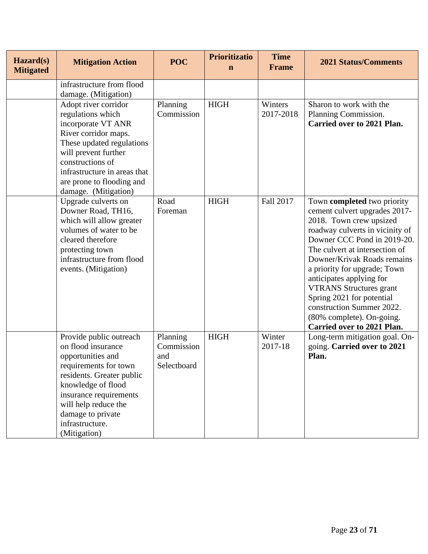| Hazard(s)<br><b>Mitigated</b> | <b>Mitigation Action</b>                                                                                                                                                                                                                                 | <b>POC</b>                                   | <b>Prioritizatio</b><br>$\mathbf n$ | <b>Time</b><br><b>Frame</b> | <b>2021 Status/Comments</b>                                                                                                                                                                                                                                                                                                                                                                                                                          |
|-------------------------------|----------------------------------------------------------------------------------------------------------------------------------------------------------------------------------------------------------------------------------------------------------|----------------------------------------------|-------------------------------------|-----------------------------|------------------------------------------------------------------------------------------------------------------------------------------------------------------------------------------------------------------------------------------------------------------------------------------------------------------------------------------------------------------------------------------------------------------------------------------------------|
|                               | infrastructure from flood<br>damage. (Mitigation)                                                                                                                                                                                                        |                                              |                                     |                             |                                                                                                                                                                                                                                                                                                                                                                                                                                                      |
|                               | Adopt river corridor<br>regulations which<br>incorporate VT ANR<br>River corridor maps.<br>These updated regulations<br>will prevent further<br>constructions of<br>infrastructure in areas that<br>are prone to flooding and<br>damage. (Mitigation)    | Planning<br>Commission                       | <b>HIGH</b>                         | Winters<br>2017-2018        | Sharon to work with the<br>Planning Commission.<br><b>Carried over to 2021 Plan.</b>                                                                                                                                                                                                                                                                                                                                                                 |
|                               | Upgrade culverts on<br>Downer Road, TH16,<br>which will allow greater<br>volumes of water to be<br>cleared therefore<br>protecting town<br>infrastructure from flood<br>events. (Mitigation)                                                             | Road<br>Foreman                              | <b>HIGH</b>                         | Fall 2017                   | Town completed two priority<br>cement culvert upgrades 2017-<br>2018. Town crew upsized<br>roadway culverts in vicinity of<br>Downer CCC Pond in 2019-20.<br>The culvert at intersection of<br>Downer/Krivak Roads remains<br>a priority for upgrade; Town<br>anticipates applying for<br><b>VTRANS Structures grant</b><br>Spring 2021 for potential<br>construction Summer 2022.<br>(80% complete). On-going.<br><b>Carried over to 2021 Plan.</b> |
|                               | Provide public outreach<br>on flood insurance<br>opportunities and<br>requirements for town<br>residents. Greater public<br>knowledge of flood<br>insurance requirements<br>will help reduce the<br>damage to private<br>infrastructure.<br>(Mitigation) | Planning<br>Commission<br>and<br>Selectboard | <b>HIGH</b>                         | Winter<br>2017-18           | Long-term mitigation goal. On-<br>going. Carried over to 2021<br>Plan.                                                                                                                                                                                                                                                                                                                                                                               |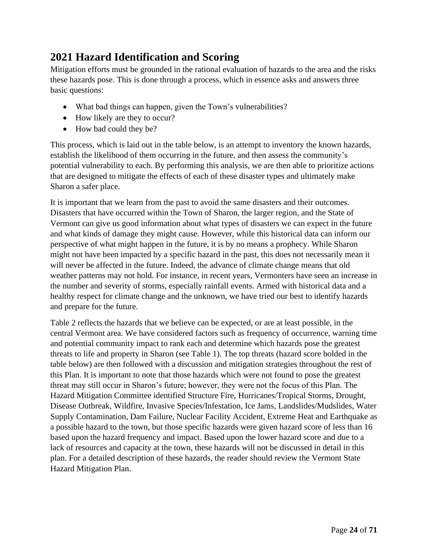# <span id="page-23-0"></span>**2021 Hazard Identification and Scoring**

Mitigation efforts must be grounded in the rational evaluation of hazards to the area and the risks these hazards pose. This is done through a process, which in essence asks and answers three basic questions:

- What bad things can happen, given the Town's vulnerabilities?
- How likely are they to occur?
- How bad could they be?

This process, which is laid out in the table below, is an attempt to inventory the known hazards, establish the likelihood of them occurring in the future, and then assess the community's potential vulnerability to each. By performing this analysis, we are then able to prioritize actions that are designed to mitigate the effects of each of these disaster types and ultimately make Sharon a safer place.

It is important that we learn from the past to avoid the same disasters and their outcomes. Disasters that have occurred within the Town of Sharon, the larger region, and the State of Vermont can give us good information about what types of disasters we can expect in the future and what kinds of damage they might cause. However, while this historical data can inform our perspective of what might happen in the future, it is by no means a prophecy. While Sharon might not have been impacted by a specific hazard in the past, this does not necessarily mean it will never be affected in the future. Indeed, the advance of climate change means that old weather patterns may not hold. For instance, in recent years, Vermonters have seen an increase in the number and severity of storms, especially rainfall events. Armed with historical data and a healthy respect for climate change and the unknown, we have tried our best to identify hazards and prepare for the future.

Table 2 reflects the hazards that we believe can be expected, or are at least possible, in the central Vermont area. We have considered factors such as frequency of occurrence, warning time and potential community impact to rank each and determine which hazards pose the greatest threats to life and property in Sharon (see Table 1). The top threats (hazard score bolded in the table below) are then followed with a discussion and mitigation strategies throughout the rest of this Plan. It is important to note that those hazards which were not found to pose the greatest threat may still occur in Sharon's future; however, they were not the focus of this Plan. The Hazard Mitigation Committee identified Structure Fire, Hurricanes/Tropical Storms, Drought, Disease Outbreak, Wildfire, Invasive Species/Infestation, Ice Jams, Landslides/Mudslides, Water Supply Contamination, Dam Failure, Nuclear Facility Accident, Extreme Heat and Earthquake as a possible hazard to the town, but those specific hazards were given hazard score of less than 16 based upon the hazard frequency and impact. Based upon the lower hazard score and due to a lack of resources and capacity at the town, these hazards will not be discussed in detail in this plan. For a detailed description of these hazards, the reader should review the Vermont State Hazard Mitigation Plan.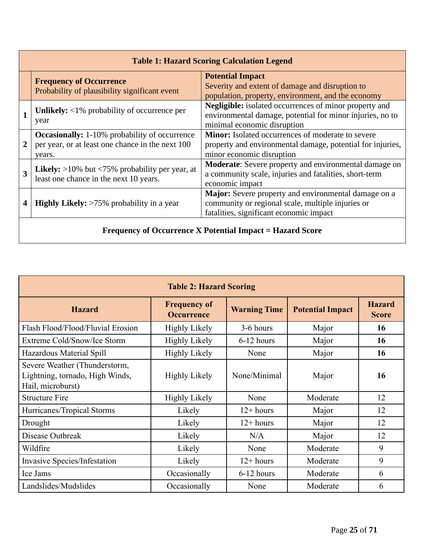|                | <b>Table 1: Hazard Scoring Calculation Legend</b>                                                                  |                                                                                                                                                           |  |  |
|----------------|--------------------------------------------------------------------------------------------------------------------|-----------------------------------------------------------------------------------------------------------------------------------------------------------|--|--|
|                | <b>Frequency of Occurrence</b><br>Probability of plausibility significant event                                    | <b>Potential Impact</b><br>Severity and extent of damage and disruption to<br>population, property, environment, and the economy                          |  |  |
|                | Unlikely: $\langle 1\%$ probability of occurrence per<br>year                                                      | <b>Negligible:</b> isolated occurrences of minor property and<br>environmental damage, potential for minor injuries, no to<br>minimal economic disruption |  |  |
| $\overline{2}$ | <b>Occasionally:</b> 1-10% probability of occurrence<br>per year, or at least one chance in the next 100<br>years. | Minor: Isolated occurrences of moderate to severe<br>property and environmental damage, potential for injuries,<br>minor economic disruption              |  |  |
| 3              | <b>Likely:</b> $>10\%$ but $<75\%$ probability per year, at<br>least one chance in the next 10 years.              | Moderate: Severe property and environmental damage on<br>a community scale, injuries and fatalities, short-term<br>economic impact                        |  |  |
| 4              | <b>Highly Likely:</b> $>75\%$ probability in a year                                                                | Major: Severe property and environmental damage on a<br>community or regional scale, multiple injuries or<br>fatalities, significant economic impact      |  |  |
|                | <b>Frequency of Occurrence X Potential Impact = Hazard Score</b>                                                   |                                                                                                                                                           |  |  |

| <b>Table 2: Hazard Scoring</b>                                                        |                                          |                     |                         |                               |  |  |
|---------------------------------------------------------------------------------------|------------------------------------------|---------------------|-------------------------|-------------------------------|--|--|
| <b>Hazard</b>                                                                         | <b>Frequency of</b><br><b>Occurrence</b> | <b>Warning Time</b> | <b>Potential Impact</b> | <b>Hazard</b><br><b>Score</b> |  |  |
| Flash Flood/Flood/Fluvial Erosion                                                     | <b>Highly Likely</b>                     | 3-6 hours           | Major                   | 16                            |  |  |
| Extreme Cold/Snow/Ice Storm                                                           | <b>Highly Likely</b>                     | 6-12 hours          | Major                   | 16                            |  |  |
| Hazardous Material Spill                                                              | <b>Highly Likely</b>                     | None                | Major                   | 16                            |  |  |
| Severe Weather (Thunderstorm,<br>Lightning, tornado, High Winds,<br>Hail, microburst) | <b>Highly Likely</b>                     | None/Minimal        | Major                   | 16                            |  |  |
| <b>Structure Fire</b>                                                                 | <b>Highly Likely</b>                     | None                | Moderate                | 12                            |  |  |
| Hurricanes/Tropical Storms                                                            | Likely                                   | $12 + hours$        | Major                   | 12                            |  |  |
| Drought                                                                               | Likely                                   | $12+ hours$         | Major                   | 12                            |  |  |
| Disease Outbreak                                                                      | Likely                                   | N/A                 | Major                   | 12                            |  |  |
| Wildfire                                                                              | Likely                                   | None                | Moderate                | 9                             |  |  |
| Invasive Species/Infestation                                                          | Likely                                   | $12+ hours$         | Moderate                | 9                             |  |  |
| Ice Jams                                                                              | Occasionally                             | 6-12 hours          | Moderate                | 6                             |  |  |
| Landslides/Mudslides                                                                  | Occasionally                             | None                | Moderate                | 6                             |  |  |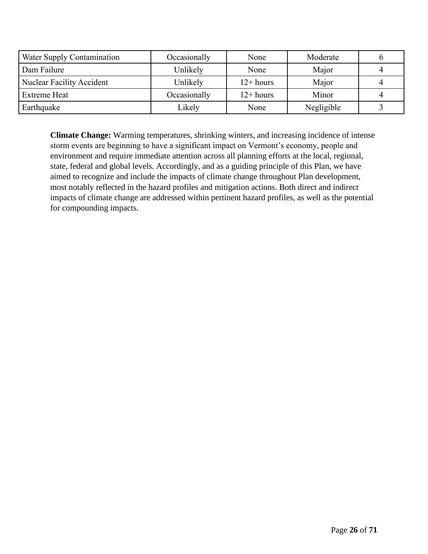| Water Supply Contamination       | Occasionally | None        | Moderate   |  |
|----------------------------------|--------------|-------------|------------|--|
| Dam Failure                      | Unlikely     | None        | Major      |  |
| <b>Nuclear Facility Accident</b> | Unlikely     | $12+ hours$ | Major      |  |
| <b>Extreme Heat</b>              | Occasionally | $12+ hours$ | Minor      |  |
| Earthquake                       | Likely       | None        | Negligible |  |

**Climate Change:** Warming temperatures, shrinking winters, and increasing incidence of intense storm events are beginning to have a significant impact on Vermont's economy, people and environment and require immediate attention across all planning efforts at the local, regional, state, federal and global levels. Accordingly, and as a guiding principle of this Plan, we have aimed to recognize and include the impacts of climate change throughout Plan development, most notably reflected in the hazard profiles and mitigation actions. Both direct and indirect impacts of climate change are addressed within pertinent hazard profiles, as well as the potential for compounding impacts.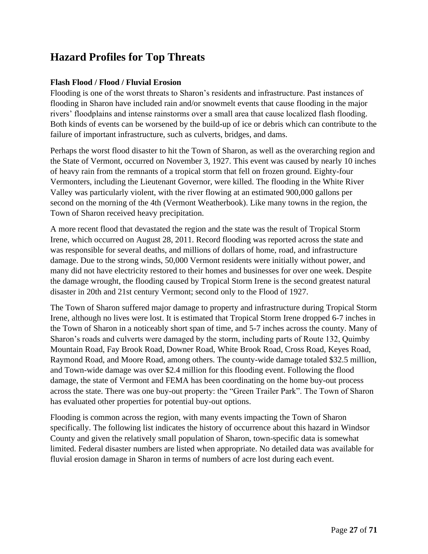## <span id="page-26-0"></span>**Hazard Profiles for Top Threats**

#### <span id="page-26-1"></span>**Flash Flood / Flood / Fluvial Erosion**

Flooding is one of the worst threats to Sharon's residents and infrastructure. Past instances of flooding in Sharon have included rain and/or snowmelt events that cause flooding in the major rivers' floodplains and intense rainstorms over a small area that cause localized flash flooding. Both kinds of events can be worsened by the build-up of ice or debris which can contribute to the failure of important infrastructure, such as culverts, bridges, and dams.

Perhaps the worst flood disaster to hit the Town of Sharon, as well as the overarching region and the State of Vermont, occurred on November 3, 1927. This event was caused by nearly 10 inches of heavy rain from the remnants of a tropical storm that fell on frozen ground. Eighty-four Vermonters, including the Lieutenant Governor, were killed. The flooding in the White River Valley was particularly violent, with the river flowing at an estimated 900,000 gallons per second on the morning of the 4th (Vermont Weatherbook). Like many towns in the region, the Town of Sharon received heavy precipitation.

A more recent flood that devastated the region and the state was the result of Tropical Storm Irene, which occurred on August 28, 2011. Record flooding was reported across the state and was responsible for several deaths, and millions of dollars of home, road, and infrastructure damage. Due to the strong winds, 50,000 Vermont residents were initially without power, and many did not have electricity restored to their homes and businesses for over one week. Despite the damage wrought, the flooding caused by Tropical Storm Irene is the second greatest natural disaster in 20th and 21st century Vermont; second only to the Flood of 1927.

The Town of Sharon suffered major damage to property and infrastructure during Tropical Storm Irene, although no lives were lost. It is estimated that Tropical Storm Irene dropped 6-7 inches in the Town of Sharon in a noticeably short span of time, and 5-7 inches across the county. Many of Sharon's roads and culverts were damaged by the storm, including parts of Route 132, Quimby Mountain Road, Fay Brook Road, Downer Road, White Brook Road, Cross Road, Keyes Road, Raymond Road, and Moore Road, among others. The county-wide damage totaled \$32.5 million, and Town-wide damage was over \$2.4 million for this flooding event. Following the flood damage, the state of Vermont and FEMA has been coordinating on the home buy-out process across the state. There was one buy-out property: the "Green Trailer Park". The Town of Sharon has evaluated other properties for potential buy-out options.

Flooding is common across the region, with many events impacting the Town of Sharon specifically. The following list indicates the history of occurrence about this hazard in Windsor County and given the relatively small population of Sharon, town-specific data is somewhat limited. Federal disaster numbers are listed when appropriate. No detailed data was available for fluvial erosion damage in Sharon in terms of numbers of acre lost during each event.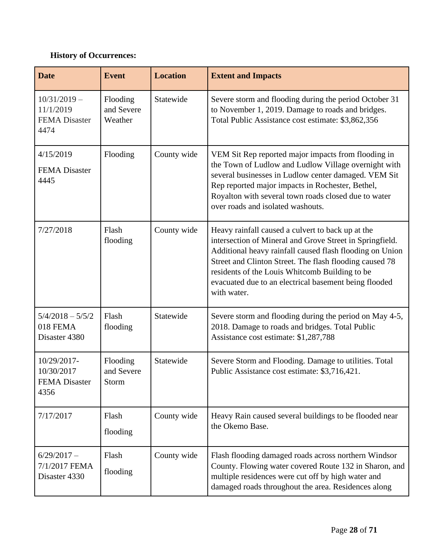### **History of Occurrences:**

| <b>Date</b>                                                 | <b>Event</b>                      | <b>Location</b> | <b>Extent and Impacts</b>                                                                                                                                                                                                                                                                                                                                      |
|-------------------------------------------------------------|-----------------------------------|-----------------|----------------------------------------------------------------------------------------------------------------------------------------------------------------------------------------------------------------------------------------------------------------------------------------------------------------------------------------------------------------|
| $10/31/2019 -$<br>11/1/2019<br><b>FEMA</b> Disaster<br>4474 | Flooding<br>and Severe<br>Weather | Statewide       | Severe storm and flooding during the period October 31<br>to November 1, 2019. Damage to roads and bridges.<br>Total Public Assistance cost estimate: \$3,862,356                                                                                                                                                                                              |
| 4/15/2019<br><b>FEMA</b> Disaster<br>4445                   | Flooding                          | County wide     | VEM Sit Rep reported major impacts from flooding in<br>the Town of Ludlow and Ludlow Village overnight with<br>several businesses in Ludlow center damaged. VEM Sit<br>Rep reported major impacts in Rochester, Bethel,<br>Royalton with several town roads closed due to water<br>over roads and isolated washouts.                                           |
| 7/27/2018                                                   | Flash<br>flooding                 | County wide     | Heavy rainfall caused a culvert to back up at the<br>intersection of Mineral and Grove Street in Springfield.<br>Additional heavy rainfall caused flash flooding on Union<br>Street and Clinton Street. The flash flooding caused 78<br>residents of the Louis Whitcomb Building to be<br>evacuated due to an electrical basement being flooded<br>with water. |
| $5/4/2018 - 5/5/2$<br>018 FEMA<br>Disaster 4380             | Flash<br>flooding                 | Statewide       | Severe storm and flooding during the period on May 4-5,<br>2018. Damage to roads and bridges. Total Public<br>Assistance cost estimate: \$1,287,788                                                                                                                                                                                                            |
| 10/29/2017-<br>10/30/2017<br><b>FEMA</b> Disaster<br>4356   | Flooding<br>and Severe<br>Storm   | Statewide       | Severe Storm and Flooding. Damage to utilities. Total<br>Public Assistance cost estimate: \$3,716,421.                                                                                                                                                                                                                                                         |
| 7/17/2017                                                   | Flash<br>flooding                 | County wide     | Heavy Rain caused several buildings to be flooded near<br>the Okemo Base.                                                                                                                                                                                                                                                                                      |
| $6/29/2017-$<br>7/1/2017 FEMA<br>Disaster 4330              | Flash<br>flooding                 | County wide     | Flash flooding damaged roads across northern Windsor<br>County. Flowing water covered Route 132 in Sharon, and<br>multiple residences were cut off by high water and<br>damaged roads throughout the area. Residences along                                                                                                                                    |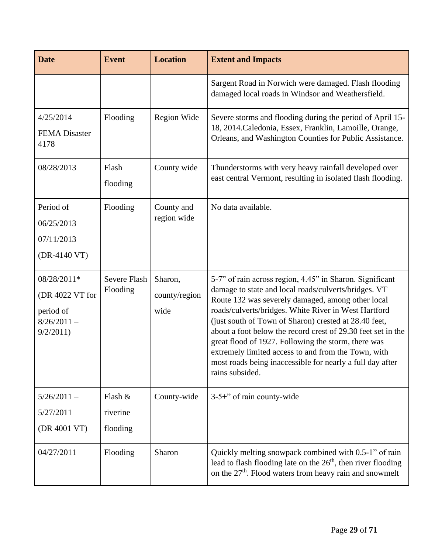| <b>Date</b>                                                              | <b>Event</b>                    | <b>Location</b>                  | <b>Extent and Impacts</b>                                                                                                                                                                                                                                                                                                                                                                                                                                                                                                                            |
|--------------------------------------------------------------------------|---------------------------------|----------------------------------|------------------------------------------------------------------------------------------------------------------------------------------------------------------------------------------------------------------------------------------------------------------------------------------------------------------------------------------------------------------------------------------------------------------------------------------------------------------------------------------------------------------------------------------------------|
|                                                                          |                                 |                                  | Sargent Road in Norwich were damaged. Flash flooding<br>damaged local roads in Windsor and Weathersfield.                                                                                                                                                                                                                                                                                                                                                                                                                                            |
| 4/25/2014<br><b>FEMA</b> Disaster<br>4178                                | Flooding                        | Region Wide                      | Severe storms and flooding during the period of April 15-<br>18, 2014. Caledonia, Essex, Franklin, Lamoille, Orange,<br>Orleans, and Washington Counties for Public Assistance.                                                                                                                                                                                                                                                                                                                                                                      |
| 08/28/2013                                                               | Flash<br>flooding               | County wide                      | Thunderstorms with very heavy rainfall developed over<br>east central Vermont, resulting in isolated flash flooding.                                                                                                                                                                                                                                                                                                                                                                                                                                 |
| Period of<br>$06/25/2013$ -<br>07/11/2013<br>(DR-4140 VT)                | Flooding                        | County and<br>region wide        | No data available.                                                                                                                                                                                                                                                                                                                                                                                                                                                                                                                                   |
| 08/28/2011*<br>(DR 4022 VT for<br>period of<br>$8/26/2011 -$<br>9/2/2011 | <b>Severe Flash</b><br>Flooding | Sharon,<br>county/region<br>wide | 5-7" of rain across region, 4.45" in Sharon. Significant<br>damage to state and local roads/culverts/bridges. VT<br>Route 132 was severely damaged, among other local<br>roads/culverts/bridges. White River in West Hartford<br>(just south of Town of Sharon) crested at 28.40 feet,<br>about a foot below the record crest of 29.30 feet set in the<br>great flood of 1927. Following the storm, there was<br>extremely limited access to and from the Town, with<br>most roads being inaccessible for nearly a full day after<br>rains subsided. |
| $5/26/2011 -$<br>5/27/2011<br>(DR 4001 VT)                               | Flash &<br>riverine<br>flooding | County-wide                      | $3-5+$ " of rain county-wide                                                                                                                                                                                                                                                                                                                                                                                                                                                                                                                         |
| 04/27/2011                                                               | Flooding                        | Sharon                           | Quickly melting snowpack combined with 0.5-1" of rain<br>lead to flash flooding late on the 26 <sup>th</sup> , then river flooding<br>on the 27 <sup>th</sup> . Flood waters from heavy rain and snowmelt                                                                                                                                                                                                                                                                                                                                            |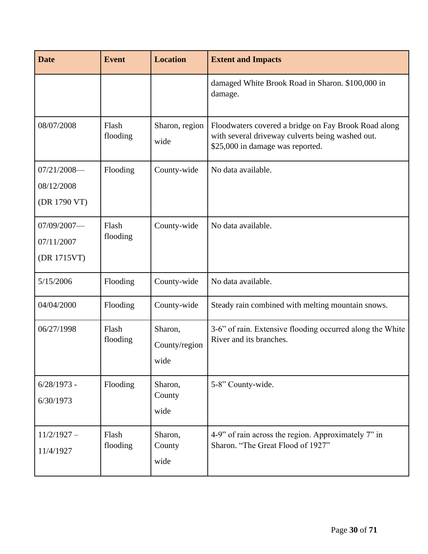| <b>Date</b>                                   | <b>Event</b>      | <b>Location</b>                  | <b>Extent and Impacts</b>                                                                                                                    |
|-----------------------------------------------|-------------------|----------------------------------|----------------------------------------------------------------------------------------------------------------------------------------------|
|                                               |                   |                                  | damaged White Brook Road in Sharon. \$100,000 in<br>damage.                                                                                  |
| 08/07/2008                                    | Flash<br>flooding | Sharon, region<br>wide           | Floodwaters covered a bridge on Fay Brook Road along<br>with several driveway culverts being washed out.<br>\$25,000 in damage was reported. |
| $07/21/2008$ --<br>08/12/2008<br>(DR 1790 VT) | Flooding          | County-wide                      | No data available.                                                                                                                           |
| $07/09/2007$ —<br>07/11/2007<br>(DR 1715VT)   | Flash<br>flooding | County-wide                      | No data available.                                                                                                                           |
| 5/15/2006                                     | Flooding          | County-wide                      | No data available.                                                                                                                           |
| 04/04/2000                                    | Flooding          | County-wide                      | Steady rain combined with melting mountain snows.                                                                                            |
| 06/27/1998                                    | Flash<br>flooding | Sharon,<br>County/region<br>wide | 3-6" of rain. Extensive flooding occurred along the White<br>River and its branches.                                                         |
| $6/28/1973$ -<br>6/30/1973                    | Flooding          | Sharon,<br>County<br>wide        | 5-8" County-wide.                                                                                                                            |
| $11/2/1927 -$<br>11/4/1927                    | Flash<br>flooding | Sharon,<br>County<br>wide        | 4-9" of rain across the region. Approximately 7" in<br>Sharon. "The Great Flood of 1927"                                                     |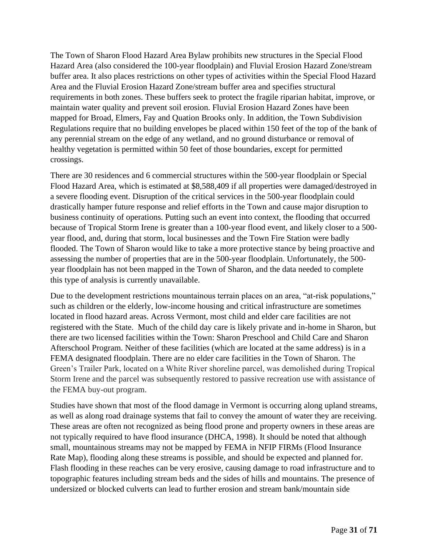The Town of Sharon Flood Hazard Area Bylaw prohibits new structures in the Special Flood Hazard Area (also considered the 100-year floodplain) and Fluvial Erosion Hazard Zone/stream buffer area. It also places restrictions on other types of activities within the Special Flood Hazard Area and the Fluvial Erosion Hazard Zone/stream buffer area and specifies structural requirements in both zones. These buffers seek to protect the fragile riparian habitat, improve, or maintain water quality and prevent soil erosion. Fluvial Erosion Hazard Zones have been mapped for Broad, Elmers, Fay and Quation Brooks only. In addition, the Town Subdivision Regulations require that no building envelopes be placed within 150 feet of the top of the bank of any perennial stream on the edge of any wetland, and no ground disturbance or removal of healthy vegetation is permitted within 50 feet of those boundaries, except for permitted crossings.

There are 30 residences and 6 commercial structures within the 500-year floodplain or Special Flood Hazard Area, which is estimated at \$8,588,409 if all properties were damaged/destroyed in a severe flooding event. Disruption of the critical services in the 500-year floodplain could drastically hamper future response and relief efforts in the Town and cause major disruption to business continuity of operations. Putting such an event into context, the flooding that occurred because of Tropical Storm Irene is greater than a 100-year flood event, and likely closer to a 500 year flood, and, during that storm, local businesses and the Town Fire Station were badly flooded. The Town of Sharon would like to take a more protective stance by being proactive and assessing the number of properties that are in the 500-year floodplain. Unfortunately, the 500 year floodplain has not been mapped in the Town of Sharon, and the data needed to complete this type of analysis is currently unavailable.

Due to the development restrictions mountainous terrain places on an area, "at-risk populations," such as children or the elderly, low-income housing and critical infrastructure are sometimes located in flood hazard areas. Across Vermont, most child and elder care facilities are not registered with the State. Much of the child day care is likely private and in-home in Sharon, but there are two licensed facilities within the Town: Sharon Preschool and Child Care and Sharon Afterschool Program. Neither of these facilities (which are located at the same address) is in a FEMA designated floodplain. There are no elder care facilities in the Town of Sharon. The Green's Trailer Park, located on a White River shoreline parcel, was demolished during Tropical Storm Irene and the parcel was subsequently restored to passive recreation use with assistance of the FEMA buy-out program.

Studies have shown that most of the flood damage in Vermont is occurring along upland streams, as well as along road drainage systems that fail to convey the amount of water they are receiving. These areas are often not recognized as being flood prone and property owners in these areas are not typically required to have flood insurance (DHCA, 1998). It should be noted that although small, mountainous streams may not be mapped by FEMA in NFIP FIRMs (Flood Insurance Rate Map), flooding along these streams is possible, and should be expected and planned for. Flash flooding in these reaches can be very erosive, causing damage to road infrastructure and to topographic features including stream beds and the sides of hills and mountains. The presence of undersized or blocked culverts can lead to further erosion and stream bank/mountain side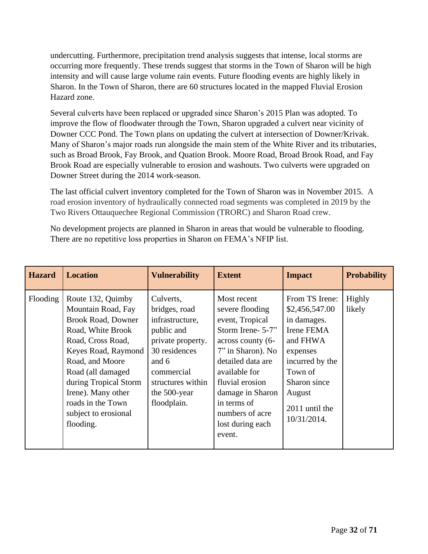undercutting. Furthermore, precipitation trend analysis suggests that intense, local storms are occurring more frequently. These trends suggest that storms in the Town of Sharon will be high intensity and will cause large volume rain events. Future flooding events are highly likely in Sharon. In the Town of Sharon, there are 60 structures located in the mapped Fluvial Erosion Hazard zone.

Several culverts have been replaced or upgraded since Sharon's 2015 Plan was adopted. To improve the flow of floodwater through the Town, Sharon upgraded a culvert near vicinity of Downer CCC Pond. The Town plans on updating the culvert at intersection of Downer/Krivak. Many of Sharon's major roads run alongside the main stem of the White River and its tributaries, such as Broad Brook, Fay Brook, and Quation Brook. Moore Road, Broad Brook Road, and Fay Brook Road are especially vulnerable to erosion and washouts. Two culverts were upgraded on Downer Street during the 2014 work-season.

The last official culvert inventory completed for the Town of Sharon was in November 2015. A road erosion inventory of hydraulically connected road segments was completed in 2019 by the Two Rivers Ottauquechee Regional Commission (TRORC) and Sharon Road crew.

No development projects are planned in Sharon in areas that would be vulnerable to flooding. There are no repetitive loss properties in Sharon on FEMA's NFIP list.

| <b>Hazard</b> | <b>Location</b>                                                                                                                                                                                                                                                                        | <b>Vulnerability</b>                                                                                                                                                         | <b>Extent</b>                                                                                                                                                                                                                                                 | <b>Impact</b>                                                                                                                                                                  | <b>Probability</b> |
|---------------|----------------------------------------------------------------------------------------------------------------------------------------------------------------------------------------------------------------------------------------------------------------------------------------|------------------------------------------------------------------------------------------------------------------------------------------------------------------------------|---------------------------------------------------------------------------------------------------------------------------------------------------------------------------------------------------------------------------------------------------------------|--------------------------------------------------------------------------------------------------------------------------------------------------------------------------------|--------------------|
| Flooding      | Route 132, Quimby<br>Mountain Road, Fay<br><b>Brook Road, Downer</b><br>Road, White Brook<br>Road, Cross Road,<br>Keyes Road, Raymond<br>Road, and Moore<br>Road (all damaged<br>during Tropical Storm<br>Irene). Many other<br>roads in the Town<br>subject to erosional<br>flooding. | Culverts,<br>bridges, road<br>infrastructure,<br>public and<br>private property.<br>30 residences<br>and 6<br>commercial<br>structures within<br>the 500-year<br>floodplain. | Most recent<br>severe flooding<br>event, Tropical<br>Storm Irene- 5-7"<br>across county (6-<br>7" in Sharon). No<br>detailed data are<br>available for<br>fluvial erosion<br>damage in Sharon<br>in terms of<br>numbers of acre<br>lost during each<br>event. | From TS Irene:<br>\$2,456,547.00<br>in damages.<br>Irene FEMA<br>and FHWA<br>expenses<br>incurred by the<br>Town of<br>Sharon since<br>August<br>2011 until the<br>10/31/2014. | Highly<br>likely   |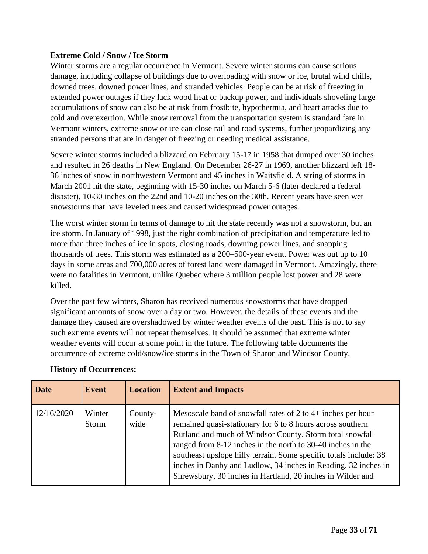#### <span id="page-32-0"></span>**Extreme Cold / Snow / Ice Storm**

Winter storms are a regular occurrence in Vermont. Severe winter storms can cause serious damage, including collapse of buildings due to overloading with snow or ice, brutal wind chills, downed trees, downed power lines, and stranded vehicles. People can be at risk of freezing in extended power outages if they lack wood heat or backup power, and individuals shoveling large accumulations of snow can also be at risk from frostbite, hypothermia, and heart attacks due to cold and overexertion. While snow removal from the transportation system is standard fare in Vermont winters, extreme snow or ice can close rail and road systems, further jeopardizing any stranded persons that are in danger of freezing or needing medical assistance.

Severe winter storms included a blizzard on February 15-17 in 1958 that dumped over 30 inches and resulted in 26 deaths in New England. On December 26-27 in 1969, another blizzard left 18- 36 inches of snow in northwestern Vermont and 45 inches in Waitsfield. A string of storms in March 2001 hit the state, beginning with 15-30 inches on March 5-6 (later declared a federal disaster), 10-30 inches on the 22nd and 10-20 inches on the 30th. Recent years have seen wet snowstorms that have leveled trees and caused widespread power outages.

The worst winter storm in terms of damage to hit the state recently was not a snowstorm, but an ice storm. In January of 1998, just the right combination of precipitation and temperature led to more than three inches of ice in spots, closing roads, downing power lines, and snapping thousands of trees. This storm was estimated as a 200–500-year event. Power was out up to 10 days in some areas and 700,000 acres of forest land were damaged in Vermont. Amazingly, there were no fatalities in Vermont, unlike Quebec where 3 million people lost power and 28 were killed.

Over the past few winters, Sharon has received numerous snowstorms that have dropped significant amounts of snow over a day or two. However, the details of these events and the damage they caused are overshadowed by winter weather events of the past. This is not to say such extreme events will not repeat themselves. It should be assumed that extreme winter weather events will occur at some point in the future. The following table documents the occurrence of extreme cold/snow/ice storms in the Town of Sharon and Windsor County.

| <b>Date</b> | Event           | <b>Location</b> | <b>Extent and Impacts</b>                                                                                                                                                                                                                                                                                                                                                                                                                                   |
|-------------|-----------------|-----------------|-------------------------------------------------------------------------------------------------------------------------------------------------------------------------------------------------------------------------------------------------------------------------------------------------------------------------------------------------------------------------------------------------------------------------------------------------------------|
| 12/16/2020  | Winter<br>Storm | County-<br>wide | Mesoscale band of snowfall rates of 2 to $4+$ inches per hour<br>remained quasi-stationary for 6 to 8 hours across southern<br>Rutland and much of Windsor County. Storm total snowfall<br>ranged from 8-12 inches in the north to 30-40 inches in the<br>southeast upslope hilly terrain. Some specific totals include: 38<br>inches in Danby and Ludlow, 34 inches in Reading, 32 inches in<br>Shrewsbury, 30 inches in Hartland, 20 inches in Wilder and |

#### **History of Occurrences:**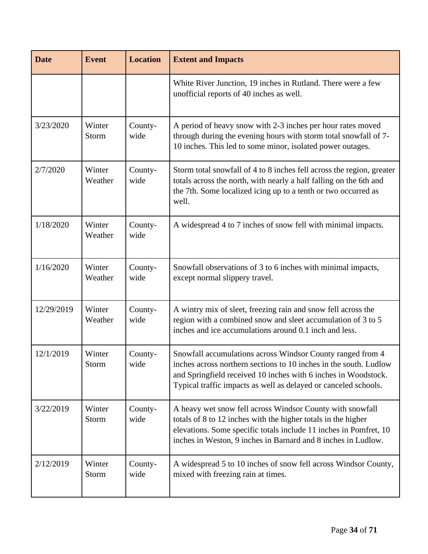| <b>Date</b> | <b>Event</b>           | <b>Location</b> | <b>Extent and Impacts</b>                                                                                                                                                                                                                                            |
|-------------|------------------------|-----------------|----------------------------------------------------------------------------------------------------------------------------------------------------------------------------------------------------------------------------------------------------------------------|
|             |                        |                 | White River Junction, 19 inches in Rutland. There were a few<br>unofficial reports of 40 inches as well.                                                                                                                                                             |
| 3/23/2020   | Winter<br><b>Storm</b> | County-<br>wide | A period of heavy snow with 2-3 inches per hour rates moved<br>through during the evening hours with storm total snowfall of 7-<br>10 inches. This led to some minor, isolated power outages.                                                                        |
| 2/7/2020    | Winter<br>Weather      | County-<br>wide | Storm total snowfall of 4 to 8 inches fell across the region, greater<br>totals across the north, with nearly a half falling on the 6th and<br>the 7th. Some localized icing up to a tenth or two occurred as<br>well.                                               |
| 1/18/2020   | Winter<br>Weather      | County-<br>wide | A widespread 4 to 7 inches of snow fell with minimal impacts.                                                                                                                                                                                                        |
| 1/16/2020   | Winter<br>Weather      | County-<br>wide | Snowfall observations of 3 to 6 inches with minimal impacts,<br>except normal slippery travel.                                                                                                                                                                       |
| 12/29/2019  | Winter<br>Weather      | County-<br>wide | A wintry mix of sleet, freezing rain and snow fell across the<br>region with a combined snow and sleet accumulation of 3 to 5<br>inches and ice accumulations around 0.1 inch and less.                                                                              |
| 12/1/2019   | Winter<br>Storm        | County-<br>wide | Snowfall accumulations across Windsor County ranged from 4<br>inches across northern sections to 10 inches in the south. Ludlow<br>and Springfield received 10 inches with 6 inches in Woodstock.<br>Typical traffic impacts as well as delayed or canceled schools. |
| 3/22/2019   | Winter<br>Storm        | County-<br>wide | A heavy wet snow fell across Windsor County with snowfall<br>totals of 8 to 12 inches with the higher totals in the higher<br>elevations. Some specific totals include 11 inches in Pomfret, 10<br>inches in Weston, 9 inches in Barnard and 8 inches in Ludlow.     |
| 2/12/2019   | Winter<br><b>Storm</b> | County-<br>wide | A widespread 5 to 10 inches of snow fell across Windsor County,<br>mixed with freezing rain at times.                                                                                                                                                                |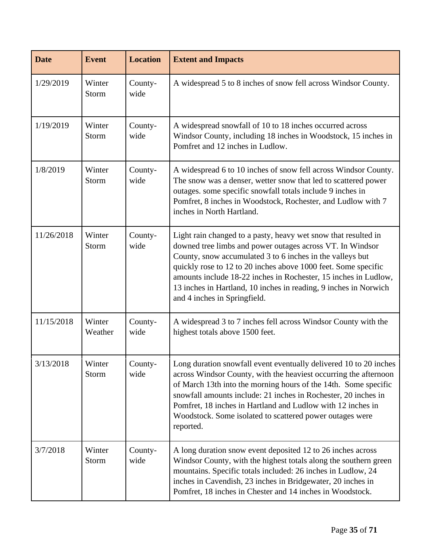| <b>Date</b> | <b>Event</b>      | <b>Location</b> | <b>Extent and Impacts</b>                                                                                                                                                                                                                                                                                                                                                                                                         |
|-------------|-------------------|-----------------|-----------------------------------------------------------------------------------------------------------------------------------------------------------------------------------------------------------------------------------------------------------------------------------------------------------------------------------------------------------------------------------------------------------------------------------|
| 1/29/2019   | Winter<br>Storm   | County-<br>wide | A widespread 5 to 8 inches of snow fell across Windsor County.                                                                                                                                                                                                                                                                                                                                                                    |
| 1/19/2019   | Winter<br>Storm   | County-<br>wide | A widespread snowfall of 10 to 18 inches occurred across<br>Windsor County, including 18 inches in Woodstock, 15 inches in<br>Pomfret and 12 inches in Ludlow.                                                                                                                                                                                                                                                                    |
| 1/8/2019    | Winter<br>Storm   | County-<br>wide | A widespread 6 to 10 inches of snow fell across Windsor County.<br>The snow was a denser, wetter snow that led to scattered power<br>outages. some specific snowfall totals include 9 inches in<br>Pomfret, 8 inches in Woodstock, Rochester, and Ludlow with 7<br>inches in North Hartland.                                                                                                                                      |
| 11/26/2018  | Winter<br>Storm   | County-<br>wide | Light rain changed to a pasty, heavy wet snow that resulted in<br>downed tree limbs and power outages across VT. In Windsor<br>County, snow accumulated 3 to 6 inches in the valleys but<br>quickly rose to 12 to 20 inches above 1000 feet. Some specific<br>amounts include 18-22 inches in Rochester, 15 inches in Ludlow,<br>13 inches in Hartland, 10 inches in reading, 9 inches in Norwich<br>and 4 inches in Springfield. |
| 11/15/2018  | Winter<br>Weather | County-<br>wide | A widespread 3 to 7 inches fell across Windsor County with the<br>highest totals above 1500 feet.                                                                                                                                                                                                                                                                                                                                 |
| 3/13/2018   | Winter<br>Storm   | County-<br>wide | Long duration snowfall event eventually delivered 10 to 20 inches<br>across Windsor County, with the heaviest occurring the afternoon<br>of March 13th into the morning hours of the 14th. Some specific<br>snowfall amounts include: 21 inches in Rochester, 20 inches in<br>Pomfret, 18 inches in Hartland and Ludlow with 12 inches in<br>Woodstock. Some isolated to scattered power outages were<br>reported.                |
| 3/7/2018    | Winter<br>Storm   | County-<br>wide | A long duration snow event deposited 12 to 26 inches across<br>Windsor County, with the highest totals along the southern green<br>mountains. Specific totals included: 26 inches in Ludlow, 24<br>inches in Cavendish, 23 inches in Bridgewater, 20 inches in<br>Pomfret, 18 inches in Chester and 14 inches in Woodstock.                                                                                                       |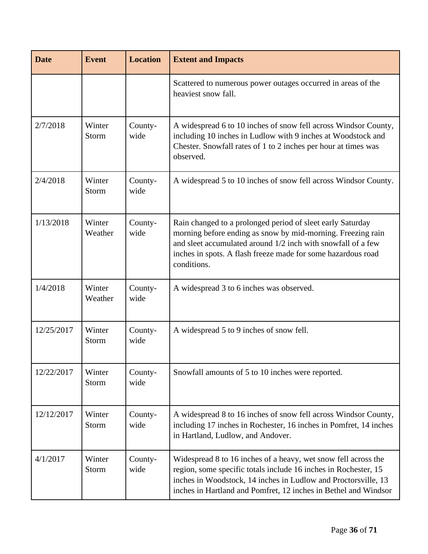| <b>Date</b> | <b>Event</b>      | <b>Location</b> | <b>Extent and Impacts</b>                                                                                                                                                                                                                                                |
|-------------|-------------------|-----------------|--------------------------------------------------------------------------------------------------------------------------------------------------------------------------------------------------------------------------------------------------------------------------|
|             |                   |                 | Scattered to numerous power outages occurred in areas of the<br>heaviest snow fall.                                                                                                                                                                                      |
| 2/7/2018    | Winter<br>Storm   | County-<br>wide | A widespread 6 to 10 inches of snow fell across Windsor County,<br>including 10 inches in Ludlow with 9 inches at Woodstock and<br>Chester. Snowfall rates of 1 to 2 inches per hour at times was<br>observed.                                                           |
| 2/4/2018    | Winter<br>Storm   | County-<br>wide | A widespread 5 to 10 inches of snow fell across Windsor County.                                                                                                                                                                                                          |
| 1/13/2018   | Winter<br>Weather | County-<br>wide | Rain changed to a prolonged period of sleet early Saturday<br>morning before ending as snow by mid-morning. Freezing rain<br>and sleet accumulated around 1/2 inch with snowfall of a few<br>inches in spots. A flash freeze made for some hazardous road<br>conditions. |
| 1/4/2018    | Winter<br>Weather | County-<br>wide | A widespread 3 to 6 inches was observed.                                                                                                                                                                                                                                 |
| 12/25/2017  | Winter<br>Storm   | County-<br>wide | A widespread 5 to 9 inches of snow fell.                                                                                                                                                                                                                                 |
| 12/22/2017  | Winter<br>Storm   | County-<br>wide | Snowfall amounts of 5 to 10 inches were reported.                                                                                                                                                                                                                        |
| 12/12/2017  | Winter<br>Storm   | County-<br>wide | A widespread 8 to 16 inches of snow fell across Windsor County,<br>including 17 inches in Rochester, 16 inches in Pomfret, 14 inches<br>in Hartland, Ludlow, and Andover.                                                                                                |
| 4/1/2017    | Winter<br>Storm   | County-<br>wide | Widespread 8 to 16 inches of a heavy, wet snow fell across the<br>region, some specific totals include 16 inches in Rochester, 15<br>inches in Woodstock, 14 inches in Ludlow and Proctorsville, 13<br>inches in Hartland and Pomfret, 12 inches in Bethel and Windsor   |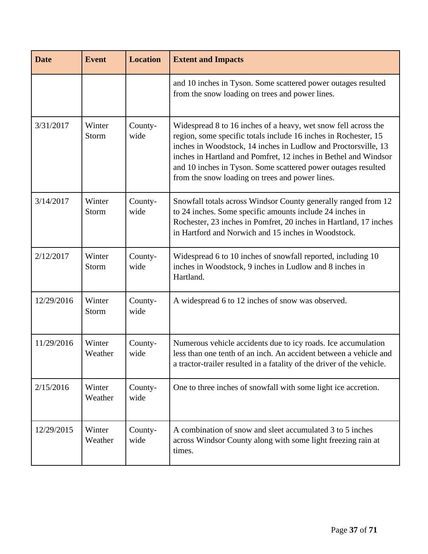| <b>Date</b> | <b>Event</b>      | <b>Location</b> | <b>Extent and Impacts</b>                                                                                                                                                                                                                                                                                                                                                                  |
|-------------|-------------------|-----------------|--------------------------------------------------------------------------------------------------------------------------------------------------------------------------------------------------------------------------------------------------------------------------------------------------------------------------------------------------------------------------------------------|
|             |                   |                 | and 10 inches in Tyson. Some scattered power outages resulted<br>from the snow loading on trees and power lines.                                                                                                                                                                                                                                                                           |
| 3/31/2017   | Winter<br>Storm   | County-<br>wide | Widespread 8 to 16 inches of a heavy, wet snow fell across the<br>region, some specific totals include 16 inches in Rochester, 15<br>inches in Woodstock, 14 inches in Ludlow and Proctorsville, 13<br>inches in Hartland and Pomfret, 12 inches in Bethel and Windsor<br>and 10 inches in Tyson. Some scattered power outages resulted<br>from the snow loading on trees and power lines. |
| 3/14/2017   | Winter<br>Storm   | County-<br>wide | Snowfall totals across Windsor County generally ranged from 12<br>to 24 inches. Some specific amounts include 24 inches in<br>Rochester, 23 inches in Pomfret, 20 inches in Hartland, 17 inches<br>in Hartford and Norwich and 15 inches in Woodstock.                                                                                                                                     |
| 2/12/2017   | Winter<br>Storm   | County-<br>wide | Widespread 6 to 10 inches of snowfall reported, including 10<br>inches in Woodstock, 9 inches in Ludlow and 8 inches in<br>Hartland.                                                                                                                                                                                                                                                       |
| 12/29/2016  | Winter<br>Storm   | County-<br>wide | A widespread 6 to 12 inches of snow was observed.                                                                                                                                                                                                                                                                                                                                          |
| 11/29/2016  | Winter<br>Weather | County-<br>wide | Numerous vehicle accidents due to icy roads. Ice accumulation<br>less than one tenth of an inch. An accident between a vehicle and<br>a tractor-trailer resulted in a fatality of the driver of the vehicle.                                                                                                                                                                               |
| 2/15/2016   | Winter<br>Weather | County-<br>wide | One to three inches of snowfall with some light ice accretion.                                                                                                                                                                                                                                                                                                                             |
| 12/29/2015  | Winter<br>Weather | County-<br>wide | A combination of snow and sleet accumulated 3 to 5 inches<br>across Windsor County along with some light freezing rain at<br>times.                                                                                                                                                                                                                                                        |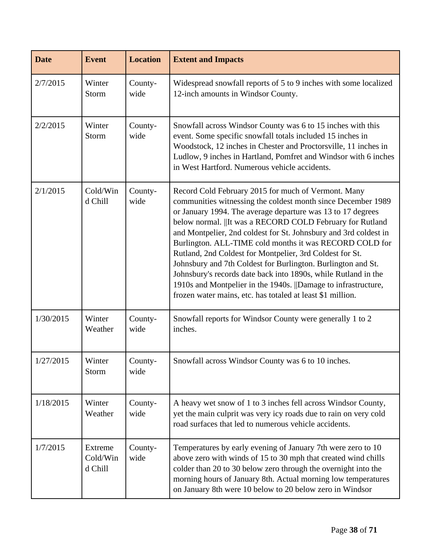| <b>Date</b> | <b>Event</b>                          | <b>Location</b> | <b>Extent and Impacts</b>                                                                                                                                                                                                                                                                                                                                                                                                                                                                                                                                                                                                                                                                                    |
|-------------|---------------------------------------|-----------------|--------------------------------------------------------------------------------------------------------------------------------------------------------------------------------------------------------------------------------------------------------------------------------------------------------------------------------------------------------------------------------------------------------------------------------------------------------------------------------------------------------------------------------------------------------------------------------------------------------------------------------------------------------------------------------------------------------------|
| 2/7/2015    | Winter<br>Storm                       | County-<br>wide | Widespread snowfall reports of 5 to 9 inches with some localized<br>12-inch amounts in Windsor County.                                                                                                                                                                                                                                                                                                                                                                                                                                                                                                                                                                                                       |
| 2/2/2015    | Winter<br>Storm                       | County-<br>wide | Snowfall across Windsor County was 6 to 15 inches with this<br>event. Some specific snowfall totals included 15 inches in<br>Woodstock, 12 inches in Chester and Proctorsville, 11 inches in<br>Ludlow, 9 inches in Hartland, Pomfret and Windsor with 6 inches<br>in West Hartford. Numerous vehicle accidents.                                                                                                                                                                                                                                                                                                                                                                                             |
| 2/1/2015    | Cold/Win<br>d Chill                   | County-<br>wide | Record Cold February 2015 for much of Vermont. Many<br>communities witnessing the coldest month since December 1989<br>or January 1994. The average departure was 13 to 17 degrees<br>below normal.   It was a RECORD COLD February for Rutland<br>and Montpelier, 2nd coldest for St. Johnsbury and 3rd coldest in<br>Burlington. ALL-TIME cold months it was RECORD COLD for<br>Rutland, 2nd Coldest for Montpelier, 3rd Coldest for St.<br>Johnsbury and 7th Coldest for Burlington. Burlington and St.<br>Johnsbury's records date back into 1890s, while Rutland in the<br>1910s and Montpelier in the 1940s.   Damage to infrastructure,<br>frozen water mains, etc. has totaled at least \$1 million. |
| 1/30/2015   | Winter<br>Weather                     | County-<br>wide | Snowfall reports for Windsor County were generally 1 to 2<br>inches.                                                                                                                                                                                                                                                                                                                                                                                                                                                                                                                                                                                                                                         |
| 1/27/2015   | Winter<br>Storm                       | County-<br>wide | Snowfall across Windsor County was 6 to 10 inches.                                                                                                                                                                                                                                                                                                                                                                                                                                                                                                                                                                                                                                                           |
| 1/18/2015   | Winter<br>Weather                     | County-<br>wide | A heavy wet snow of 1 to 3 inches fell across Windsor County,<br>yet the main culprit was very icy roads due to rain on very cold<br>road surfaces that led to numerous vehicle accidents.                                                                                                                                                                                                                                                                                                                                                                                                                                                                                                                   |
| 1/7/2015    | <b>Extreme</b><br>Cold/Win<br>d Chill | County-<br>wide | Temperatures by early evening of January 7th were zero to 10<br>above zero with winds of 15 to 30 mph that created wind chills<br>colder than 20 to 30 below zero through the overnight into the<br>morning hours of January 8th. Actual morning low temperatures<br>on January 8th were 10 below to 20 below zero in Windsor                                                                                                                                                                                                                                                                                                                                                                                |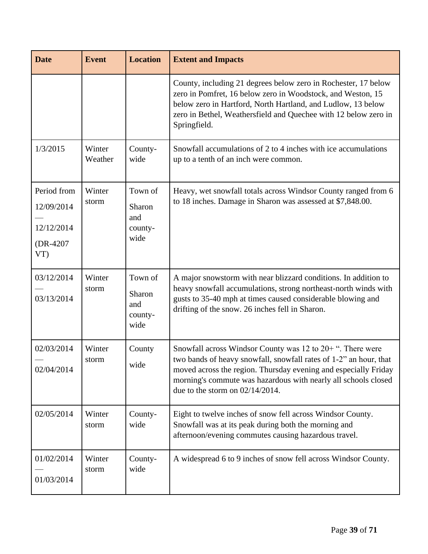| <b>Date</b>                                               | <b>Event</b>      | <b>Location</b>                             | <b>Extent and Impacts</b>                                                                                                                                                                                                                                                                                      |
|-----------------------------------------------------------|-------------------|---------------------------------------------|----------------------------------------------------------------------------------------------------------------------------------------------------------------------------------------------------------------------------------------------------------------------------------------------------------------|
|                                                           |                   |                                             | County, including 21 degrees below zero in Rochester, 17 below<br>zero in Pomfret, 16 below zero in Woodstock, and Weston, 15<br>below zero in Hartford, North Hartland, and Ludlow, 13 below<br>zero in Bethel, Weathersfield and Quechee with 12 below zero in<br>Springfield.                               |
| 1/3/2015                                                  | Winter<br>Weather | County-<br>wide                             | Snowfall accumulations of 2 to 4 inches with ice accumulations<br>up to a tenth of an inch were common.                                                                                                                                                                                                        |
| Period from<br>12/09/2014<br>12/12/2014<br>(DR-4207<br>VT | Winter<br>storm   | Town of<br>Sharon<br>and<br>county-<br>wide | Heavy, wet snowfall totals across Windsor County ranged from 6<br>to 18 inches. Damage in Sharon was assessed at \$7,848.00.                                                                                                                                                                                   |
| 03/12/2014<br>03/13/2014                                  | Winter<br>storm   | Town of<br>Sharon<br>and<br>county-<br>wide | A major snowstorm with near blizzard conditions. In addition to<br>heavy snowfall accumulations, strong northeast-north winds with<br>gusts to 35-40 mph at times caused considerable blowing and<br>drifting of the snow. 26 inches fell in Sharon.                                                           |
| 02/03/2014<br>02/04/2014                                  | Winter<br>storm   | County<br>wide                              | Snowfall across Windsor County was $12$ to $20+$ ". There were<br>two bands of heavy snowfall, snowfall rates of 1-2" an hour, that<br>moved across the region. Thursday evening and especially Friday<br>morning's commute was hazardous with nearly all schools closed<br>due to the storm on $02/14/2014$ . |
| 02/05/2014                                                | Winter<br>storm   | County-<br>wide                             | Eight to twelve inches of snow fell across Windsor County.<br>Snowfall was at its peak during both the morning and<br>afternoon/evening commutes causing hazardous travel.                                                                                                                                     |
| 01/02/2014<br>01/03/2014                                  | Winter<br>storm   | County-<br>wide                             | A widespread 6 to 9 inches of snow fell across Windsor County.                                                                                                                                                                                                                                                 |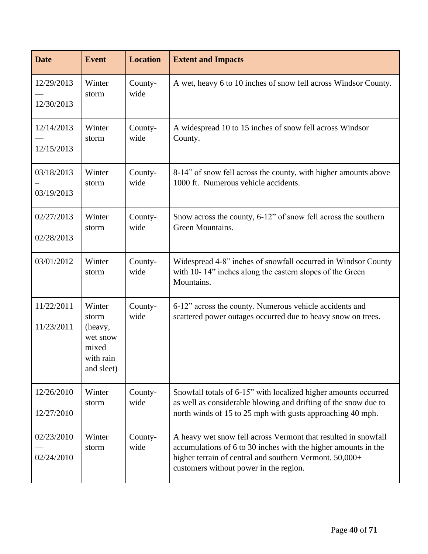| <b>Date</b>              | <b>Event</b>                                                               | <b>Location</b> | <b>Extent and Impacts</b>                                                                                                                                                                                                             |
|--------------------------|----------------------------------------------------------------------------|-----------------|---------------------------------------------------------------------------------------------------------------------------------------------------------------------------------------------------------------------------------------|
| 12/29/2013<br>12/30/2013 | Winter<br>storm                                                            | County-<br>wide | A wet, heavy 6 to 10 inches of snow fell across Windsor County.                                                                                                                                                                       |
| 12/14/2013<br>12/15/2013 | Winter<br>storm                                                            | County-<br>wide | A widespread 10 to 15 inches of snow fell across Windsor<br>County.                                                                                                                                                                   |
| 03/18/2013<br>03/19/2013 | Winter<br>storm                                                            | County-<br>wide | 8-14" of snow fell across the county, with higher amounts above<br>1000 ft. Numerous vehicle accidents.                                                                                                                               |
| 02/27/2013<br>02/28/2013 | Winter<br>storm                                                            | County-<br>wide | Snow across the county, 6-12" of snow fell across the southern<br>Green Mountains.                                                                                                                                                    |
| 03/01/2012               | Winter<br>storm                                                            | County-<br>wide | Widespread 4-8" inches of snowfall occurred in Windsor County<br>with 10-14" inches along the eastern slopes of the Green<br>Mountains.                                                                                               |
| 11/22/2011<br>11/23/2011 | Winter<br>storm<br>(heavy,<br>wet snow<br>mixed<br>with rain<br>and sleet) | County-<br>wide | 6-12" across the county. Numerous vehicle accidents and<br>scattered power outages occurred due to heavy snow on trees.                                                                                                               |
| 12/26/2010<br>12/27/2010 | Winter<br>storm                                                            | County-<br>wide | Snowfall totals of 6-15" with localized higher amounts occurred<br>as well as considerable blowing and drifting of the snow due to<br>north winds of 15 to 25 mph with gusts approaching 40 mph.                                      |
| 02/23/2010<br>02/24/2010 | Winter<br>storm                                                            | County-<br>wide | A heavy wet snow fell across Vermont that resulted in snowfall<br>accumulations of 6 to 30 inches with the higher amounts in the<br>higher terrain of central and southern Vermont. 50,000+<br>customers without power in the region. |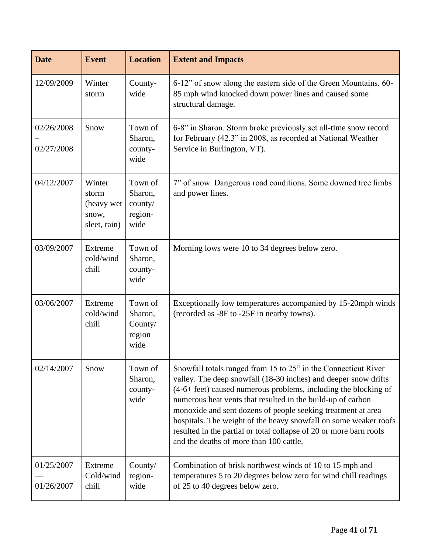| <b>Date</b>              | <b>Event</b>                                           | <b>Location</b>                                  | <b>Extent and Impacts</b>                                                                                                                                                                                                                                                                                                                                                                                                                                                                                                |  |
|--------------------------|--------------------------------------------------------|--------------------------------------------------|--------------------------------------------------------------------------------------------------------------------------------------------------------------------------------------------------------------------------------------------------------------------------------------------------------------------------------------------------------------------------------------------------------------------------------------------------------------------------------------------------------------------------|--|
| 12/09/2009               | Winter<br>storm                                        | County-<br>wide                                  | 6-12" of snow along the eastern side of the Green Mountains. 60-<br>85 mph wind knocked down power lines and caused some<br>structural damage.                                                                                                                                                                                                                                                                                                                                                                           |  |
| 02/26/2008<br>02/27/2008 | Snow                                                   | Town of<br>Sharon,<br>county-<br>wide            | 6-8" in Sharon. Storm broke previously set all-time snow record<br>for February (42.3" in 2008, as recorded at National Weather<br>Service in Burlington, VT).                                                                                                                                                                                                                                                                                                                                                           |  |
| 04/12/2007               | Winter<br>storm<br>(heavy wet<br>snow,<br>sleet, rain) | Town of<br>Sharon,<br>county/<br>region-<br>wide | 7" of snow. Dangerous road conditions. Some downed tree limbs<br>and power lines.                                                                                                                                                                                                                                                                                                                                                                                                                                        |  |
| 03/09/2007               | Extreme<br>cold/wind<br>chill                          | Town of<br>Sharon,<br>county-<br>wide            | Morning lows were 10 to 34 degrees below zero.                                                                                                                                                                                                                                                                                                                                                                                                                                                                           |  |
| 03/06/2007               | Extreme<br>cold/wind<br>chill                          | Town of<br>Sharon,<br>County/<br>region<br>wide  | Exceptionally low temperatures accompanied by 15-20mph winds<br>(recorded as -8F to -25F in nearby towns).                                                                                                                                                                                                                                                                                                                                                                                                               |  |
| 02/14/2007               | Snow                                                   | Town of<br>Sharon,<br>county-<br>wide            | Snowfall totals ranged from 15 to 25" in the Connecticut River<br>valley. The deep snowfall (18-30 inches) and deeper snow drifts<br>(4-6+ feet) caused numerous problems, including the blocking of<br>numerous heat vents that resulted in the build-up of carbon<br>monoxide and sent dozens of people seeking treatment at area<br>hospitals. The weight of the heavy snowfall on some weaker roofs<br>resulted in the partial or total collapse of 20 or more barn roofs<br>and the deaths of more than 100 cattle. |  |
| 01/25/2007<br>01/26/2007 | Extreme<br>Cold/wind<br>chill                          | County/<br>region-<br>wide                       | Combination of brisk northwest winds of 10 to 15 mph and<br>temperatures 5 to 20 degrees below zero for wind chill readings<br>of 25 to 40 degrees below zero.                                                                                                                                                                                                                                                                                                                                                           |  |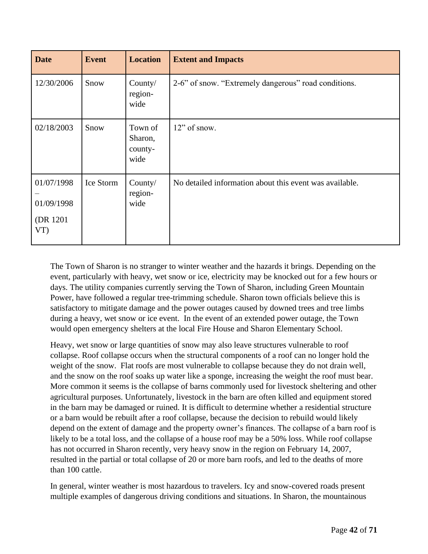| <b>Date</b>                                  | <b>Event</b> | <b>Location</b>                       | <b>Extent and Impacts</b>                               |
|----------------------------------------------|--------------|---------------------------------------|---------------------------------------------------------|
| 12/30/2006                                   | Snow         | County/<br>region-<br>wide            | 2-6" of snow. "Extremely dangerous" road conditions.    |
| 02/18/2003                                   | Snow         | Town of<br>Sharon,<br>county-<br>wide | $12$ " of snow.                                         |
| 01/07/1998<br>01/09/1998<br>(DR 1201)<br>VT) | Ice Storm    | County/<br>region-<br>wide            | No detailed information about this event was available. |

The Town of Sharon is no stranger to winter weather and the hazards it brings. Depending on the event, particularly with heavy, wet snow or ice, electricity may be knocked out for a few hours or days. The utility companies currently serving the Town of Sharon, including Green Mountain Power, have followed a regular tree-trimming schedule. Sharon town officials believe this is satisfactory to mitigate damage and the power outages caused by downed trees and tree limbs during a heavy, wet snow or ice event. In the event of an extended power outage, the Town would open emergency shelters at the local Fire House and Sharon Elementary School.

Heavy, wet snow or large quantities of snow may also leave structures vulnerable to roof collapse. Roof collapse occurs when the structural components of a roof can no longer hold the weight of the snow. Flat roofs are most vulnerable to collapse because they do not drain well, and the snow on the roof soaks up water like a sponge, increasing the weight the roof must bear. More common it seems is the collapse of barns commonly used for livestock sheltering and other agricultural purposes. Unfortunately, livestock in the barn are often killed and equipment stored in the barn may be damaged or ruined. It is difficult to determine whether a residential structure or a barn would be rebuilt after a roof collapse, because the decision to rebuild would likely depend on the extent of damage and the property owner's finances. The collapse of a barn roof is likely to be a total loss, and the collapse of a house roof may be a 50% loss. While roof collapse has not occurred in Sharon recently, very heavy snow in the region on February 14, 2007, resulted in the partial or total collapse of 20 or more barn roofs, and led to the deaths of more than 100 cattle.

In general, winter weather is most hazardous to travelers. Icy and snow-covered roads present multiple examples of dangerous driving conditions and situations. In Sharon, the mountainous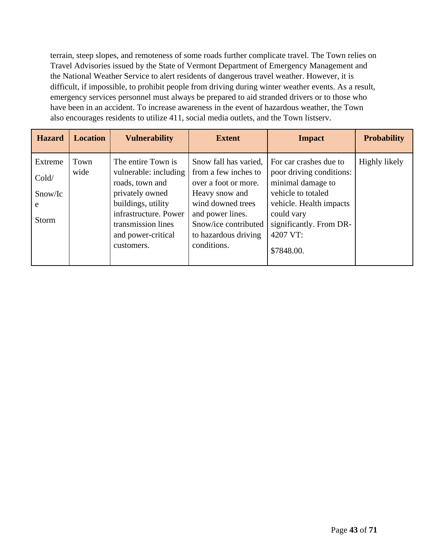terrain, steep slopes, and remoteness of some roads further complicate travel. The Town relies on Travel Advisories issued by the State of Vermont Department of Emergency Management and the National Weather Service to alert residents of dangerous travel weather. However, it is difficult, if impossible, to prohibit people from driving during winter weather events. As a result, emergency services personnel must always be prepared to aid stranded drivers or to those who have been in an accident. To increase awareness in the event of hazardous weather, the Town also encourages residents to utilize 411, social media outlets, and the Town listserv.

| <b>Hazard</b>                             | <b>Location</b> | <b>Vulnerability</b>                                                                                                                                                                       | <b>Extent</b>                                                                                                                                                                                   | <b>Impact</b>                                                                                                                                                                               | <b>Probability</b> |
|-------------------------------------------|-----------------|--------------------------------------------------------------------------------------------------------------------------------------------------------------------------------------------|-------------------------------------------------------------------------------------------------------------------------------------------------------------------------------------------------|---------------------------------------------------------------------------------------------------------------------------------------------------------------------------------------------|--------------------|
| Extreme<br>Cold/<br>Show/IC<br>e<br>Storm | Town<br>wide    | The entire Town is<br>vulnerable: including<br>roads, town and<br>privately owned<br>buildings, utility<br>infrastructure. Power<br>transmission lines<br>and power-critical<br>customers. | Snow fall has varied,<br>from a few inches to<br>over a foot or more.<br>Heavy snow and<br>wind downed trees<br>and power lines.<br>Snow/ice contributed<br>to hazardous driving<br>conditions. | For car crashes due to<br>poor driving conditions:<br>minimal damage to<br>vehicle to totaled<br>vehicle. Health impacts<br>could vary<br>significantly. From DR-<br>4207 VT:<br>\$7848.00. | Highly likely      |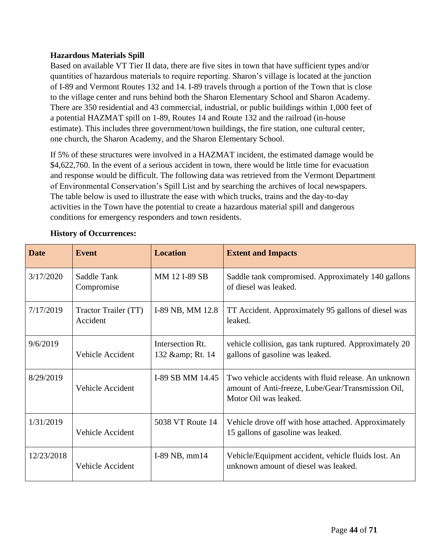#### <span id="page-43-0"></span>**Hazardous Materials Spill**

Based on available VT Tier II data, there are five sites in town that have sufficient types and/or quantities of hazardous materials to require reporting. Sharon's village is located at the junction of I-89 and Vermont Routes 132 and 14. I-89 travels through a portion of the Town that is close to the village center and runs behind both the Sharon Elementary School and Sharon Academy. There are 350 residential and 43 commercial, industrial, or public buildings within 1,000 feet of a potential HAZMAT spill on 1-89, Routes 14 and Route 132 and the railroad (in-house estimate). This includes three government/town buildings, the fire station, one cultural center, one church, the Sharon Academy, and the Sharon Elementary School.

If 5% of these structures were involved in a HAZMAT incident, the estimated damage would be \$4,622,760. In the event of a serious accident in town, there would be little time for evacuation and response would be difficult. The following data was retrieved from the Vermont Department of Environmental Conservation's Spill List and by searching the archives of local newspapers. The table below is used to illustrate the ease with which trucks, trains and the day-to-day activities in the Town have the potential to create a hazardous material spill and dangerous conditions for emergency responders and town residents.

| <b>Date</b> | <b>Event</b>                     | <b>Location</b>                       | <b>Extent and Impacts</b>                                                                                                           |
|-------------|----------------------------------|---------------------------------------|-------------------------------------------------------------------------------------------------------------------------------------|
| 3/17/2020   | Saddle Tank<br>Compromise        | MM 12 I-89 SB                         | Saddle tank compromised. Approximately 140 gallons<br>of diesel was leaked.                                                         |
| 7/17/2019   | Tractor Trailer (TT)<br>Accident | I-89 NB, MM 12.8                      | TT Accident. Approximately 95 gallons of diesel was<br>leaked.                                                                      |
| 9/6/2019    | <b>Vehicle Accident</b>          | Intersection Rt.<br>132 & amp; Rt. 14 | vehicle collision, gas tank ruptured. Approximately 20<br>gallons of gasoline was leaked.                                           |
| 8/29/2019   | Vehicle Accident                 | I-89 SB MM 14.45                      | Two vehicle accidents with fluid release. An unknown<br>amount of Anti-freeze, Lube/Gear/Transmission Oil,<br>Motor Oil was leaked. |
| 1/31/2019   | Vehicle Accident                 | 5038 VT Route 14                      | Vehicle drove off with hose attached. Approximately<br>15 gallons of gasoline was leaked.                                           |
| 12/23/2018  | <b>Vehicle Accident</b>          | I-89 NB, $mm14$                       | Vehicle/Equipment accident, vehicle fluids lost. An<br>unknown amount of diesel was leaked.                                         |

#### **History of Occurrences:**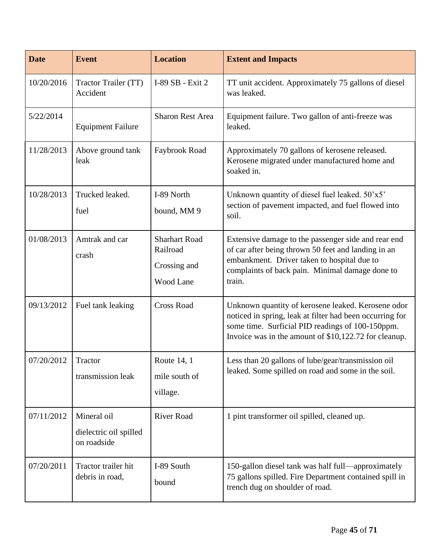| <b>Date</b> | <b>Event</b>                                         | <b>Location</b>                                               | <b>Extent and Impacts</b>                                                                                                                                                                                                   |
|-------------|------------------------------------------------------|---------------------------------------------------------------|-----------------------------------------------------------------------------------------------------------------------------------------------------------------------------------------------------------------------------|
| 10/20/2016  | Tractor Trailer (TT)<br>Accident                     | I-89 SB - Exit 2                                              | TT unit accident. Approximately 75 gallons of diesel<br>was leaked.                                                                                                                                                         |
| 5/22/2014   | <b>Equipment Failure</b>                             | <b>Sharon Rest Area</b>                                       | Equipment failure. Two gallon of anti-freeze was<br>leaked.                                                                                                                                                                 |
| 11/28/2013  | Above ground tank<br>leak                            | Faybrook Road                                                 | Approximately 70 gallons of kerosene released.<br>Kerosene migrated under manufactured home and<br>soaked in.                                                                                                               |
| 10/28/2013  | Trucked leaked.<br>fuel                              | I-89 North<br>bound, MM 9                                     | Unknown quantity of diesel fuel leaked. 50'x5'<br>section of pavement impacted, and fuel flowed into<br>soil.                                                                                                               |
| 01/08/2013  | Amtrak and car<br>crash                              | <b>Sharhart Road</b><br>Railroad<br>Crossing and<br>Wood Lane | Extensive damage to the passenger side and rear end<br>of car after being thrown 50 feet and landing in an<br>embankment. Driver taken to hospital due to<br>complaints of back pain. Minimal damage done to<br>train.      |
| 09/13/2012  | Fuel tank leaking                                    | <b>Cross Road</b>                                             | Unknown quantity of kerosene leaked. Kerosene odor<br>noticed in spring, leak at filter had been occurring for<br>some time. Surficial PID readings of 100-150ppm.<br>Invoice was in the amount of \$10,122.72 for cleanup. |
| 07/20/2012  | Tractor<br>transmission leak                         | Route 14, 1<br>mile south of<br>village.                      | Less than 20 gallons of lube/gear/transmission oil<br>leaked. Some spilled on road and some in the soil.                                                                                                                    |
| 07/11/2012  | Mineral oil<br>dielectric oil spilled<br>on roadside | <b>River Road</b>                                             | 1 pint transformer oil spilled, cleaned up.                                                                                                                                                                                 |
| 07/20/2011  | Tractor trailer hit<br>debris in road,               | I-89 South<br>bound                                           | 150-gallon diesel tank was half full-approximately<br>75 gallons spilled. Fire Department contained spill in<br>trench dug on shoulder of road.                                                                             |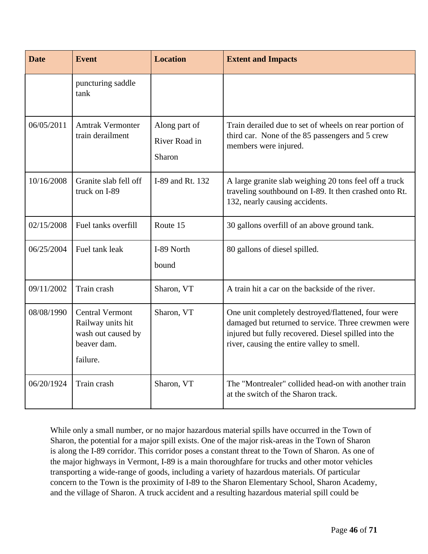| <b>Date</b> | <b>Event</b>                                                                                 | <b>Location</b>                          | <b>Extent and Impacts</b>                                                                                                                                                                                       |
|-------------|----------------------------------------------------------------------------------------------|------------------------------------------|-----------------------------------------------------------------------------------------------------------------------------------------------------------------------------------------------------------------|
|             | puncturing saddle<br>tank                                                                    |                                          |                                                                                                                                                                                                                 |
| 06/05/2011  | <b>Amtrak Vermonter</b><br>train derailment                                                  | Along part of<br>River Road in<br>Sharon | Train derailed due to set of wheels on rear portion of<br>third car. None of the 85 passengers and 5 crew<br>members were injured.                                                                              |
| 10/16/2008  | Granite slab fell off<br>truck on I-89                                                       | I-89 and Rt. 132                         | A large granite slab weighing 20 tons feel off a truck<br>traveling southbound on I-89. It then crashed onto Rt.<br>132, nearly causing accidents.                                                              |
| 02/15/2008  | Fuel tanks overfill                                                                          | Route 15                                 | 30 gallons overfill of an above ground tank.                                                                                                                                                                    |
| 06/25/2004  | Fuel tank leak                                                                               | I-89 North<br>bound                      | 80 gallons of diesel spilled.                                                                                                                                                                                   |
| 09/11/2002  | Train crash                                                                                  | Sharon, VT                               | A train hit a car on the backside of the river.                                                                                                                                                                 |
| 08/08/1990  | <b>Central Vermont</b><br>Railway units hit<br>wash out caused by<br>beaver dam.<br>failure. | Sharon, VT                               | One unit completely destroyed/flattened, four were<br>damaged but returned to service. Three crewmen were<br>injured but fully recovered. Diesel spilled into the<br>river, causing the entire valley to smell. |
| 06/20/1924  | Train crash                                                                                  | Sharon, VT                               | The "Montrealer" collided head-on with another train<br>at the switch of the Sharon track.                                                                                                                      |

While only a small number, or no major hazardous material spills have occurred in the Town of Sharon, the potential for a major spill exists. One of the major risk-areas in the Town of Sharon is along the I-89 corridor. This corridor poses a constant threat to the Town of Sharon. As one of the major highways in Vermont, I-89 is a main thoroughfare for trucks and other motor vehicles transporting a wide-range of goods, including a variety of hazardous materials. Of particular concern to the Town is the proximity of I-89 to the Sharon Elementary School, Sharon Academy, and the village of Sharon. A truck accident and a resulting hazardous material spill could be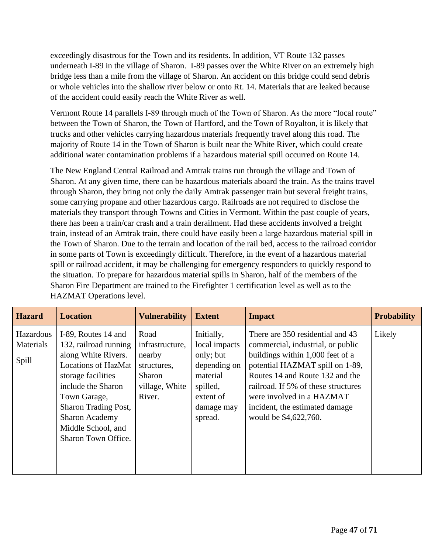exceedingly disastrous for the Town and its residents. In addition, VT Route 132 passes underneath I-89 in the village of Sharon. I-89 passes over the White River on an extremely high bridge less than a mile from the village of Sharon. An accident on this bridge could send debris or whole vehicles into the shallow river below or onto Rt. 14. Materials that are leaked because of the accident could easily reach the White River as well.

Vermont Route 14 parallels I-89 through much of the Town of Sharon. As the more "local route" between the Town of Sharon, the Town of Hartford, and the Town of Royalton, it is likely that trucks and other vehicles carrying hazardous materials frequently travel along this road. The majority of Route 14 in the Town of Sharon is built near the White River, which could create additional water contamination problems if a hazardous material spill occurred on Route 14.

The New England Central Railroad and Amtrak trains run through the village and Town of Sharon. At any given time, there can be hazardous materials aboard the train. As the trains travel through Sharon, they bring not only the daily Amtrak passenger train but several freight trains, some carrying propane and other hazardous cargo. Railroads are not required to disclose the materials they transport through Towns and Cities in Vermont. Within the past couple of years, there has been a train/car crash and a train derailment. Had these accidents involved a freight train, instead of an Amtrak train, there could have easily been a large hazardous material spill in the Town of Sharon. Due to the terrain and location of the rail bed, access to the railroad corridor in some parts of Town is exceedingly difficult. Therefore, in the event of a hazardous material spill or railroad accident, it may be challenging for emergency responders to quickly respond to the situation. To prepare for hazardous material spills in Sharon, half of the members of the Sharon Fire Department are trained to the Firefighter 1 certification level as well as to the HAZMAT Operations level.

| <b>Hazard</b>                   | <b>Location</b>                                                                                                                                                                                                                                             | <b>Vulnerability</b>                                                                   | <b>Extent</b>                                                                                                          | <b>Impact</b>                                                                                                                                                                                                                                                                                                  | <b>Probability</b> |
|---------------------------------|-------------------------------------------------------------------------------------------------------------------------------------------------------------------------------------------------------------------------------------------------------------|----------------------------------------------------------------------------------------|------------------------------------------------------------------------------------------------------------------------|----------------------------------------------------------------------------------------------------------------------------------------------------------------------------------------------------------------------------------------------------------------------------------------------------------------|--------------------|
| Hazardous<br>Materials<br>Spill | I-89, Routes 14 and<br>132, railroad running<br>along White Rivers.<br><b>Locations of HazMat</b><br>storage facilities<br>include the Sharon<br>Town Garage,<br>Sharon Trading Post,<br><b>Sharon Academy</b><br>Middle School, and<br>Sharon Town Office. | Road<br>infrastructure,<br>nearby<br>structures,<br>Sharon<br>village, White<br>River. | Initially,<br>local impacts<br>only; but<br>depending on<br>material<br>spilled,<br>extent of<br>damage may<br>spread. | There are 350 residential and 43<br>commercial, industrial, or public<br>buildings within 1,000 feet of a<br>potential HAZMAT spill on 1-89,<br>Routes 14 and Route 132 and the<br>railroad. If 5% of these structures<br>were involved in a HAZMAT<br>incident, the estimated damage<br>would be \$4,622,760. | Likely             |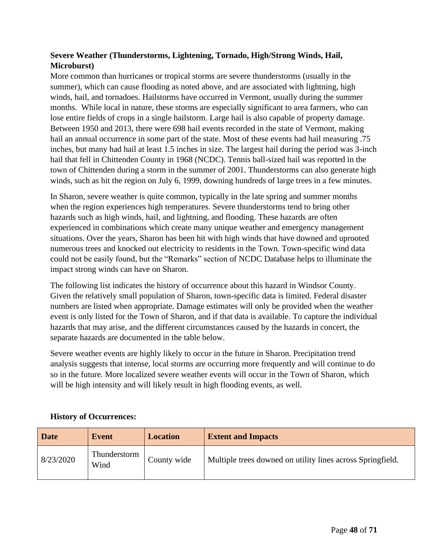### <span id="page-47-0"></span>**Severe Weather (Thunderstorms, Lightening, Tornado, High/Strong Winds, Hail, Microburst)**

More common than hurricanes or tropical storms are severe thunderstorms (usually in the summer), which can cause flooding as noted above, and are associated with lightning, high winds, hail, and tornadoes. Hailstorms have occurred in Vermont, usually during the summer months. While local in nature, these storms are especially significant to area farmers, who can lose entire fields of crops in a single hailstorm. Large hail is also capable of property damage. Between 1950 and 2013, there were 698 hail events recorded in the state of Vermont, making hail an annual occurrence in some part of the state. Most of these events had hail measuring .75 inches, but many had hail at least 1.5 inches in size. The largest hail during the period was 3-inch hail that fell in Chittenden County in 1968 (NCDC). Tennis ball-sized hail was reported in the town of Chittenden during a storm in the summer of 2001. Thunderstorms can also generate high winds, such as hit the region on July 6, 1999, downing hundreds of large trees in a few minutes.

In Sharon, severe weather is quite common, typically in the late spring and summer months when the region experiences high temperatures. Severe thunderstorms tend to bring other hazards such as high winds, hail, and lightning, and flooding. These hazards are often experienced in combinations which create many unique weather and emergency management situations. Over the years, Sharon has been hit with high winds that have downed and uprooted numerous trees and knocked out electricity to residents in the Town. Town-specific wind data could not be easily found, but the "Remarks" section of NCDC Database helps to illuminate the impact strong winds can have on Sharon.

The following list indicates the history of occurrence about this hazard in Windsor County. Given the relatively small population of Sharon, town-specific data is limited. Federal disaster numbers are listed when appropriate. Damage estimates will only be provided when the weather event is only listed for the Town of Sharon, and if that data is available. To capture the individual hazards that may arise, and the different circumstances caused by the hazards in concert, the separate hazards are documented in the table below.

Severe weather events are highly likely to occur in the future in Sharon. Precipitation trend analysis suggests that intense, local storms are occurring more frequently and will continue to do so in the future. More localized severe weather events will occur in the Town of Sharon, which will be high intensity and will likely result in high flooding events, as well.

| <b>Date</b> | Event                | <b>Location</b> | <b>Extent and Impacts</b>                                  |
|-------------|----------------------|-----------------|------------------------------------------------------------|
| 8/23/2020   | Thunderstorm<br>Wind | County wide     | Multiple trees downed on utility lines across Springfield. |

### **History of Occurrences:**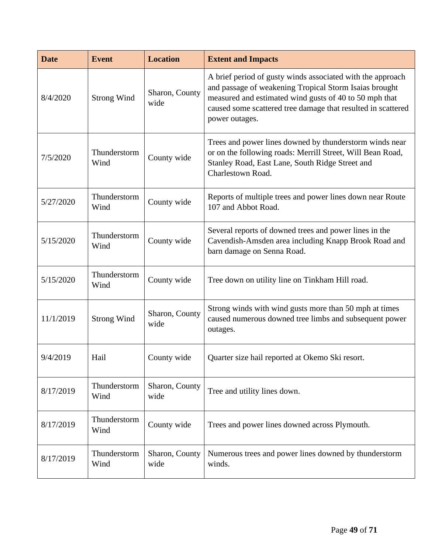| <b>Date</b> | <b>Event</b>         | <b>Location</b>        | <b>Extent and Impacts</b>                                                                                                                                                                                                                                        |
|-------------|----------------------|------------------------|------------------------------------------------------------------------------------------------------------------------------------------------------------------------------------------------------------------------------------------------------------------|
| 8/4/2020    | <b>Strong Wind</b>   | Sharon, County<br>wide | A brief period of gusty winds associated with the approach<br>and passage of weakening Tropical Storm Isaias brought<br>measured and estimated wind gusts of 40 to 50 mph that<br>caused some scattered tree damage that resulted in scattered<br>power outages. |
| 7/5/2020    | Thunderstorm<br>Wind | County wide            | Trees and power lines downed by thunderstorm winds near<br>or on the following roads: Merrill Street, Will Bean Road,<br>Stanley Road, East Lane, South Ridge Street and<br>Charlestown Road.                                                                    |
| 5/27/2020   | Thunderstorm<br>Wind | County wide            | Reports of multiple trees and power lines down near Route<br>107 and Abbot Road.                                                                                                                                                                                 |
| 5/15/2020   | Thunderstorm<br>Wind | County wide            | Several reports of downed trees and power lines in the<br>Cavendish-Amsden area including Knapp Brook Road and<br>barn damage on Senna Road.                                                                                                                     |
| 5/15/2020   | Thunderstorm<br>Wind | County wide            | Tree down on utility line on Tinkham Hill road.                                                                                                                                                                                                                  |
| 11/1/2019   | <b>Strong Wind</b>   | Sharon, County<br>wide | Strong winds with wind gusts more than 50 mph at times<br>caused numerous downed tree limbs and subsequent power<br>outages.                                                                                                                                     |
| 9/4/2019    | Hail                 | County wide            | Quarter size hail reported at Okemo Ski resort.                                                                                                                                                                                                                  |
| 8/17/2019   | Thunderstorm<br>Wind | Sharon, County<br>wide | Tree and utility lines down.                                                                                                                                                                                                                                     |
| 8/17/2019   | Thunderstorm<br>Wind | County wide            | Trees and power lines downed across Plymouth.                                                                                                                                                                                                                    |
| 8/17/2019   | Thunderstorm<br>Wind | Sharon, County<br>wide | Numerous trees and power lines downed by thunderstorm<br>winds.                                                                                                                                                                                                  |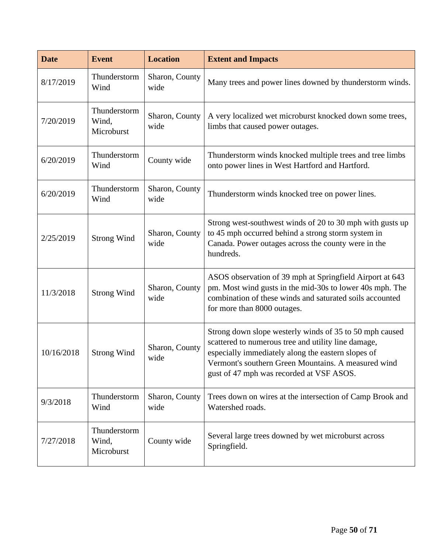| <b>Date</b> | <b>Event</b>                        | <b>Location</b>        | <b>Extent and Impacts</b>                                                                                                                                                                                                                                               |
|-------------|-------------------------------------|------------------------|-------------------------------------------------------------------------------------------------------------------------------------------------------------------------------------------------------------------------------------------------------------------------|
| 8/17/2019   | Thunderstorm<br>Wind                | Sharon, County<br>wide | Many trees and power lines downed by thunderstorm winds.                                                                                                                                                                                                                |
| 7/20/2019   | Thunderstorm<br>Wind,<br>Microburst | Sharon, County<br>wide | A very localized wet microburst knocked down some trees,<br>limbs that caused power outages.                                                                                                                                                                            |
| 6/20/2019   | Thunderstorm<br>Wind                | County wide            | Thunderstorm winds knocked multiple trees and tree limbs<br>onto power lines in West Hartford and Hartford.                                                                                                                                                             |
| 6/20/2019   | Thunderstorm<br>Wind                | Sharon, County<br>wide | Thunderstorm winds knocked tree on power lines.                                                                                                                                                                                                                         |
| 2/25/2019   | <b>Strong Wind</b>                  | Sharon, County<br>wide | Strong west-southwest winds of 20 to 30 mph with gusts up<br>to 45 mph occurred behind a strong storm system in<br>Canada. Power outages across the county were in the<br>hundreds.                                                                                     |
| 11/3/2018   | <b>Strong Wind</b>                  | Sharon, County<br>wide | ASOS observation of 39 mph at Springfield Airport at 643<br>pm. Most wind gusts in the mid-30s to lower 40s mph. The<br>combination of these winds and saturated soils accounted<br>for more than 8000 outages.                                                         |
| 10/16/2018  | <b>Strong Wind</b>                  | Sharon, County<br>wide | Strong down slope westerly winds of 35 to 50 mph caused<br>scattered to numerous tree and utility line damage,<br>especially immediately along the eastern slopes of<br>Vermont's southern Green Mountains. A measured wind<br>gust of 47 mph was recorded at VSF ASOS. |
| 9/3/2018    | Thunderstorm<br>Wind                | Sharon, County<br>wide | Trees down on wires at the intersection of Camp Brook and<br>Watershed roads.                                                                                                                                                                                           |
| 7/27/2018   | Thunderstorm<br>Wind,<br>Microburst | County wide            | Several large trees downed by wet microburst across<br>Springfield.                                                                                                                                                                                                     |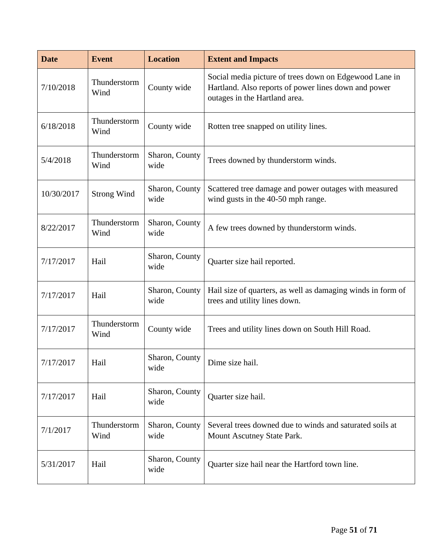| <b>Date</b> | <b>Event</b>         | <b>Location</b>        | <b>Extent and Impacts</b>                                                                                                                       |
|-------------|----------------------|------------------------|-------------------------------------------------------------------------------------------------------------------------------------------------|
| 7/10/2018   | Thunderstorm<br>Wind | County wide            | Social media picture of trees down on Edgewood Lane in<br>Hartland. Also reports of power lines down and power<br>outages in the Hartland area. |
| 6/18/2018   | Thunderstorm<br>Wind | County wide            | Rotten tree snapped on utility lines.                                                                                                           |
| 5/4/2018    | Thunderstorm<br>Wind | Sharon, County<br>wide | Trees downed by thunderstorm winds.                                                                                                             |
| 10/30/2017  | <b>Strong Wind</b>   | Sharon, County<br>wide | Scattered tree damage and power outages with measured<br>wind gusts in the 40-50 mph range.                                                     |
| 8/22/2017   | Thunderstorm<br>Wind | Sharon, County<br>wide | A few trees downed by thunderstorm winds.                                                                                                       |
| 7/17/2017   | Hail                 | Sharon, County<br>wide | Quarter size hail reported.                                                                                                                     |
| 7/17/2017   | Hail                 | Sharon, County<br>wide | Hail size of quarters, as well as damaging winds in form of<br>trees and utility lines down.                                                    |
| 7/17/2017   | Thunderstorm<br>Wind | County wide            | Trees and utility lines down on South Hill Road.                                                                                                |
| 7/17/2017   | Hail                 | Sharon, County<br>wide | Dime size hail.                                                                                                                                 |
| 7/17/2017   | Hail                 | Sharon, County<br>wide | Quarter size hail.                                                                                                                              |
| 7/1/2017    | Thunderstorm<br>Wind | Sharon, County<br>wide | Several trees downed due to winds and saturated soils at<br>Mount Ascutney State Park.                                                          |
| 5/31/2017   | Hail                 | Sharon, County<br>wide | Quarter size hail near the Hartford town line.                                                                                                  |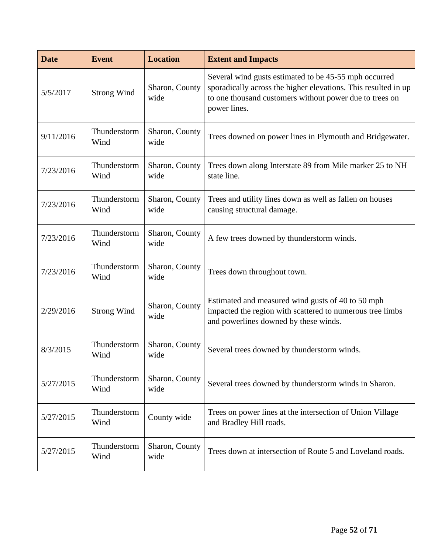| <b>Date</b> | <b>Event</b>         | <b>Location</b>        | <b>Extent and Impacts</b>                                                                                                                                                                          |
|-------------|----------------------|------------------------|----------------------------------------------------------------------------------------------------------------------------------------------------------------------------------------------------|
| 5/5/2017    | <b>Strong Wind</b>   | Sharon, County<br>wide | Several wind gusts estimated to be 45-55 mph occurred<br>sporadically across the higher elevations. This resulted in up<br>to one thousand customers without power due to trees on<br>power lines. |
| 9/11/2016   | Thunderstorm<br>Wind | Sharon, County<br>wide | Trees downed on power lines in Plymouth and Bridgewater.                                                                                                                                           |
| 7/23/2016   | Thunderstorm<br>Wind | Sharon, County<br>wide | Trees down along Interstate 89 from Mile marker 25 to NH<br>state line.                                                                                                                            |
| 7/23/2016   | Thunderstorm<br>Wind | Sharon, County<br>wide | Trees and utility lines down as well as fallen on houses<br>causing structural damage.                                                                                                             |
| 7/23/2016   | Thunderstorm<br>Wind | Sharon, County<br>wide | A few trees downed by thunderstorm winds.                                                                                                                                                          |
| 7/23/2016   | Thunderstorm<br>Wind | Sharon, County<br>wide | Trees down throughout town.                                                                                                                                                                        |
| 2/29/2016   | <b>Strong Wind</b>   | Sharon, County<br>wide | Estimated and measured wind gusts of 40 to 50 mph<br>impacted the region with scattered to numerous tree limbs<br>and powerlines downed by these winds.                                            |
| 8/3/2015    | Thunderstorm<br>Wind | Sharon, County<br>wide | Several trees downed by thunderstorm winds.                                                                                                                                                        |
| 5/27/2015   | Thunderstorm<br>Wind | Sharon, County<br>wide | Several trees downed by thunderstorm winds in Sharon.                                                                                                                                              |
| 5/27/2015   | Thunderstorm<br>Wind | County wide            | Trees on power lines at the intersection of Union Village<br>and Bradley Hill roads.                                                                                                               |
| 5/27/2015   | Thunderstorm<br>Wind | Sharon, County<br>wide | Trees down at intersection of Route 5 and Loveland roads.                                                                                                                                          |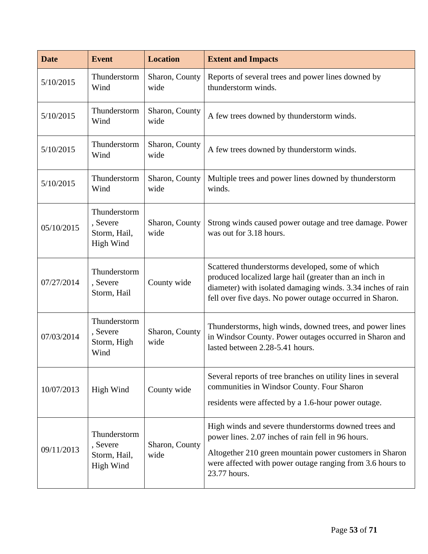| <b>Date</b> | <b>Event</b>                                          | <b>Location</b>        | <b>Extent and Impacts</b>                                                                                                                                                                                                                          |  |  |
|-------------|-------------------------------------------------------|------------------------|----------------------------------------------------------------------------------------------------------------------------------------------------------------------------------------------------------------------------------------------------|--|--|
| 5/10/2015   | Thunderstorm<br>Wind                                  | Sharon, County<br>wide | Reports of several trees and power lines downed by<br>thunderstorm winds.                                                                                                                                                                          |  |  |
| 5/10/2015   | Thunderstorm<br>Wind                                  | Sharon, County<br>wide | A few trees downed by thunderstorm winds.                                                                                                                                                                                                          |  |  |
| 5/10/2015   | Thunderstorm<br>Wind                                  | Sharon, County<br>wide | A few trees downed by thunderstorm winds.                                                                                                                                                                                                          |  |  |
| 5/10/2015   | Thunderstorm<br>Wind                                  | Sharon, County<br>wide | Multiple trees and power lines downed by thunderstorm<br>winds.                                                                                                                                                                                    |  |  |
| 05/10/2015  | Thunderstorm<br>, Severe<br>Storm, Hail,<br>High Wind | Sharon, County<br>wide | Strong winds caused power outage and tree damage. Power<br>was out for 3.18 hours.                                                                                                                                                                 |  |  |
| 07/27/2014  | Thunderstorm<br>, Severe<br>Storm, Hail               | County wide            | Scattered thunderstorms developed, some of which<br>produced localized large hail (greater than an inch in<br>diameter) with isolated damaging winds. 3.34 inches of rain<br>fell over five days. No power outage occurred in Sharon.              |  |  |
| 07/03/2014  | Thunderstorm<br>, Severe<br>Storm, High<br>Wind       | Sharon, County<br>wide | Thunderstorms, high winds, downed trees, and power lines<br>in Windsor County. Power outages occurred in Sharon and<br>lasted between 2.28-5.41 hours.                                                                                             |  |  |
| 10/07/2013  | High Wind                                             | County wide            | Several reports of tree branches on utility lines in several<br>communities in Windsor County. Four Sharon<br>residents were affected by a 1.6-hour power outage.                                                                                  |  |  |
| 09/11/2013  | Thunderstorm<br>, Severe<br>Storm, Hail,<br>High Wind | Sharon, County<br>wide | High winds and severe thunderstorms downed trees and<br>power lines. 2.07 inches of rain fell in 96 hours.<br>Altogether 210 green mountain power customers in Sharon<br>were affected with power outage ranging from 3.6 hours to<br>23.77 hours. |  |  |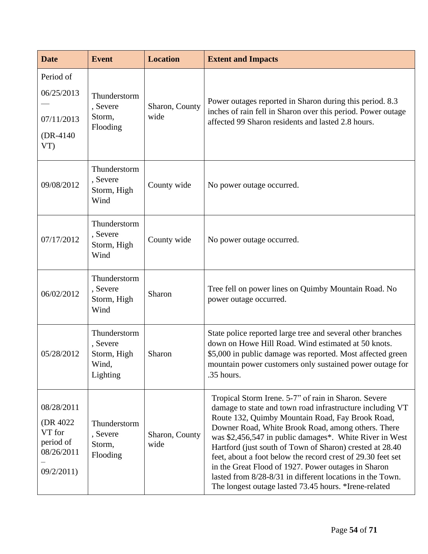| <b>Date</b>                                                               | <b>Event</b>                                                 | <b>Location</b>        | <b>Extent and Impacts</b>                                                                                                                                                                                                                                                                                                                                                                                                                                                                                                                                                                      |  |  |  |
|---------------------------------------------------------------------------|--------------------------------------------------------------|------------------------|------------------------------------------------------------------------------------------------------------------------------------------------------------------------------------------------------------------------------------------------------------------------------------------------------------------------------------------------------------------------------------------------------------------------------------------------------------------------------------------------------------------------------------------------------------------------------------------------|--|--|--|
| Period of<br>06/25/2013<br>07/11/2013<br>$(DR-4140)$<br>VT                | Thunderstorm<br>, Severe<br>Storm,<br>Flooding               | Sharon, County<br>wide | Power outages reported in Sharon during this period. 8.3<br>inches of rain fell in Sharon over this period. Power outage<br>affected 99 Sharon residents and lasted 2.8 hours.                                                                                                                                                                                                                                                                                                                                                                                                                 |  |  |  |
| 09/08/2012                                                                | Thunderstorm<br>, Severe<br>Storm, High<br>Wind              | County wide            | No power outage occurred.                                                                                                                                                                                                                                                                                                                                                                                                                                                                                                                                                                      |  |  |  |
| 07/17/2012                                                                | Thunderstorm<br>, Severe<br>Storm, High<br>Wind              | County wide            | No power outage occurred.                                                                                                                                                                                                                                                                                                                                                                                                                                                                                                                                                                      |  |  |  |
| 06/02/2012                                                                | Thunderstorm<br>, Severe<br>Storm, High<br>Wind              | Sharon                 | Tree fell on power lines on Quimby Mountain Road. No<br>power outage occurred.                                                                                                                                                                                                                                                                                                                                                                                                                                                                                                                 |  |  |  |
| 05/28/2012                                                                | Thunderstorm<br>, Severe<br>Storm, High<br>Wind,<br>Lighting | Sharon                 | State police reported large tree and several other branches<br>down on Howe Hill Road. Wind estimated at 50 knots.<br>\$5,000 in public damage was reported. Most affected green<br>mountain power customers only sustained power outage for<br>.35 hours.                                                                                                                                                                                                                                                                                                                                     |  |  |  |
| 08/28/2011<br>(DR 4022)<br>VT for<br>period of<br>08/26/2011<br>09/2/2011 | Thunderstorm<br>, Severe<br>Storm,<br>Flooding               | Sharon, County<br>wide | Tropical Storm Irene. 5-7" of rain in Sharon. Severe<br>damage to state and town road infrastructure including VT<br>Route 132, Quimby Mountain Road, Fay Brook Road,<br>Downer Road, White Brook Road, among others. There<br>was \$2,456,547 in public damages*. White River in West<br>Hartford (just south of Town of Sharon) crested at 28.40<br>feet, about a foot below the record crest of 29.30 feet set<br>in the Great Flood of 1927. Power outages in Sharon<br>lasted from 8/28-8/31 in different locations in the Town.<br>The longest outage lasted 73.45 hours. *Irene-related |  |  |  |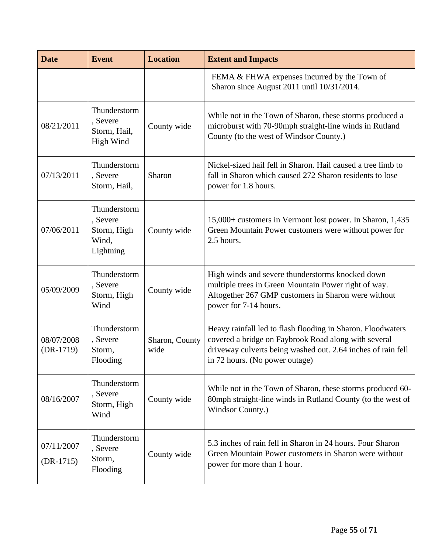| <b>Date</b>               | <b>Event</b>                                                  | <b>Location</b>        | <b>Extent and Impacts</b>                                                                                                                                                                                             |
|---------------------------|---------------------------------------------------------------|------------------------|-----------------------------------------------------------------------------------------------------------------------------------------------------------------------------------------------------------------------|
|                           |                                                               |                        | FEMA & FHWA expenses incurred by the Town of<br>Sharon since August 2011 until 10/31/2014.                                                                                                                            |
| 08/21/2011                | Thunderstorm<br>, Severe<br>Storm, Hail,<br>High Wind         | County wide            | While not in the Town of Sharon, these storms produced a<br>microburst with 70-90mph straight-line winds in Rutland<br>County (to the west of Windsor County.)                                                        |
| 07/13/2011                | Thunderstorm<br>, Severe<br>Storm, Hail,                      | Sharon                 | Nickel-sized hail fell in Sharon. Hail caused a tree limb to<br>fall in Sharon which caused 272 Sharon residents to lose<br>power for 1.8 hours.                                                                      |
| 07/06/2011                | Thunderstorm<br>, Severe<br>Storm, High<br>Wind,<br>Lightning | County wide            | 15,000+ customers in Vermont lost power. In Sharon, 1,435<br>Green Mountain Power customers were without power for<br>2.5 hours.                                                                                      |
| 05/09/2009                | Thunderstorm<br>, Severe<br>Storm, High<br>Wind               | County wide            | High winds and severe thunderstorms knocked down<br>multiple trees in Green Mountain Power right of way.<br>Altogether 267 GMP customers in Sharon were without<br>power for 7-14 hours.                              |
| 08/07/2008<br>$(DR-1719)$ | Thunderstorm<br>, Severe<br>Storm,<br>Flooding                | Sharon, County<br>wide | Heavy rainfall led to flash flooding in Sharon. Floodwaters<br>covered a bridge on Faybrook Road along with several<br>driveway culverts being washed out. 2.64 inches of rain fell<br>in 72 hours. (No power outage) |
| 08/16/2007                | Thunderstorm<br>, Severe<br>Storm, High<br>Wind               | County wide            | While not in the Town of Sharon, these storms produced 60-<br>80mph straight-line winds in Rutland County (to the west of<br>Windsor County.)                                                                         |
| 07/11/2007<br>$(DR-1715)$ | Thunderstorm<br>, Severe<br>Storm,<br>Flooding                | County wide            | 5.3 inches of rain fell in Sharon in 24 hours. Four Sharon<br>Green Mountain Power customers in Sharon were without<br>power for more than 1 hour.                                                                    |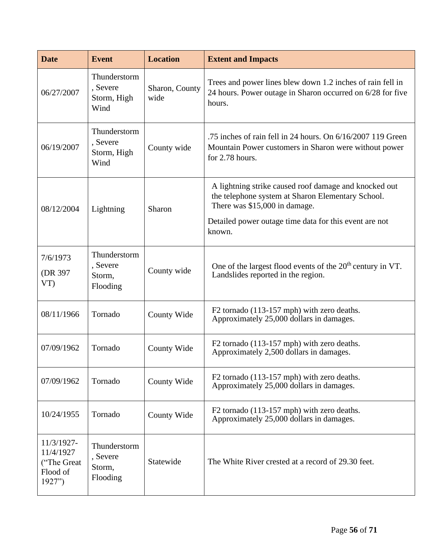| <b>Date</b>                                                   | <b>Event</b>                                    | <b>Location</b>        | <b>Extent and Impacts</b>                                                                                                                                                                                       |
|---------------------------------------------------------------|-------------------------------------------------|------------------------|-----------------------------------------------------------------------------------------------------------------------------------------------------------------------------------------------------------------|
| 06/27/2007                                                    | Thunderstorm<br>, Severe<br>Storm, High<br>Wind | Sharon, County<br>wide | Trees and power lines blew down 1.2 inches of rain fell in<br>24 hours. Power outage in Sharon occurred on 6/28 for five<br>hours.                                                                              |
| 06/19/2007                                                    | Thunderstorm<br>, Severe<br>Storm, High<br>Wind | County wide            | .75 inches of rain fell in 24 hours. On 6/16/2007 119 Green<br>Mountain Power customers in Sharon were without power<br>for 2.78 hours.                                                                         |
| 08/12/2004                                                    | Lightning                                       | Sharon                 | A lightning strike caused roof damage and knocked out<br>the telephone system at Sharon Elementary School.<br>There was \$15,000 in damage.<br>Detailed power outage time data for this event are not<br>known. |
| 7/6/1973<br>(DR 397<br>VT                                     | Thunderstorm<br>, Severe<br>Storm,<br>Flooding  | County wide            | One of the largest flood events of the $20th$ century in VT.<br>Landslides reported in the region.                                                                                                              |
| 08/11/1966                                                    | Tornado                                         | County Wide            | F2 tornado (113-157 mph) with zero deaths.<br>Approximately 25,000 dollars in damages.                                                                                                                          |
| 07/09/1962                                                    | Tornado                                         | County Wide            | F2 tornado (113-157 mph) with zero deaths.<br>Approximately 2,500 dollars in damages.                                                                                                                           |
| 07/09/1962                                                    | Tornado                                         | County Wide            | F2 tornado (113-157 mph) with zero deaths.<br>Approximately 25,000 dollars in damages.                                                                                                                          |
| 10/24/1955                                                    | Tornado                                         | County Wide            | F2 tornado (113-157 mph) with zero deaths.<br>Approximately 25,000 dollars in damages.                                                                                                                          |
| 11/3/1927-<br>11/4/1927<br>("The Great"<br>Flood of<br>1927") | Thunderstorm<br>, Severe<br>Storm,<br>Flooding  | Statewide              | The White River crested at a record of 29.30 feet.                                                                                                                                                              |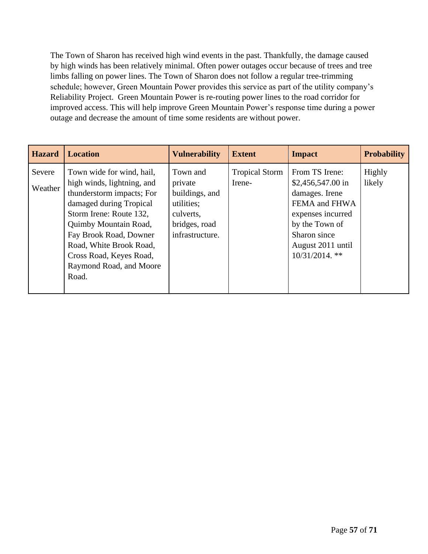The Town of Sharon has received high wind events in the past. Thankfully, the damage caused by high winds has been relatively minimal. Often power outages occur because of trees and tree limbs falling on power lines. The Town of Sharon does not follow a regular tree-trimming schedule; however, Green Mountain Power provides this service as part of the utility company's Reliability Project. Green Mountain Power is re-routing power lines to the road corridor for improved access. This will help improve Green Mountain Power's response time during a power outage and decrease the amount of time some residents are without power.

| <b>Hazard</b>     | <b>Location</b>                                                                                                                                                                                                                                                                         | <b>Vulnerability</b>                                                                                 | <b>Extent</b>                   | <b>Impact</b>                                                                                                                                                                 | <b>Probability</b> |
|-------------------|-----------------------------------------------------------------------------------------------------------------------------------------------------------------------------------------------------------------------------------------------------------------------------------------|------------------------------------------------------------------------------------------------------|---------------------------------|-------------------------------------------------------------------------------------------------------------------------------------------------------------------------------|--------------------|
| Severe<br>Weather | Town wide for wind, hail,<br>high winds, lightning, and<br>thunderstorm impacts; For<br>damaged during Tropical<br>Storm Irene: Route 132,<br>Quimby Mountain Road,<br>Fay Brook Road, Downer<br>Road, White Brook Road,<br>Cross Road, Keyes Road,<br>Raymond Road, and Moore<br>Road. | Town and<br>private<br>buildings, and<br>utilities;<br>culverts,<br>bridges, road<br>infrastructure. | <b>Tropical Storm</b><br>Irene- | From TS Irene:<br>$$2,456,547.00 \text{ in}$<br>damages. Irene<br>FEMA and FHWA<br>expenses incurred<br>by the Town of<br>Sharon since<br>August 2011 until<br>10/31/2014. ** | Highly<br>likely   |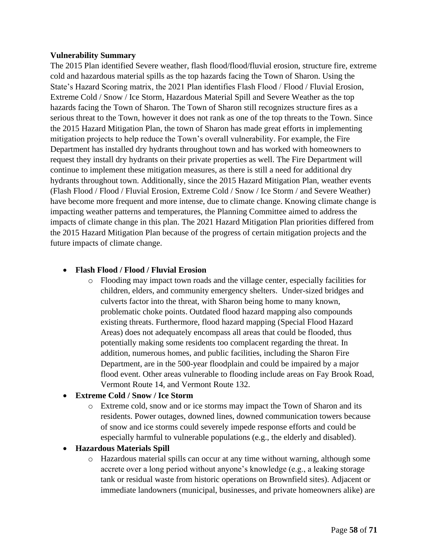#### <span id="page-57-0"></span>**Vulnerability Summary**

The 2015 Plan identified Severe weather, flash flood/flood/fluvial erosion, structure fire, extreme cold and hazardous material spills as the top hazards facing the Town of Sharon. Using the State's Hazard Scoring matrix, the 2021 Plan identifies Flash Flood / Flood / Fluvial Erosion, Extreme Cold / Snow / Ice Storm, Hazardous Material Spill and Severe Weather as the top hazards facing the Town of Sharon. The Town of Sharon still recognizes structure fires as a serious threat to the Town, however it does not rank as one of the top threats to the Town. Since the 2015 Hazard Mitigation Plan, the town of Sharon has made great efforts in implementing mitigation projects to help reduce the Town's overall vulnerability. For example, the Fire Department has installed dry hydrants throughout town and has worked with homeowners to request they install dry hydrants on their private properties as well. The Fire Department will continue to implement these mitigation measures, as there is still a need for additional dry hydrants throughout town. Additionally, since the 2015 Hazard Mitigation Plan, weather events (Flash Flood / Flood / Fluvial Erosion, Extreme Cold / Snow / Ice Storm / and Severe Weather) have become more frequent and more intense, due to climate change. Knowing climate change is impacting weather patterns and temperatures, the Planning Committee aimed to address the impacts of climate change in this plan. The 2021 Hazard Mitigation Plan priorities differed from the 2015 Hazard Mitigation Plan because of the progress of certain mitigation projects and the future impacts of climate change.

#### • **Flash Flood / Flood / Fluvial Erosion**

o Flooding may impact town roads and the village center, especially facilities for children, elders, and community emergency shelters. Under-sized bridges and culverts factor into the threat, with Sharon being home to many known, problematic choke points. Outdated flood hazard mapping also compounds existing threats. Furthermore, flood hazard mapping (Special Flood Hazard Areas) does not adequately encompass all areas that could be flooded, thus potentially making some residents too complacent regarding the threat. In addition, numerous homes, and public facilities, including the Sharon Fire Department, are in the 500-year floodplain and could be impaired by a major flood event. Other areas vulnerable to flooding include areas on Fay Brook Road, Vermont Route 14, and Vermont Route 132.

#### • **Extreme Cold / Snow / Ice Storm**

o Extreme cold, snow and or ice storms may impact the Town of Sharon and its residents. Power outages, downed lines, downed communication towers because of snow and ice storms could severely impede response efforts and could be especially harmful to vulnerable populations (e.g., the elderly and disabled).

#### • **Hazardous Materials Spill**

o Hazardous material spills can occur at any time without warning, although some accrete over a long period without anyone's knowledge (e.g., a leaking storage tank or residual waste from historic operations on Brownfield sites). Adjacent or immediate landowners (municipal, businesses, and private homeowners alike) are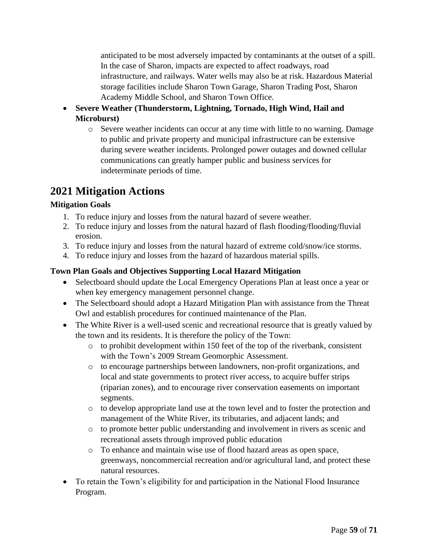anticipated to be most adversely impacted by contaminants at the outset of a spill. In the case of Sharon, impacts are expected to affect roadways, road infrastructure, and railways. Water wells may also be at risk. Hazardous Material storage facilities include Sharon Town Garage, Sharon Trading Post, Sharon Academy Middle School, and Sharon Town Office.

- **Severe Weather (Thunderstorm, Lightning, Tornado, High Wind, Hail and Microburst)**
	- o Severe weather incidents can occur at any time with little to no warning. Damage to public and private property and municipal infrastructure can be extensive during severe weather incidents. Prolonged power outages and downed cellular communications can greatly hamper public and business services for indeterminate periods of time.

## <span id="page-58-0"></span>**2021 Mitigation Actions**

### <span id="page-58-1"></span>**Mitigation Goals**

- 1. To reduce injury and losses from the natural hazard of severe weather.
- 2. To reduce injury and losses from the natural hazard of flash flooding/flooding/fluvial erosion.
- 3. To reduce injury and losses from the natural hazard of extreme cold/snow/ice storms.
- 4. To reduce injury and losses from the hazard of hazardous material spills.

### <span id="page-58-2"></span>**Town Plan Goals and Objectives Supporting Local Hazard Mitigation**

- Selectboard should update the Local Emergency Operations Plan at least once a year or when key emergency management personnel change.
- The Selectboard should adopt a Hazard Mitigation Plan with assistance from the Threat Owl and establish procedures for continued maintenance of the Plan.
- The White River is a well-used scenic and recreational resource that is greatly valued by the town and its residents. It is therefore the policy of the Town:
	- o to prohibit development within 150 feet of the top of the riverbank, consistent with the Town's 2009 Stream Geomorphic Assessment.
	- o to encourage partnerships between landowners, non-profit organizations, and local and state governments to protect river access, to acquire buffer strips (riparian zones), and to encourage river conservation easements on important segments.
	- o to develop appropriate land use at the town level and to foster the protection and management of the White River, its tributaries, and adjacent lands; and
	- o to promote better public understanding and involvement in rivers as scenic and recreational assets through improved public education
	- o To enhance and maintain wise use of flood hazard areas as open space, greenways, noncommercial recreation and/or agricultural land, and protect these natural resources.
- To retain the Town's eligibility for and participation in the National Flood Insurance Program.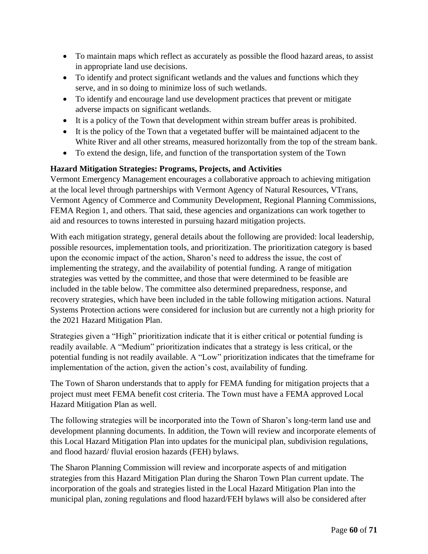- To maintain maps which reflect as accurately as possible the flood hazard areas, to assist in appropriate land use decisions.
- To identify and protect significant wetlands and the values and functions which they serve, and in so doing to minimize loss of such wetlands.
- To identify and encourage land use development practices that prevent or mitigate adverse impacts on significant wetlands.
- It is a policy of the Town that development within stream buffer areas is prohibited.
- It is the policy of the Town that a vegetated buffer will be maintained adjacent to the White River and all other streams, measured horizontally from the top of the stream bank.
- To extend the design, life, and function of the transportation system of the Town

### <span id="page-59-0"></span>**Hazard Mitigation Strategies: Programs, Projects, and Activities**

Vermont Emergency Management encourages a collaborative approach to achieving mitigation at the local level through partnerships with Vermont Agency of Natural Resources, VTrans, Vermont Agency of Commerce and Community Development, Regional Planning Commissions, FEMA Region 1, and others. That said, these agencies and organizations can work together to aid and resources to towns interested in pursuing hazard mitigation projects.

With each mitigation strategy, general details about the following are provided: local leadership, possible resources, implementation tools, and prioritization. The prioritization category is based upon the economic impact of the action, Sharon's need to address the issue, the cost of implementing the strategy, and the availability of potential funding. A range of mitigation strategies was vetted by the committee, and those that were determined to be feasible are included in the table below. The committee also determined preparedness, response, and recovery strategies, which have been included in the table following mitigation actions. Natural Systems Protection actions were considered for inclusion but are currently not a high priority for the 2021 Hazard Mitigation Plan.

Strategies given a "High" prioritization indicate that it is either critical or potential funding is readily available. A "Medium" prioritization indicates that a strategy is less critical, or the potential funding is not readily available. A "Low" prioritization indicates that the timeframe for implementation of the action, given the action's cost, availability of funding.

The Town of Sharon understands that to apply for FEMA funding for mitigation projects that a project must meet FEMA benefit cost criteria. The Town must have a FEMA approved Local Hazard Mitigation Plan as well.

The following strategies will be incorporated into the Town of Sharon's long-term land use and development planning documents. In addition, the Town will review and incorporate elements of this Local Hazard Mitigation Plan into updates for the municipal plan, subdivision regulations, and flood hazard/ fluvial erosion hazards (FEH) bylaws.

The Sharon Planning Commission will review and incorporate aspects of and mitigation strategies from this Hazard Mitigation Plan during the Sharon Town Plan current update. The incorporation of the goals and strategies listed in the Local Hazard Mitigation Plan into the municipal plan, zoning regulations and flood hazard/FEH bylaws will also be considered after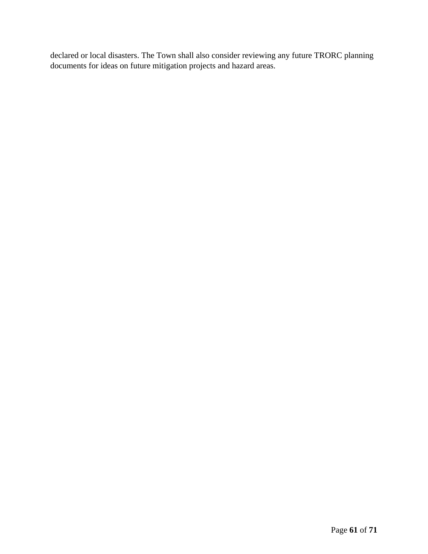declared or local disasters. The Town shall also consider reviewing any future TRORC planning documents for ideas on future mitigation projects and hazard areas.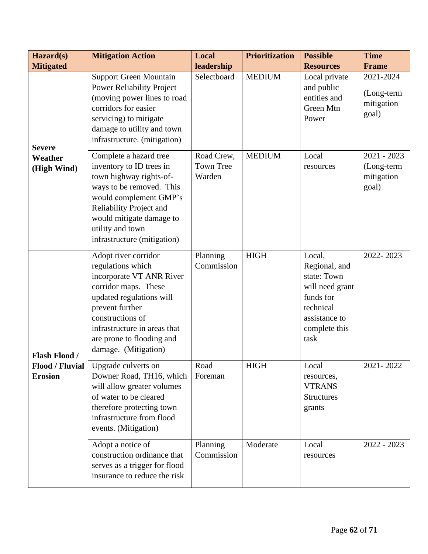| Hazard(s)                                | <b>Mitigation Action</b>                                                                                                                                                                                                                              | Local                                                                                                                                                                                                                                                                                                                                                                                                                                                         | <b>Prioritization</b> | <b>Possible</b>                                                                   | <b>Time</b>                       |
|------------------------------------------|-------------------------------------------------------------------------------------------------------------------------------------------------------------------------------------------------------------------------------------------------------|---------------------------------------------------------------------------------------------------------------------------------------------------------------------------------------------------------------------------------------------------------------------------------------------------------------------------------------------------------------------------------------------------------------------------------------------------------------|-----------------------|-----------------------------------------------------------------------------------|-----------------------------------|
| <b>Mitigated</b>                         |                                                                                                                                                                                                                                                       |                                                                                                                                                                                                                                                                                                                                                                                                                                                               |                       |                                                                                   | <b>Frame</b><br>2021-2024         |
| <b>Severe</b>                            | <b>Power Reliability Project</b><br>(moving power lines to road<br>corridors for easier<br>servicing) to mitigate<br>damage to utility and town<br>infrastructure. (mitigation)                                                                       |                                                                                                                                                                                                                                                                                                                                                                                                                                                               |                       | and public<br>entities and<br>Green Mtn<br>Power                                  | (Long-term<br>mitigation<br>goal) |
| <b>Weather</b><br>(High Wind)            | Complete a hazard tree<br>inventory to ID trees in<br>town highway rights-of-<br>ways to be removed. This<br>would complement GMP's<br>Reliability Project and<br>would mitigate damage to<br>utility and town<br>infrastructure (mitigation)         | leadership<br><b>Resources</b><br><b>Support Green Mountain</b><br>Selectboard<br><b>MEDIUM</b><br>Local private<br>Road Crew,<br><b>MEDIUM</b><br>Local<br><b>Town Tree</b><br>resources<br>Warden<br><b>HIGH</b><br>Planning<br>Local,<br>Commission<br>funds for<br>technical<br>task<br>Road<br><b>HIGH</b><br>Local<br>Foreman<br>resources,<br><b>VTRANS</b><br><b>Structures</b><br>grants<br>Planning<br>Moderate<br>Local<br>Commission<br>resources |                       | $2021 - 2023$<br>(Long-term<br>mitigation<br>goal)                                |                                   |
| <b>Flash Flood /</b>                     | Adopt river corridor<br>regulations which<br>incorporate VT ANR River<br>corridor maps. These<br>updated regulations will<br>prevent further<br>constructions of<br>infrastructure in areas that<br>are prone to flooding and<br>damage. (Mitigation) |                                                                                                                                                                                                                                                                                                                                                                                                                                                               |                       | Regional, and<br>state: Town<br>will need grant<br>assistance to<br>complete this | 2022-2023                         |
| <b>Flood / Fluvial</b><br><b>Erosion</b> | Upgrade culverts on<br>Downer Road, TH16, which<br>will allow greater volumes<br>of water to be cleared<br>therefore protecting town<br>infrastructure from flood<br>events. (Mitigation)                                                             |                                                                                                                                                                                                                                                                                                                                                                                                                                                               |                       |                                                                                   | 2021-2022                         |
|                                          | Adopt a notice of<br>construction ordinance that<br>serves as a trigger for flood<br>insurance to reduce the risk                                                                                                                                     |                                                                                                                                                                                                                                                                                                                                                                                                                                                               |                       |                                                                                   | $2022 - 2023$                     |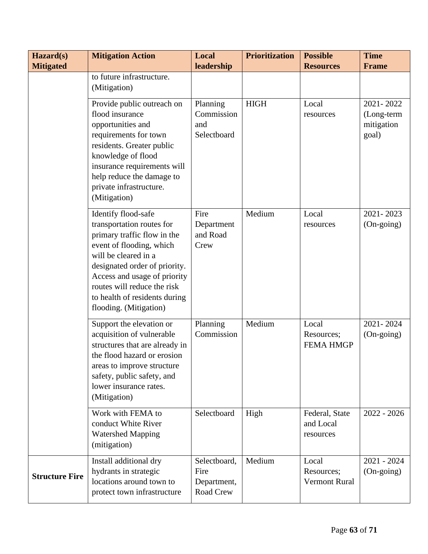| Hazard(s)             | <b>Mitigation Action</b>                                                                                                                                                                                                                                                                       | Local                                            | <b>Prioritization</b> | <b>Possible</b><br><b>Resources</b>         | <b>Time</b>                                    |
|-----------------------|------------------------------------------------------------------------------------------------------------------------------------------------------------------------------------------------------------------------------------------------------------------------------------------------|--------------------------------------------------|-----------------------|---------------------------------------------|------------------------------------------------|
| <b>Mitigated</b>      | to future infrastructure.<br>(Mitigation)                                                                                                                                                                                                                                                      | leadership                                       |                       |                                             | <b>Frame</b>                                   |
|                       | Provide public outreach on<br>flood insurance<br>opportunities and<br>requirements for town<br>residents. Greater public<br>knowledge of flood<br>insurance requirements will<br>help reduce the damage to<br>private infrastructure.<br>(Mitigation)                                          | Planning<br>Commission<br>and<br>Selectboard     | <b>HIGH</b>           | Local<br>resources                          | 2021-2022<br>(Long-term<br>mitigation<br>goal) |
|                       | Identify flood-safe<br>transportation routes for<br>primary traffic flow in the<br>event of flooding, which<br>will be cleared in a<br>designated order of priority.<br>Access and usage of priority<br>routes will reduce the risk<br>to health of residents during<br>flooding. (Mitigation) | Fire<br>Department<br>and Road<br>Crew           | Medium                | Local<br>resources                          | 2021-2023<br>(On-going)                        |
|                       | Support the elevation or<br>acquisition of vulnerable<br>structures that are already in<br>the flood hazard or erosion<br>areas to improve structure<br>safety, public safety, and<br>lower insurance rates.<br>(Mitigation)                                                                   | Planning<br>Commission                           | Medium                | Local<br>Resources;<br><b>FEMA HMGP</b>     | 2021-2024<br>$(On\text{-going})$               |
|                       | Work with FEMA to<br>conduct White River<br><b>Watershed Mapping</b><br>(mitigation)                                                                                                                                                                                                           | Selectboard                                      | High                  | Federal, State<br>and Local<br>resources    | $2022 - 2026$                                  |
| <b>Structure Fire</b> | Install additional dry<br>hydrants in strategic<br>locations around town to<br>protect town infrastructure                                                                                                                                                                                     | Selectboard,<br>Fire<br>Department,<br>Road Crew | Medium                | Local<br>Resources;<br><b>Vermont Rural</b> | 2021 - 2024<br>(On-going)                      |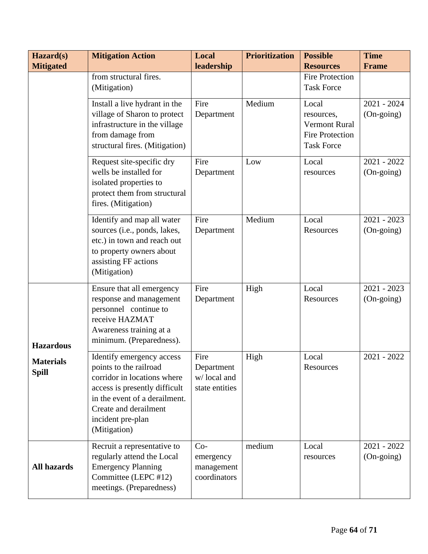| Hazard(s)<br><b>Mitigated</b>    | <b>Mitigation Action</b>                                                                                                                                                                                           | Local<br>leadership                                 | <b>Prioritization</b> | <b>Possible</b><br><b>Resources</b>                                                        | <b>Time</b><br><b>Frame</b>          |
|----------------------------------|--------------------------------------------------------------------------------------------------------------------------------------------------------------------------------------------------------------------|-----------------------------------------------------|-----------------------|--------------------------------------------------------------------------------------------|--------------------------------------|
|                                  | from structural fires.<br>(Mitigation)                                                                                                                                                                             |                                                     |                       | <b>Fire Protection</b><br><b>Task Force</b>                                                |                                      |
|                                  | Install a live hydrant in the<br>village of Sharon to protect<br>infrastructure in the village<br>from damage from<br>structural fires. (Mitigation)                                                               | Fire<br>Department                                  | Medium                | Local<br>resources,<br><b>Vermont Rural</b><br><b>Fire Protection</b><br><b>Task Force</b> | $2021 - 2024$<br>$(On\text{-going})$ |
|                                  | Request site-specific dry<br>wells be installed for<br>isolated properties to<br>protect them from structural<br>fires. (Mitigation)                                                                               | Fire<br>Department                                  | Low                   | Local<br>resources                                                                         | $2021 - 2022$<br>$(On\text{-going})$ |
|                                  | Identify and map all water<br>sources (i.e., ponds, lakes,<br>etc.) in town and reach out<br>to property owners about<br>assisting FF actions<br>(Mitigation)                                                      | Fire<br>Department                                  | Medium                | Local<br>Resources                                                                         | $2021 - 2023$<br>$(On\text{-going})$ |
| <b>Hazardous</b>                 | Ensure that all emergency<br>response and management<br>personnel continue to<br>receive HAZMAT<br>Awareness training at a<br>minimum. (Preparedness).                                                             | Fire<br>Department                                  | High                  | Local<br>Resources                                                                         | $2021 - 2023$<br>$(On\text{-going})$ |
| <b>Materials</b><br><b>Spill</b> | Identify emergency access<br>points to the railroad<br>corridor in locations where<br>access is presently difficult<br>in the event of a derailment.<br>Create and derailment<br>incident pre-plan<br>(Mitigation) | Fire<br>Department<br>w/local and<br>state entities | High                  | Local<br>Resources                                                                         | $2021 - 2022$                        |
| <b>All hazards</b>               | Recruit a representative to<br>regularly attend the Local<br><b>Emergency Planning</b><br>Committee (LEPC #12)<br>meetings. (Preparedness)                                                                         | $Co-$<br>emergency<br>management<br>coordinators    | medium                | Local<br>resources                                                                         | $2021 - 2022$<br>(On-going)          |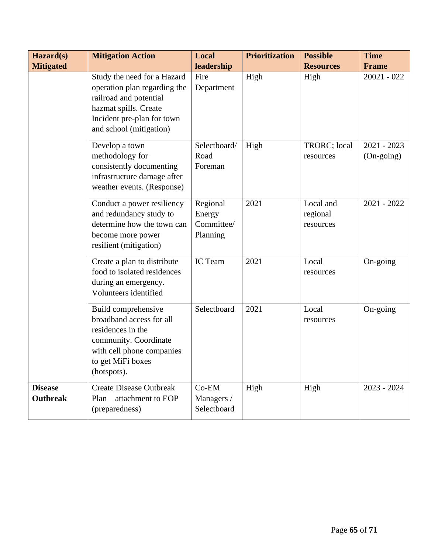| Hazard(s)                         | <b>Mitigation Action</b>                                                                                                                                                | Local                                        | <b>Prioritization</b> | <b>Possible</b>                    | <b>Time</b>                 |
|-----------------------------------|-------------------------------------------------------------------------------------------------------------------------------------------------------------------------|----------------------------------------------|-----------------------|------------------------------------|-----------------------------|
| <b>Mitigated</b>                  |                                                                                                                                                                         | leadership                                   |                       | <b>Resources</b>                   | Frame                       |
|                                   | Study the need for a Hazard<br>operation plan regarding the<br>railroad and potential<br>hazmat spills. Create<br>Incident pre-plan for town<br>and school (mitigation) | Fire<br>Department                           | High                  | High                               | $20021 - 022$               |
|                                   | Develop a town<br>methodology for<br>consistently documenting<br>infrastructure damage after<br>weather events. (Response)                                              | Selectboard/<br>Road<br>Foreman              | High                  | TRORC; local<br>resources          | $2021 - 2023$<br>(On-going) |
|                                   | Conduct a power resiliency<br>and redundancy study to<br>determine how the town can<br>become more power<br>resilient (mitigation)                                      | Regional<br>Energy<br>Committee/<br>Planning | 2021                  | Local and<br>regional<br>resources | $2021 - 2022$               |
|                                   | Create a plan to distribute<br>food to isolated residences<br>during an emergency.<br>Volunteers identified                                                             | IC Team                                      | 2021                  | Local<br>resources                 | On-going                    |
|                                   | Build comprehensive<br>broadband access for all<br>residences in the<br>community. Coordinate<br>with cell phone companies<br>to get MiFi boxes<br>(hotspots).          | Selectboard                                  | 2021                  | Local<br>resources                 | On-going                    |
| <b>Disease</b><br><b>Outbreak</b> | <b>Create Disease Outbreak</b><br>$Plan - attachment to EOP$<br>(preparedness)                                                                                          | $Co-EM$<br>Managers /<br>Selectboard         | High                  | High                               | $2023 - 2024$               |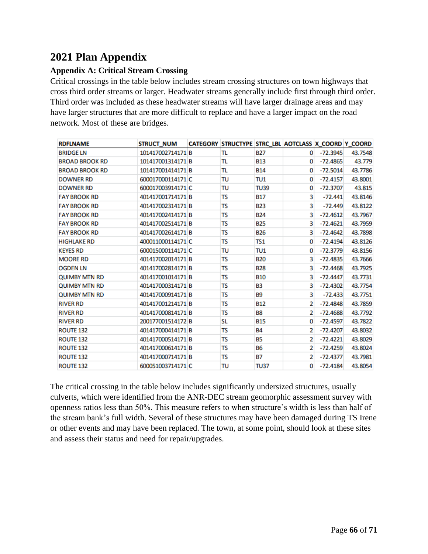## <span id="page-65-0"></span>**2021 Plan Appendix**

### <span id="page-65-1"></span>**Appendix A: Critical Stream Crossing**

Critical crossings in the table below includes stream crossing structures on town highways that cross third order streams or larger. Headwater streams generally include first through third order. Third order was included as these headwater streams will have larger drainage areas and may have larger structures that are more difficult to replace and have a larger impact on the road network. Most of these are bridges.

| <b>RDFLNAME</b>       | <b>STRUCT_NUM</b> | CATEGORY STRUCTYPE STRC_LBL AOTCLASS X_COORD Y_COORD |                 |                |            |         |
|-----------------------|-------------------|------------------------------------------------------|-----------------|----------------|------------|---------|
| <b>BRIDGE LN</b>      | 101417002714171 B | TL                                                   | <b>B27</b>      | $\Omega$       | $-72.3945$ | 43.7548 |
| <b>BROAD BROOK RD</b> | 101417001314171 B | TL                                                   | <b>B13</b>      | 0              | $-72.4865$ | 43.779  |
| <b>BROAD BROOK RD</b> | 101417001414171 B | TL                                                   | <b>B14</b>      | 0              | $-72.5014$ | 43.7786 |
| <b>DOWNER RD</b>      | 600017000114171 C | TU                                                   | TU1             | 0              | $-72.4157$ | 43.8001 |
| <b>DOWNER RD</b>      | 600017003914171 C | TU                                                   | <b>TU39</b>     | 0              | $-72.3707$ | 43.815  |
| <b>FAY BROOK RD</b>   | 401417001714171 B | TS                                                   | <b>B17</b>      | 3              | $-72.441$  | 43.8146 |
| <b>FAY BROOK RD</b>   | 401417002314171 B | TS                                                   | <b>B23</b>      | 3              | $-72.449$  | 43.8122 |
| <b>FAY BROOK RD</b>   | 401417002414171 B | TS                                                   | <b>B24</b>      | 3              | $-72.4612$ | 43.7967 |
| <b>FAY BROOK RD</b>   | 401417002514171 B | TS                                                   | <b>B25</b>      | з              | $-72.4621$ | 43.7959 |
| <b>FAY BROOK RD</b>   | 401417002614171 B | TS                                                   | <b>B26</b>      | 3              | $-72.4642$ | 43.7898 |
| <b>HIGHLAKE RD</b>    | 400011000114171 C | TS                                                   | TS <sub>1</sub> | 0              | $-72.4194$ | 43.8126 |
| <b>KEYES RD</b>       | 600015000114171 C | TU                                                   | TU <sub>1</sub> | 0              | $-72.3779$ | 43.8156 |
| <b>MOORE RD</b>       | 401417002014171 B | TS                                                   | <b>B20</b>      | 3              | $-72.4835$ | 43.7666 |
| <b>OGDEN LN</b>       | 401417002814171 B | TS                                                   | <b>B28</b>      | 3              | $-72.4468$ | 43.7925 |
| <b>QUIMBY MTN RD</b>  | 401417001014171 B | TS                                                   | <b>B10</b>      | 3              | $-72.4447$ | 43.7731 |
| <b>QUIMBY MTN RD</b>  | 401417000314171 B | TS                                                   | B3              | 3              | $-72.4302$ | 43.7754 |
| <b>QUIMBY MTN RD</b>  | 401417000914171 B | TS                                                   | <b>B9</b>       | 3              | $-72.433$  | 43.7751 |
| <b>RIVER RD</b>       | 401417001214171 B | TS                                                   | <b>B12</b>      | 2              | $-72.4848$ | 43.7859 |
| <b>RIVER RD</b>       | 401417000814171 B | TS                                                   | <b>B8</b>       | $\overline{2}$ | $-72.4688$ | 43.7792 |
| <b>RIVER RD</b>       | 200177001514172 B | SL                                                   | <b>B15</b>      | 0              | $-72.4597$ | 43.7822 |
| ROUTE 132             | 401417000414171 B | TS                                                   | <b>B4</b>       | $\overline{2}$ | $-72.4207$ | 43.8032 |
| <b>ROUTE 132</b>      | 401417000514171 B | TS                                                   | <b>B5</b>       | 2              | $-72.4221$ | 43.8029 |
| <b>ROUTE 132</b>      | 401417000614171 B | TS                                                   | <b>B6</b>       | 2              | $-72.4259$ | 43.8024 |
| <b>ROUTE 132</b>      | 401417000714171 B | TS                                                   | <b>B7</b>       | $\overline{2}$ | $-72.4377$ | 43.7981 |
| <b>ROUTE 132</b>      | 600051003714171 C | TU                                                   | <b>TU37</b>     | 0              | $-72.4184$ | 43.8054 |

The critical crossing in the table below includes significantly undersized structures, usually culverts, which were identified from the ANR-DEC stream geomorphic assessment survey with openness ratios less than 50%. This measure refers to when structure's width is less than half of the stream bank's full width. Several of these structures may have been damaged during TS Irene or other events and may have been replaced. The town, at some point, should look at these sites and assess their status and need for repair/upgrades.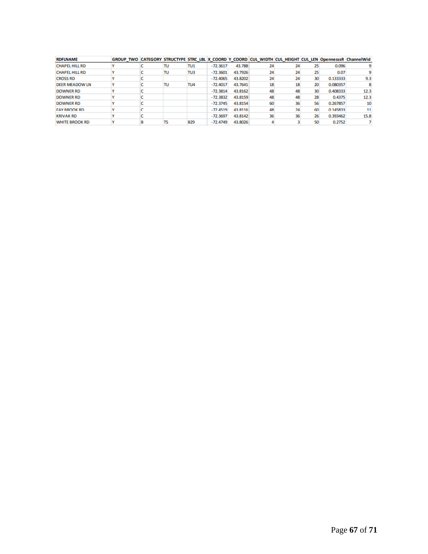| <b>RDFLNAME</b>       | GROUP TWO CATEGORY STRUCTYPE STRC LBL X COORD Y COORD CUL WIDTH CUL HEIGHT CUL LEN OpennesssR ChannelWid |    |                 |            |         |    |    |    |          |      |
|-----------------------|----------------------------------------------------------------------------------------------------------|----|-----------------|------------|---------|----|----|----|----------|------|
| <b>CHAPEL HILL RD</b> |                                                                                                          | TU | TU <sub>1</sub> | $-72.3617$ | 43.788  |    |    |    | 0.096    |      |
| <b>CHAPEL HILL RD</b> |                                                                                                          | TU | TU3             | $-72.3601$ | 43.7926 | 24 | 24 |    | 0.07     |      |
| <b>CROSS RD</b>       |                                                                                                          |    |                 | $-72.4065$ | 43.8202 | 24 | 24 | 30 | 0.133333 | 9.3  |
| <b>DEER MEADOW LN</b> |                                                                                                          | TU | TU4             | $-72.4017$ | 43.7641 | 18 | 18 | 20 | 0.080357 |      |
| <b>DOWNER RD</b>      |                                                                                                          |    |                 | $-72.3814$ | 43.8162 | 48 | 48 | 30 | 0.408333 | 12.3 |
| <b>DOWNER RD</b>      |                                                                                                          |    |                 | $-72.3832$ | 43.8159 | 48 | 48 | 28 | 0.4375   | 12.3 |
| <b>DOWNER RD</b>      |                                                                                                          |    |                 | $-72.3745$ | 43.8154 | 60 | 36 | 56 | 0.267857 | 10   |
| <b>FAY RROOK RD</b>   |                                                                                                          |    |                 | $-72.4519$ | 43.8116 | 48 | 24 | 60 | 0.145833 | 11   |
| <b>KRIVAK RD</b>      |                                                                                                          |    |                 | $-72.3697$ | 43.8142 | 36 | 36 | 26 | 0.393462 | 15.8 |
| <b>WHITE BROOK RD</b> |                                                                                                          | TS | <b>B29</b>      | $-72.4749$ | 43.8026 |    |    | 50 | 0.2752   |      |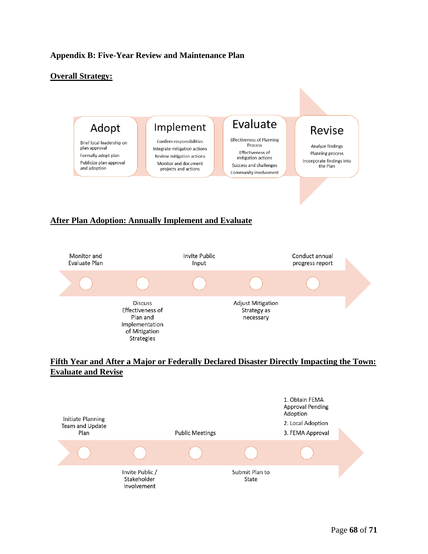#### <span id="page-67-0"></span>**Appendix B: Five-Year Review and Maintenance Plan**

#### **Overall Strategy:**



#### **After Plan Adoption: Annually Implement and Evaluate**



#### **Fifth Year and After a Major or Federally Declared Disaster Directly Impacting the Town: Evaluate and Revise**

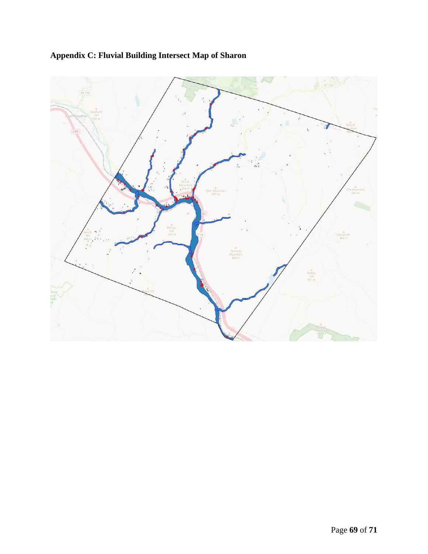

# <span id="page-68-0"></span>**Appendix C: Fluvial Building Intersect Map of Sharon**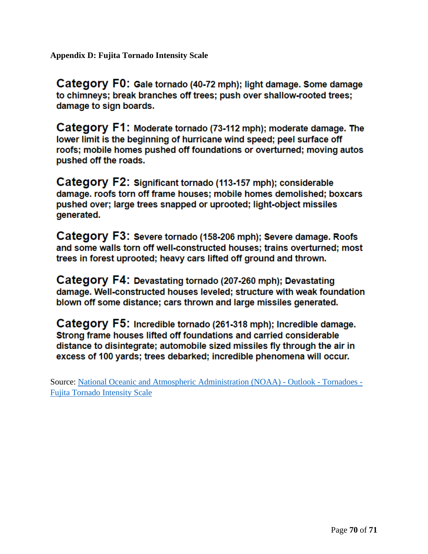<span id="page-69-0"></span>**Appendix D: Fujita Tornado Intensity Scale** 

Category F0: Gale tornado (40-72 mph); light damage. Some damage to chimneys; break branches off trees; push over shallow-rooted trees; damage to sign boards.

Category F1: Moderate tornado (73-112 mph); moderate damage. The lower limit is the beginning of hurricane wind speed; peel surface off roofs; mobile homes pushed off foundations or overturned; moving autos pushed off the roads.

Category F2: Significant tornado (113-157 mph); considerable damage, roofs torn off frame houses; mobile homes demolished; boxcars pushed over; large trees snapped or uprooted; light-object missiles generated.

Category F3: Severe tornado (158-206 mph); Severe damage. Roofs and some walls torn off well-constructed houses; trains overturned; most trees in forest uprooted; heavy cars lifted off ground and thrown.

Category F4: Devastating tornado (207-260 mph); Devastating damage. Well-constructed houses leveled; structure with weak foundation blown off some distance; cars thrown and large missiles generated.

Category F5: Incredible tornado (261-318 mph); Incredible damage. Strong frame houses lifted off foundations and carried considerable distance to disintegrate; automobile sized missiles fly through the air in excess of 100 yards; trees debarked; incredible phenomena will occur.

Source: [National Oceanic and Atmospheric Administration \(NOAA\) -](https://www.outlook.noaa.gov/tornadoes/fujita.htm#:~:text=National%20Oceanic%20and%20Atmospheric%20Administration%20%28NOAA%29%20-%20Outlook,Category%20F1%3A%20Moderate%20tornado%20%2873-112%20mph%29%3B%20moderate%20damage.) Outlook - Tornadoes - [Fujita Tornado Intensity Scale](https://www.outlook.noaa.gov/tornadoes/fujita.htm#:~:text=National%20Oceanic%20and%20Atmospheric%20Administration%20%28NOAA%29%20-%20Outlook,Category%20F1%3A%20Moderate%20tornado%20%2873-112%20mph%29%3B%20moderate%20damage.)